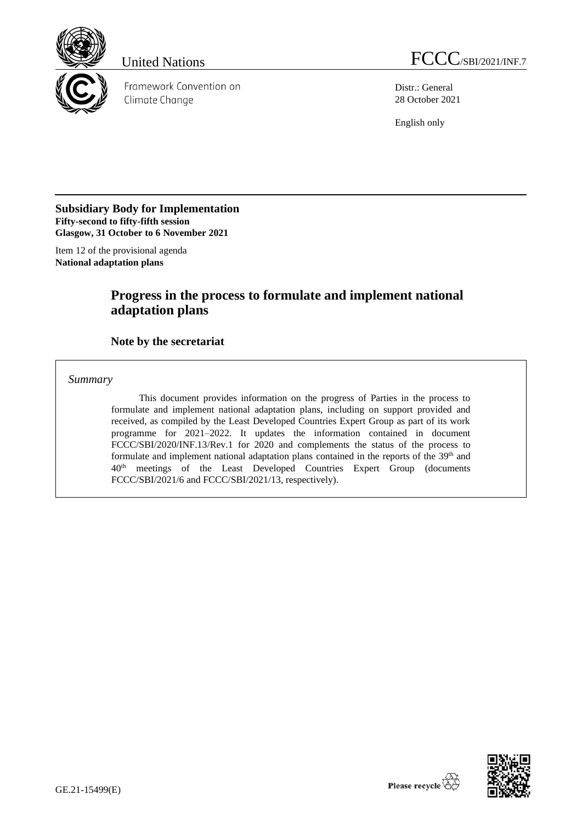

Framework Convention on Climate Change

United Nations FCCC/SBI/2021/INF.7

Distr.: General 28 October 2021

English only

### **Subsidiary Body for Implementation Fifty-second to fifty-fifth session Glasgow, 31 October to 6 November 2021**

Item 12 of the provisional agenda **National adaptation plans**

## **Progress in the process to formulate and implement national adaptation plans**

## **Note by the secretariat**

*Summary*

This document provides information on the progress of Parties in the process to formulate and implement national adaptation plans, including on support provided and received, as compiled by the Least Developed Countries Expert Group as part of its work programme for 2021–2022. It updates the information contained in document FCCC/SBI/2020/INF.13/Rev.1 for 2020 and complements the status of the process to formulate and implement national adaptation plans contained in the reports of the 39<sup>th</sup> and 40th meetings of the Least Developed Countries Expert Group (documents FCCC/SBI/2021/6 and FCCC/SBI/2021/13, respectively).

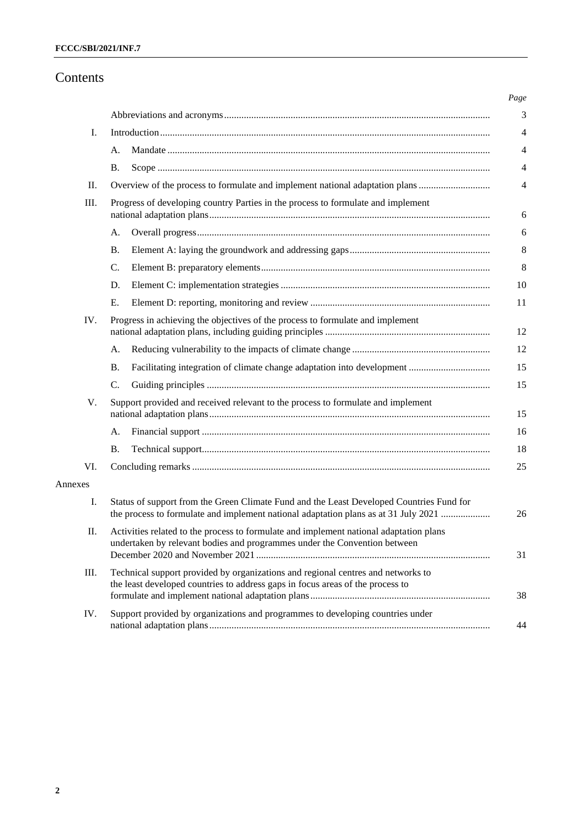## Contents

| I.      |                                                                                                                                                                                 |  |  |  |  |  |
|---------|---------------------------------------------------------------------------------------------------------------------------------------------------------------------------------|--|--|--|--|--|
|         | А.                                                                                                                                                                              |  |  |  |  |  |
|         | Β.                                                                                                                                                                              |  |  |  |  |  |
| II.     | Overview of the process to formulate and implement national adaptation plans                                                                                                    |  |  |  |  |  |
| III.    | Progress of developing country Parties in the process to formulate and implement                                                                                                |  |  |  |  |  |
|         | А.                                                                                                                                                                              |  |  |  |  |  |
|         | Β.                                                                                                                                                                              |  |  |  |  |  |
|         | C.                                                                                                                                                                              |  |  |  |  |  |
|         | D.                                                                                                                                                                              |  |  |  |  |  |
|         | E.                                                                                                                                                                              |  |  |  |  |  |
| IV.     | Progress in achieving the objectives of the process to formulate and implement                                                                                                  |  |  |  |  |  |
|         | А.                                                                                                                                                                              |  |  |  |  |  |
|         | <b>B.</b>                                                                                                                                                                       |  |  |  |  |  |
|         | $\mathcal{C}$ .                                                                                                                                                                 |  |  |  |  |  |
| V.      | Support provided and received relevant to the process to formulate and implement                                                                                                |  |  |  |  |  |
|         | А.                                                                                                                                                                              |  |  |  |  |  |
|         | В.                                                                                                                                                                              |  |  |  |  |  |
| VI.     |                                                                                                                                                                                 |  |  |  |  |  |
| Annexes |                                                                                                                                                                                 |  |  |  |  |  |
| I.      | Status of support from the Green Climate Fund and the Least Developed Countries Fund for<br>the process to formulate and implement national adaptation plans as at 31 July 2021 |  |  |  |  |  |
| Π.      | Activities related to the process to formulate and implement national adaptation plans<br>undertaken by relevant bodies and programmes under the Convention between             |  |  |  |  |  |
| III.    | Technical support provided by organizations and regional centres and networks to<br>the least developed countries to address gaps in focus areas of the process to              |  |  |  |  |  |
| IV.     | Support provided by organizations and programmes to developing countries under                                                                                                  |  |  |  |  |  |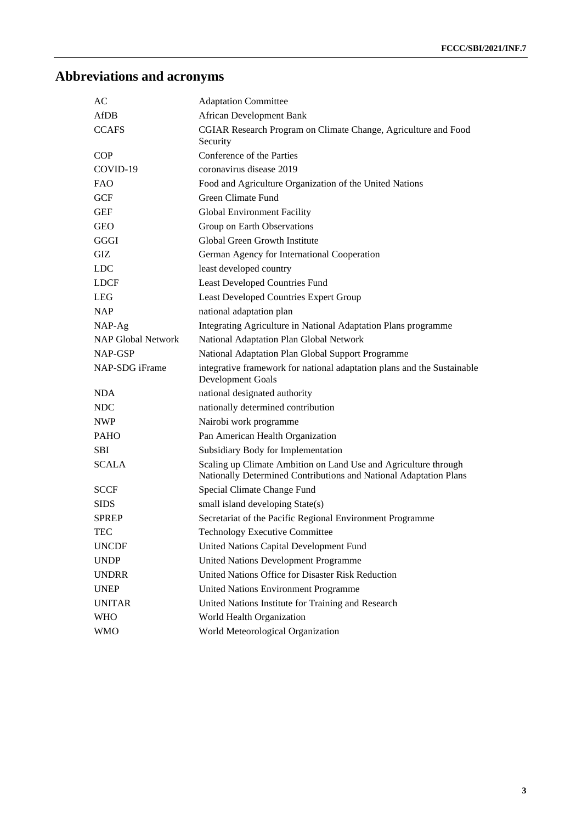# **Abbreviations and acronyms**

| AС                        | <b>Adaptation Committee</b>                                                                                                          |
|---------------------------|--------------------------------------------------------------------------------------------------------------------------------------|
| <b>AfDB</b>               | <b>African Development Bank</b>                                                                                                      |
| <b>CCAFS</b>              | CGIAR Research Program on Climate Change, Agriculture and Food<br>Security                                                           |
| <b>COP</b>                | Conference of the Parties                                                                                                            |
| COVID-19                  | coronavirus disease 2019                                                                                                             |
| FAO                       | Food and Agriculture Organization of the United Nations                                                                              |
| GCF                       | Green Climate Fund                                                                                                                   |
| <b>GEF</b>                | <b>Global Environment Facility</b>                                                                                                   |
| GEO                       | Group on Earth Observations                                                                                                          |
| GGGI                      | Global Green Growth Institute                                                                                                        |
| GIZ                       | German Agency for International Cooperation                                                                                          |
| <b>LDC</b>                | least developed country                                                                                                              |
| <b>LDCF</b>               | <b>Least Developed Countries Fund</b>                                                                                                |
| <b>LEG</b>                | <b>Least Developed Countries Expert Group</b>                                                                                        |
| <b>NAP</b>                | national adaptation plan                                                                                                             |
| NAP-Ag                    | Integrating Agriculture in National Adaptation Plans programme                                                                       |
| <b>NAP Global Network</b> | National Adaptation Plan Global Network                                                                                              |
| NAP-GSP                   | National Adaptation Plan Global Support Programme                                                                                    |
| NAP-SDG iFrame            | integrative framework for national adaptation plans and the Sustainable<br>Development Goals                                         |
| <b>NDA</b>                | national designated authority                                                                                                        |
| <b>NDC</b>                | nationally determined contribution                                                                                                   |
| <b>NWP</b>                | Nairobi work programme                                                                                                               |
| <b>PAHO</b>               | Pan American Health Organization                                                                                                     |
| <b>SBI</b>                | Subsidiary Body for Implementation                                                                                                   |
| <b>SCALA</b>              | Scaling up Climate Ambition on Land Use and Agriculture through<br>Nationally Determined Contributions and National Adaptation Plans |
| SCCF                      | Special Climate Change Fund                                                                                                          |
| <b>SIDS</b>               | small island developing State(s)                                                                                                     |
| <b>SPREP</b>              | Secretariat of the Pacific Regional Environment Programme                                                                            |
| TEC                       | <b>Technology Executive Committee</b>                                                                                                |
| <b>UNCDF</b>              | United Nations Capital Development Fund                                                                                              |
| <b>UNDP</b>               | United Nations Development Programme                                                                                                 |
| <b>UNDRR</b>              | United Nations Office for Disaster Risk Reduction                                                                                    |
| <b>UNEP</b>               | <b>United Nations Environment Programme</b>                                                                                          |
| <b>UNITAR</b>             | United Nations Institute for Training and Research                                                                                   |
| <b>WHO</b>                | World Health Organization                                                                                                            |
| <b>WMO</b>                | World Meteorological Organization                                                                                                    |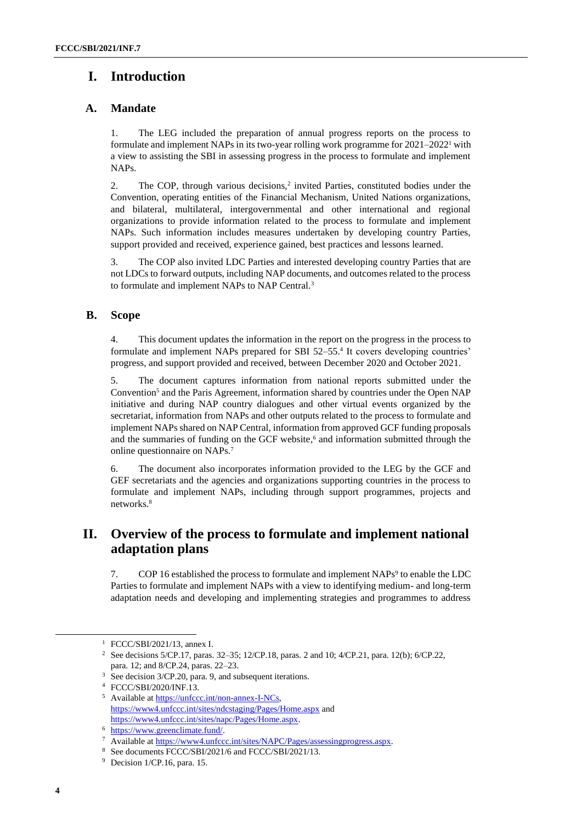## **I. Introduction**

## **A. Mandate**

1. The LEG included the preparation of annual progress reports on the process to formulate and implement NAPs in its two-year rolling work programme for 2021–2022<sup>1</sup> with a view to assisting the SBI in assessing progress in the process to formulate and implement NAPs.

2. The COP, through various decisions,<sup>2</sup> invited Parties, constituted bodies under the Convention, operating entities of the Financial Mechanism, United Nations organizations, and bilateral, multilateral, intergovernmental and other international and regional organizations to provide information related to the process to formulate and implement NAPs. Such information includes measures undertaken by developing country Parties, support provided and received, experience gained, best practices and lessons learned.

3. The COP also invited LDC Parties and interested developing country Parties that are not LDCs to forward outputs, including NAP documents, and outcomes related to the process to formulate and implement NAPs to NAP Central.<sup>3</sup>

## **B. Scope**

4. This document updates the information in the report on the progress in the process to formulate and implement NAPs prepared for SBI 52–55. 4 It covers developing countries' progress, and support provided and received, between December 2020 and October 2021.

5. The document captures information from national reports submitted under the Convention<sup>5</sup> and the Paris Agreement, information shared by countries under the Open NAP initiative and during NAP country dialogues and other virtual events organized by the secretariat, information from NAPs and other outputs related to the process to formulate and implement NAPs shared on NAP Central, information from approved GCF funding proposals and the summaries of funding on the GCF website, <sup>6</sup> and information submitted through the online questionnaire on NAPs.<sup>7</sup>

6. The document also incorporates information provided to the LEG by the GCF and GEF secretariats and the agencies and organizations supporting countries in the process to formulate and implement NAPs, including through support programmes, projects and networks.<sup>8</sup>

## **II. Overview of the process to formulate and implement national adaptation plans**

7. COP 16 established the process to formulate and implement NAPs<sup>9</sup> to enable the LDC Parties to formulate and implement NAPs with a view to identifying medium- and long-term adaptation needs and developing and implementing strategies and programmes to address

<sup>1</sup> FCCC/SBI/2021/13, annex I.

<sup>2</sup> See decisions 5/CP.17, paras. 32–35; 12/CP.18, paras. 2 and 10; 4/CP.21, para. 12(b); 6/CP.22, para. 12; and 8/CP.24, paras. 22–23.

<sup>&</sup>lt;sup>3</sup> See decision 3/CP.20, para. 9, and subsequent iterations.

<sup>4</sup> FCCC/SBI/2020/INF.13.

<sup>&</sup>lt;sup>5</sup> Available a[t https://unfccc.int/non-annex-I-NCs,](https://unfccc.int/non-annex-I-NCs) <https://www4.unfccc.int/sites/ndcstaging/Pages/Home.aspx> [a](https://www4.unfccc.int/sites/ndcstaging/Pages/Home.aspx)nd [https://www4.unfccc.int/sites/napc/Pages/Home.aspx.](https://www4.unfccc.int/sites/napc/Pages/Home.aspx) 

<sup>6</sup> [https://www.greenclimate.fund/.](https://www.greenclimate.fund/)

Available a[t https://www4.unfccc.int/sites/NAPC/Pages/assessingprogress.aspx.](https://www4.unfccc.int/sites/NAPC/Pages/assessingprogress.aspx)

<sup>8</sup> See documents FCCC/SBI/2021/6 and FCCC/SBI/2021/13.

<sup>9</sup> Decision 1/CP.16, para. 15.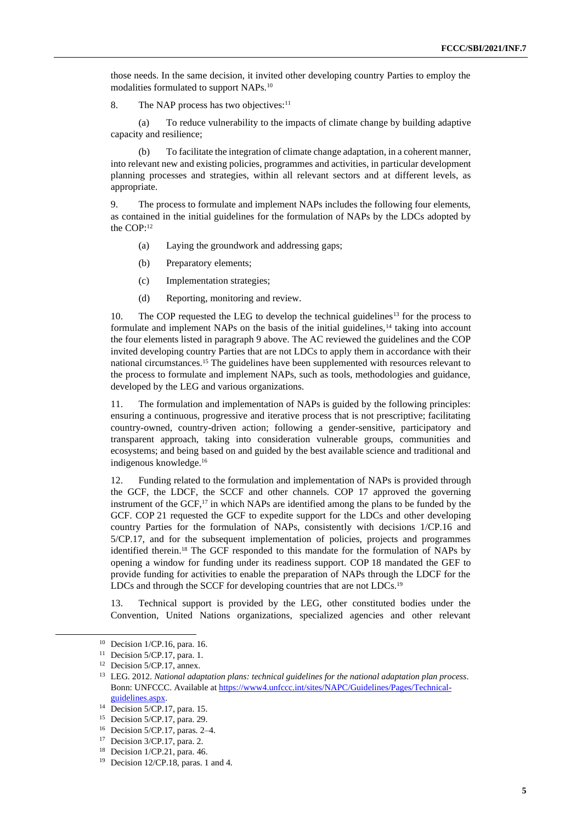those needs. In the same decision, it invited other developing country Parties to employ the modalities formulated to support NAPs.<sup>10</sup>

8. The NAP process has two objectives:<sup>11</sup>

(a) To reduce vulnerability to the impacts of climate change by building adaptive capacity and resilience;

(b) To facilitate the integration of climate change adaptation, in a coherent manner, into relevant new and existing policies, programmes and activities, in particular development planning processes and strategies, within all relevant sectors and at different levels, as appropriate.

9. The process to formulate and implement NAPs includes the following four elements, as contained in the initial guidelines for the formulation of NAPs by the LDCs adopted by the COP:<sup>12</sup>

- (a) Laying the groundwork and addressing gaps;
- (b) Preparatory elements;
- (c) Implementation strategies;
- (d) Reporting, monitoring and review.

10. The COP requested the LEG to develop the technical guidelines<sup>13</sup> for the process to formulate and implement NAPs on the basis of the initial guidelines,  $14$  taking into account the four elements listed in paragraph 9 above. The AC reviewed the guidelines and the COP invited developing country Parties that are not LDCs to apply them in accordance with their national circumstances.<sup>15</sup> The guidelines have been supplemented with resources relevant to the process to formulate and implement NAPs, such as tools, methodologies and guidance, developed by the LEG and various organizations.

11. The formulation and implementation of NAPs is guided by the following principles: ensuring a continuous, progressive and iterative process that is not prescriptive; facilitating country-owned, country-driven action; following a gender-sensitive, participatory and transparent approach, taking into consideration vulnerable groups, communities and ecosystems; and being based on and guided by the best available science and traditional and indigenous knowledge.<sup>16</sup>

12. Funding related to the formulation and implementation of NAPs is provided through the GCF, the LDCF, the SCCF and other channels. COP 17 approved the governing instrument of the GCF,<sup>17</sup> in which NAPs are identified among the plans to be funded by the GCF. COP 21 requested the GCF to expedite support for the LDCs and other developing country Parties for the formulation of NAPs, consistently with decisions 1/CP.16 and 5/CP.17, and for the subsequent implementation of policies, projects and programmes identified therein.<sup>18</sup> The GCF responded to this mandate for the formulation of NAPs by opening a window for funding under its readiness support. COP 18 mandated the GEF to provide funding for activities to enable the preparation of NAPs through the LDCF for the LDCs and through the SCCF for developing countries that are not LDCs.<sup>19</sup>

13. Technical support is provided by the LEG, other constituted bodies under the Convention, United Nations organizations, specialized agencies and other relevant

<sup>10</sup> Decision 1/CP.16, para. 16.

<sup>&</sup>lt;sup>11</sup> Decision 5/CP.17, para. 1.

<sup>12</sup> Decision 5/CP.17, annex.

<sup>13</sup> LEG. 2012. *National adaptation plans: technical guidelines for the national adaptation plan process*. Bonn: UNFCCC. Available at [https://www4.unfccc.int/sites/NAPC/Guidelines/Pages/Technical](https://www4.unfccc.int/sites/NAPC/Guidelines/Pages/Technical-guidelines.aspx)[guidelines.aspx.](https://www4.unfccc.int/sites/NAPC/Guidelines/Pages/Technical-guidelines.aspx)

<sup>14</sup> Decision 5/CP.17, para. 15.

<sup>15</sup> Decision 5/CP.17, para. 29.

<sup>16</sup> Decision 5/CP.17, paras. 2–4.

<sup>17</sup> Decision 3/CP.17, para. 2.

<sup>18</sup> Decision 1/CP.21, para. 46.

<sup>&</sup>lt;sup>19</sup> Decision 12/CP.18, paras. 1 and 4.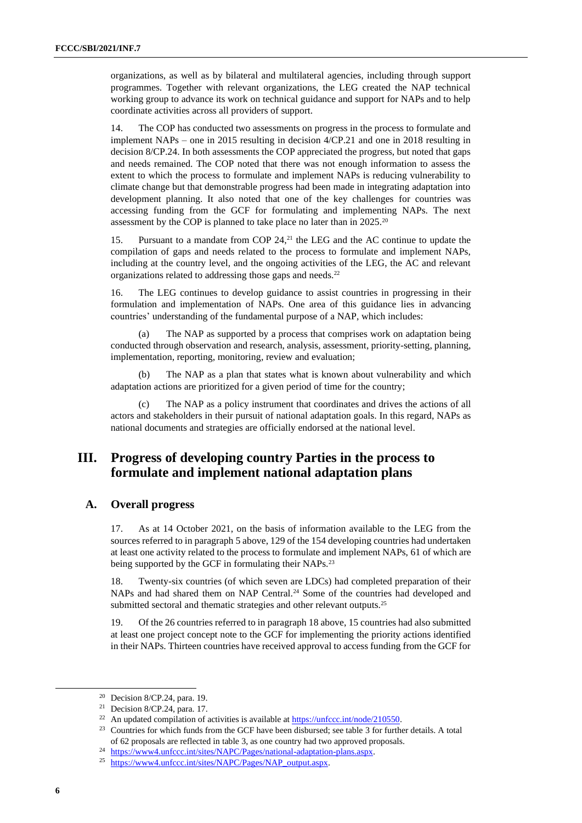organizations, as well as by bilateral and multilateral agencies, including through support programmes. Together with relevant organizations, the LEG created the NAP technical working group to advance its work on technical guidance and support for NAPs and to help coordinate activities across all providers of support.

14. The COP has conducted two assessments on progress in the process to formulate and implement NAPs – one in 2015 resulting in decision 4/CP.21 and one in 2018 resulting in decision 8/CP.24. In both assessments the COP appreciated the progress, but noted that gaps and needs remained. The COP noted that there was not enough information to assess the extent to which the process to formulate and implement NAPs is reducing vulnerability to climate change but that demonstrable progress had been made in integrating adaptation into development planning. It also noted that one of the key challenges for countries was accessing funding from the GCF for formulating and implementing NAPs. The next assessment by the COP is planned to take place no later than in 2025.<sup>20</sup>

15. Pursuant to a mandate from COP 24,<sup>21</sup> the LEG and the AC continue to update the compilation of gaps and needs related to the process to formulate and implement NAPs, including at the country level, and the ongoing activities of the LEG, the AC and relevant organizations related to addressing those gaps and needs.<sup>22</sup>

16. The LEG continues to develop guidance to assist countries in progressing in their formulation and implementation of NAPs. One area of this guidance lies in advancing countries' understanding of the fundamental purpose of a NAP, which includes:

(a) The NAP as supported by a process that comprises work on adaptation being conducted through observation and research, analysis, assessment, priority-setting, planning, implementation, reporting, monitoring, review and evaluation;

(b) The NAP as a plan that states what is known about vulnerability and which adaptation actions are prioritized for a given period of time for the country;

The NAP as a policy instrument that coordinates and drives the actions of all actors and stakeholders in their pursuit of national adaptation goals. In this regard, NAPs as national documents and strategies are officially endorsed at the national level.

## **III. Progress of developing country Parties in the process to formulate and implement national adaptation plans**

#### **A. Overall progress**

17. As at 14 October 2021, on the basis of information available to the LEG from the sources referred to in paragraph 5 above, 129 of the 154 developing countries had undertaken at least one activity related to the process to formulate and implement NAPs, 61 of which are being supported by the GCF in formulating their NAPs.<sup>23</sup>

18. Twenty-six countries (of which seven are LDCs) had completed preparation of their NAPs and had shared them on NAP Central.<sup>24</sup> Some of the countries had developed and submitted sectoral and thematic strategies and other relevant outputs.<sup>25</sup>

19. Of the 26 countries referred to in paragraph 18 above, 15 countries had also submitted at least one project concept note to the GCF for implementing the priority actions identified in their NAPs. Thirteen countries have received approval to access funding from the GCF for

<sup>20</sup> Decision 8/CP.24, para. 19.

<sup>21</sup> Decision 8/CP.24, para. 17.

<sup>&</sup>lt;sup>22</sup> An updated compilation of activities is available at  $\frac{https://unfcc.int/node/210550}{https://unfcc.int/node/210550}$ .

<sup>&</sup>lt;sup>23</sup> Countries for which funds from the GCF have been disbursed; see table 3 for further details. A total of 62 proposals are reflected in table 3, as one country had two approved proposals.

<sup>&</sup>lt;sup>24</sup> [https://www4.unfccc.int/sites/NAPC/Pages/national-adaptation-plans.aspx.](https://www4.unfccc.int/sites/NAPC/Pages/national-adaptation-plans.aspx)

<sup>&</sup>lt;sup>25</sup> [https://www4.unfccc.int/sites/NAPC/Pages/NAP\\_output.aspx.](https://www4.unfccc.int/sites/NAPC/Pages/NAP_output.aspx)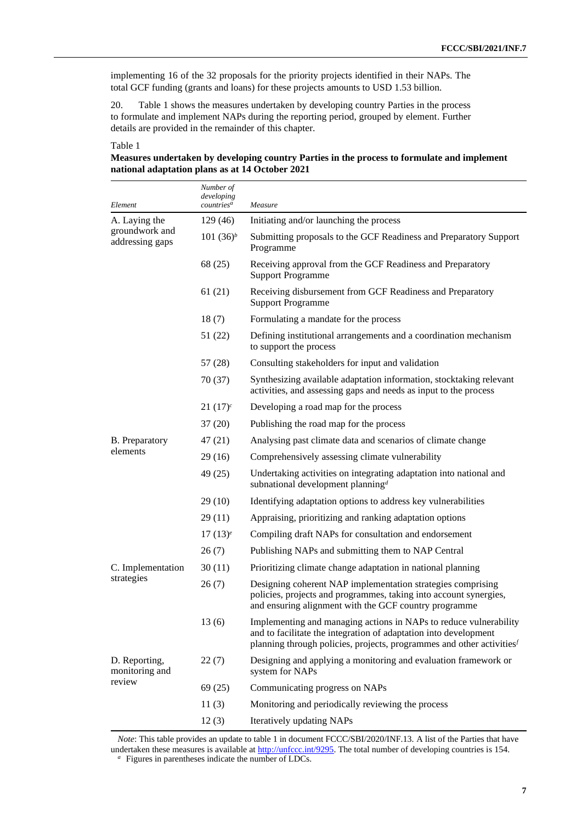implementing 16 of the 32 proposals for the priority projects identified in their NAPs. The total GCF funding (grants and loans) for these projects amounts to USD 1.53 billion.

20. Table 1 shows the measures undertaken by developing country Parties in the process to formulate and implement NAPs during the reporting period, grouped by element. Further details are provided in the remainder of this chapter.

#### Table 1

#### **Measures undertaken by developing country Parties in the process to formulate and implement national adaptation plans as at 14 October 2021**

| Element                           | Number of<br>developing<br>countries <sup>a</sup> | Measure                                                                                                                                                                                                                    |
|-----------------------------------|---------------------------------------------------|----------------------------------------------------------------------------------------------------------------------------------------------------------------------------------------------------------------------------|
| A. Laying the                     | 129 (46)                                          | Initiating and/or launching the process                                                                                                                                                                                    |
| groundwork and<br>addressing gaps | 101 $(36)^b$                                      | Submitting proposals to the GCF Readiness and Preparatory Support<br>Programme                                                                                                                                             |
|                                   | 68 (25)                                           | Receiving approval from the GCF Readiness and Preparatory<br><b>Support Programme</b>                                                                                                                                      |
|                                   | 61(21)                                            | Receiving disbursement from GCF Readiness and Preparatory<br><b>Support Programme</b>                                                                                                                                      |
|                                   | 18(7)                                             | Formulating a mandate for the process                                                                                                                                                                                      |
|                                   | 51 (22)                                           | Defining institutional arrangements and a coordination mechanism<br>to support the process                                                                                                                                 |
|                                   | 57 (28)                                           | Consulting stakeholders for input and validation                                                                                                                                                                           |
|                                   | 70 (37)                                           | Synthesizing available adaptation information, stocktaking relevant<br>activities, and assessing gaps and needs as input to the process                                                                                    |
|                                   | $21(17)^c$                                        | Developing a road map for the process                                                                                                                                                                                      |
|                                   | 37(20)                                            | Publishing the road map for the process                                                                                                                                                                                    |
| <b>B.</b> Preparatory             | 47 (21)                                           | Analysing past climate data and scenarios of climate change                                                                                                                                                                |
| elements                          | 29(16)                                            | Comprehensively assessing climate vulnerability                                                                                                                                                                            |
|                                   | 49 (25)                                           | Undertaking activities on integrating adaptation into national and<br>subnational development planning <sup>d</sup>                                                                                                        |
|                                   | 29(10)                                            | Identifying adaptation options to address key vulnerabilities                                                                                                                                                              |
|                                   | 29(11)                                            | Appraising, prioritizing and ranking adaptation options                                                                                                                                                                    |
|                                   | $17(13)^e$                                        | Compiling draft NAPs for consultation and endorsement                                                                                                                                                                      |
|                                   | 26(7)                                             | Publishing NAPs and submitting them to NAP Central                                                                                                                                                                         |
| C. Implementation                 | 30(11)                                            | Prioritizing climate change adaptation in national planning                                                                                                                                                                |
| strategies                        | 26(7)                                             | Designing coherent NAP implementation strategies comprising<br>policies, projects and programmes, taking into account synergies,<br>and ensuring alignment with the GCF country programme                                  |
|                                   | 13(6)                                             | Implementing and managing actions in NAPs to reduce vulnerability<br>and to facilitate the integration of adaptation into development<br>planning through policies, projects, programmes and other activities <sup>f</sup> |
| D. Reporting,<br>monitoring and   | 22(7)                                             | Designing and applying a monitoring and evaluation framework or<br>system for NAPs                                                                                                                                         |
| review                            | 69 (25)                                           | Communicating progress on NAPs                                                                                                                                                                                             |
|                                   | 11(3)                                             | Monitoring and periodically reviewing the process                                                                                                                                                                          |
|                                   | 12(3)                                             | Iteratively updating NAPs                                                                                                                                                                                                  |

*Note*: This table provides an update to table 1 in document FCCC/SBI/2020/INF.13. A list of the Parties that have undertaken these measures is available at [http://unfccc.int/9295.](http://unfccc.int/9295) The total number of developing countries is 154. *a* Figures in parentheses indicate the number of LDCs.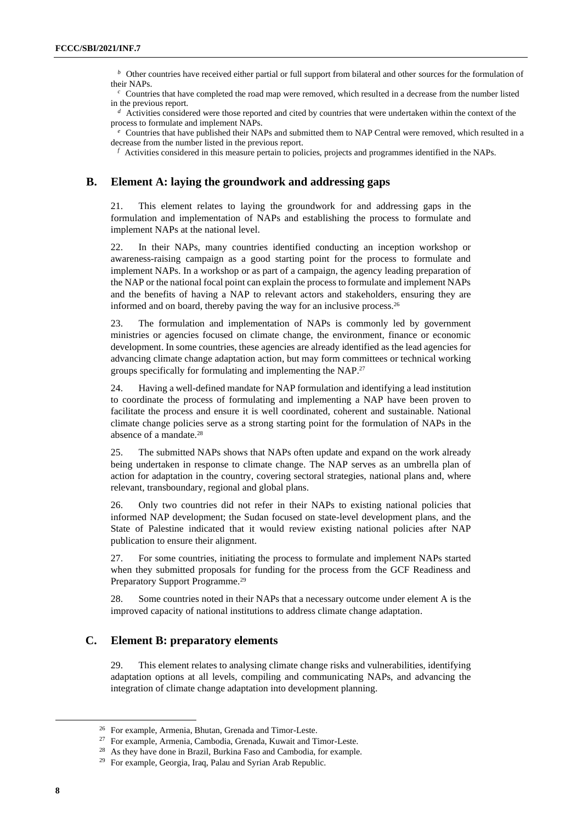*b* Other countries have received either partial or full support from bilateral and other sources for the formulation of their NAPs.

 $c^c$  Countries that have completed the road map were removed, which resulted in a decrease from the number listed in the previous report.

<sup>*d*</sup> Activities considered were those reported and cited by countries that were undertaken within the context of the process to formulate and implement NAPs.

 $e$  Countries that have published their NAPs and submitted them to NAP Central were removed, which resulted in a decrease from the number listed in the previous report.

 $f$  Activities considered in this measure pertain to policies, projects and programmes identified in the NAPs.

#### **B. Element A: laying the groundwork and addressing gaps**

21. This element relates to laying the groundwork for and addressing gaps in the formulation and implementation of NAPs and establishing the process to formulate and implement NAPs at the national level.

22. In their NAPs, many countries identified conducting an inception workshop or awareness-raising campaign as a good starting point for the process to formulate and implement NAPs. In a workshop or as part of a campaign, the agency leading preparation of the NAP or the national focal point can explain the process to formulate and implement NAPs and the benefits of having a NAP to relevant actors and stakeholders, ensuring they are informed and on board, thereby paving the way for an inclusive process.<sup>26</sup>

23. The formulation and implementation of NAPs is commonly led by government ministries or agencies focused on climate change, the environment, finance or economic development. In some countries, these agencies are already identified as the lead agencies for advancing climate change adaptation action, but may form committees or technical working groups specifically for formulating and implementing the NAP.<sup>27</sup>

24. Having a well-defined mandate for NAP formulation and identifying a lead institution to coordinate the process of formulating and implementing a NAP have been proven to facilitate the process and ensure it is well coordinated, coherent and sustainable. National climate change policies serve as a strong starting point for the formulation of NAPs in the absence of a mandate.<sup>28</sup>

25. The submitted NAPs shows that NAPs often update and expand on the work already being undertaken in response to climate change. The NAP serves as an umbrella plan of action for adaptation in the country, covering sectoral strategies, national plans and, where relevant, transboundary, regional and global plans.

26. Only two countries did not refer in their NAPs to existing national policies that informed NAP development; the Sudan focused on state-level development plans, and the State of Palestine indicated that it would review existing national policies after NAP publication to ensure their alignment.

27. For some countries, initiating the process to formulate and implement NAPs started when they submitted proposals for funding for the process from the GCF Readiness and Preparatory Support Programme.<sup>29</sup>

28. Some countries noted in their NAPs that a necessary outcome under element A is the improved capacity of national institutions to address climate change adaptation.

### **C. Element B: preparatory elements**

29. This element relates to analysing climate change risks and vulnerabilities, identifying adaptation options at all levels, compiling and communicating NAPs, and advancing the integration of climate change adaptation into development planning.

<sup>26</sup> For example, Armenia, Bhutan, Grenada and Timor-Leste.

<sup>27</sup> For example, Armenia, Cambodia, Grenada, Kuwait and Timor-Leste.

<sup>&</sup>lt;sup>28</sup> As they have done in Brazil, Burkina Faso and Cambodia, for example.

<sup>29</sup> For example, Georgia, Iraq, Palau and Syrian Arab Republic.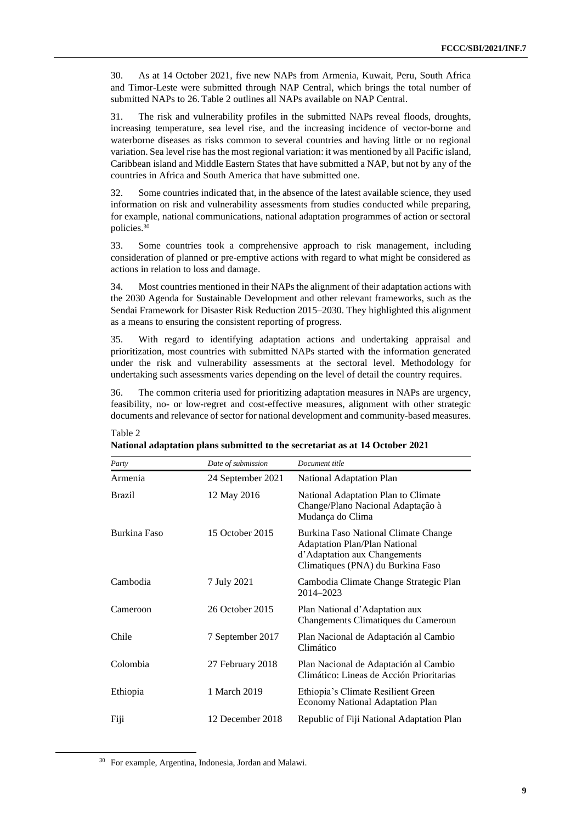30. As at 14 October 2021, five new NAPs from Armenia, Kuwait, Peru, South Africa and Timor-Leste were submitted through NAP Central, which brings the total number of submitted NAPs to 26. Table 2 outlines all NAPs available on NAP Central.

31. The risk and vulnerability profiles in the submitted NAPs reveal floods, droughts, increasing temperature, sea level rise, and the increasing incidence of vector-borne and waterborne diseases as risks common to several countries and having little or no regional variation. Sea level rise hasthe most regional variation: it was mentioned by all Pacific island, Caribbean island and Middle Eastern States that have submitted a NAP, but not by any of the countries in Africa and South America that have submitted one.

32. Some countries indicated that, in the absence of the latest available science, they used information on risk and vulnerability assessments from studies conducted while preparing, for example, national communications, national adaptation programmes of action or sectoral policies.<sup>30</sup>

33. Some countries took a comprehensive approach to risk management, including consideration of planned or pre-emptive actions with regard to what might be considered as actions in relation to loss and damage.

34. Most countries mentioned in their NAPs the alignment of their adaptation actions with the 2030 Agenda for Sustainable Development and other relevant frameworks, such as the Sendai Framework for Disaster Risk Reduction 2015–2030. They highlighted this alignment as a means to ensuring the consistent reporting of progress.

35. With regard to identifying adaptation actions and undertaking appraisal and prioritization, most countries with submitted NAPs started with the information generated under the risk and vulnerability assessments at the sectoral level. Methodology for undertaking such assessments varies depending on the level of detail the country requires.

36. The common criteria used for prioritizing adaptation measures in NAPs are urgency, feasibility, no- or low-regret and cost-effective measures, alignment with other strategic documents and relevance of sector for national development and community-based measures.

| Party         | Date of submission | Document title                                                                                                                                    |
|---------------|--------------------|---------------------------------------------------------------------------------------------------------------------------------------------------|
| Armenia       | 24 September 2021  | National Adaptation Plan                                                                                                                          |
| <b>Brazil</b> | 12 May 2016        | National Adaptation Plan to Climate<br>Change/Plano Nacional Adaptação à<br>Mudança do Clima                                                      |
| Burkina Faso  | 15 October 2015    | Burkina Faso National Climate Change<br><b>Adaptation Plan/Plan National</b><br>d'Adaptation aux Changements<br>Climatiques (PNA) du Burkina Faso |
| Cambodia      | 7 July 2021        | Cambodia Climate Change Strategic Plan<br>2014-2023                                                                                               |
| Cameroon      | 26 October 2015    | Plan National d'Adaptation aux<br>Changements Climatiques du Cameroun                                                                             |
| Chile         | 7 September 2017   | Plan Nacional de Adaptación al Cambio<br>Climático                                                                                                |
| Colombia      | 27 February 2018   | Plan Nacional de Adaptación al Cambio<br>Climático: Lineas de Acción Prioritarias                                                                 |
| Ethiopia      | 1 March 2019       | Ethiopia's Climate Resilient Green<br><b>Economy National Adaptation Plan</b>                                                                     |
| Fiji          | 12 December 2018   | Republic of Fiji National Adaptation Plan                                                                                                         |

**National adaptation plans submitted to the secretariat as at 14 October 2021**

Table 2

<sup>30</sup> For example, Argentina, Indonesia, Jordan and Malawi.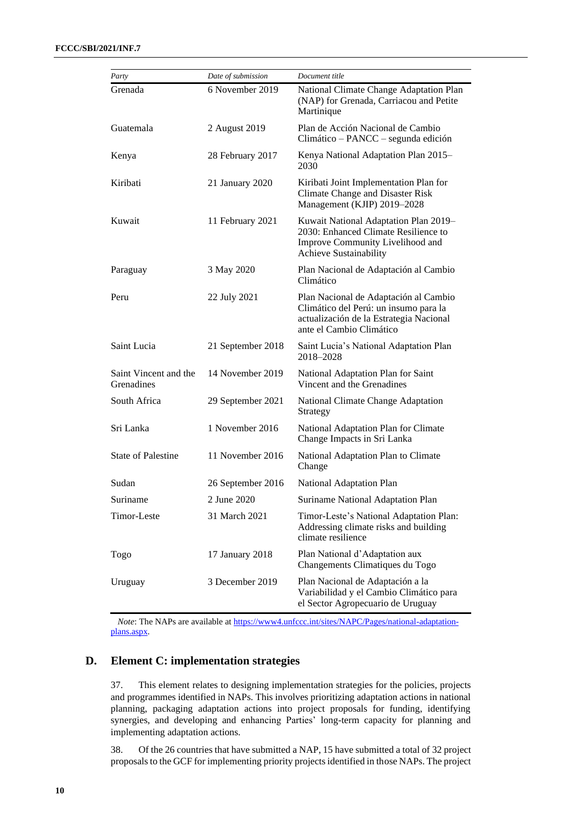| Party                               | Date of submission | Document title                                                                                                                                        |
|-------------------------------------|--------------------|-------------------------------------------------------------------------------------------------------------------------------------------------------|
| Grenada                             | 6 November 2019    | National Climate Change Adaptation Plan<br>(NAP) for Grenada, Carriacou and Petite<br>Martinique                                                      |
| Guatemala                           | 2 August 2019      | Plan de Acción Nacional de Cambio<br>$Climático - PANCE - segunda edición$                                                                            |
| Kenya                               | 28 February 2017   | Kenya National Adaptation Plan 2015-<br>2030                                                                                                          |
| Kiribati                            | 21 January 2020    | Kiribati Joint Implementation Plan for<br>Climate Change and Disaster Risk<br>Management (KJIP) 2019-2028                                             |
| Kuwait                              | 11 February 2021   | Kuwait National Adaptation Plan 2019-<br>2030: Enhanced Climate Resilience to<br>Improve Community Livelihood and<br>Achieve Sustainability           |
| Paraguay                            | 3 May 2020         | Plan Nacional de Adaptación al Cambio<br>Climático                                                                                                    |
| Peru                                | 22 July 2021       | Plan Nacional de Adaptación al Cambio<br>Climático del Perú: un insumo para la<br>actualización de la Estrategia Nacional<br>ante el Cambio Climático |
| Saint Lucia                         | 21 September 2018  | Saint Lucia's National Adaptation Plan<br>2018–2028                                                                                                   |
| Saint Vincent and the<br>Grenadines | 14 November 2019   | National Adaptation Plan for Saint<br>Vincent and the Grenadines                                                                                      |
| South Africa                        | 29 September 2021  | National Climate Change Adaptation<br>Strategy                                                                                                        |
| Sri Lanka                           | 1 November 2016    | National Adaptation Plan for Climate<br>Change Impacts in Sri Lanka                                                                                   |
| <b>State of Palestine</b>           | 11 November 2016   | National Adaptation Plan to Climate<br>Change                                                                                                         |
| Sudan                               | 26 September 2016  | National Adaptation Plan                                                                                                                              |
| Suriname                            | 2 June 2020        | Suriname National Adaptation Plan                                                                                                                     |
| Timor-Leste                         | 31 March 2021      | Timor-Leste's National Adaptation Plan:<br>Addressing climate risks and building<br>climate resilience                                                |
| Togo                                | 17 January 2018    | Plan National d'Adaptation aux<br>Changements Climatiques du Togo                                                                                     |
| Uruguay                             | 3 December 2019    | Plan Nacional de Adaptación a la<br>Variabilidad y el Cambio Climático para<br>el Sector Agropecuario de Uruguay                                      |

*Note*: The NAPs are available at [https://www4.unfccc.int/sites/NAPC/Pages/national-adaptation](https://www4.unfccc.int/sites/NAPC/Pages/national-adaptation-plans.aspx)[plans.aspx.](https://www4.unfccc.int/sites/NAPC/Pages/national-adaptation-plans.aspx)

### **D. Element C: implementation strategies**

37. This element relates to designing implementation strategies for the policies, projects and programmes identified in NAPs. This involves prioritizing adaptation actions in national planning, packaging adaptation actions into project proposals for funding, identifying synergies, and developing and enhancing Parties' long-term capacity for planning and implementing adaptation actions.

38. Of the 26 countries that have submitted a NAP, 15 have submitted a total of 32 project proposals to the GCF for implementing priority projects identified in those NAPs. The project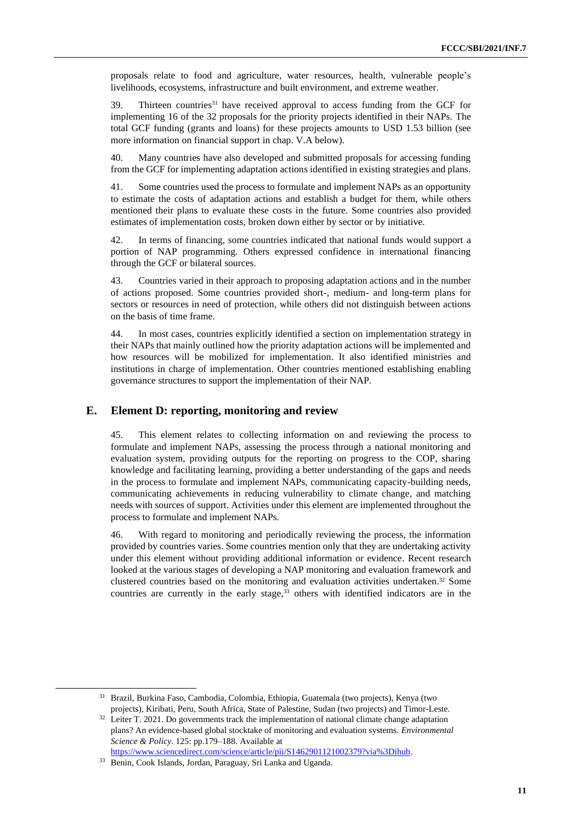proposals relate to food and agriculture, water resources, health, vulnerable people's livelihoods, ecosystems, infrastructure and built environment, and extreme weather.

39. Thirteen countries<sup>31</sup> have received approval to access funding from the GCF for implementing 16 of the 32 proposals for the priority projects identified in their NAPs. The total GCF funding (grants and loans) for these projects amounts to USD 1.53 billion (see more information on financial support in chap. V.A below).

40. Many countries have also developed and submitted proposals for accessing funding from the GCF for implementing adaptation actions identified in existing strategies and plans.

41. Some countries used the process to formulate and implement NAPs as an opportunity to estimate the costs of adaptation actions and establish a budget for them, while others mentioned their plans to evaluate these costs in the future. Some countries also provided estimates of implementation costs, broken down either by sector or by initiative.

42. In terms of financing, some countries indicated that national funds would support a portion of NAP programming. Others expressed confidence in international financing through the GCF or bilateral sources.

43. Countries varied in their approach to proposing adaptation actions and in the number of actions proposed. Some countries provided short-, medium- and long-term plans for sectors or resources in need of protection, while others did not distinguish between actions on the basis of time frame.

44. In most cases, countries explicitly identified a section on implementation strategy in their NAPs that mainly outlined how the priority adaptation actions will be implemented and how resources will be mobilized for implementation. It also identified ministries and institutions in charge of implementation. Other countries mentioned establishing enabling governance structures to support the implementation of their NAP.

#### **E. Element D: reporting, monitoring and review**

45. This element relates to collecting information on and reviewing the process to formulate and implement NAPs, assessing the process through a national monitoring and evaluation system, providing outputs for the reporting on progress to the COP, sharing knowledge and facilitating learning, providing a better understanding of the gaps and needs in the process to formulate and implement NAPs, communicating capacity-building needs, communicating achievements in reducing vulnerability to climate change, and matching needs with sources of support. Activities under this element are implemented throughout the process to formulate and implement NAPs.

46. With regard to monitoring and periodically reviewing the process, the information provided by countries varies. Some countries mention only that they are undertaking activity under this element without providing additional information or evidence. Recent research looked at the various stages of developing a NAP monitoring and evaluation framework and clustered countries based on the monitoring and evaluation activities undertaken. <sup>32</sup> Some countries are currently in the early stage, <sup>33</sup> others with identified indicators are in the

<sup>31</sup> Brazil, Burkina Faso, Cambodia, Colombia, Ethiopia, Guatemala (two projects), Kenya (two projects), Kiribati, Peru, South Africa, State of Palestine, Sudan (two projects) and Timor-Leste.

<sup>&</sup>lt;sup>32</sup> Leiter T. 2021. Do governments track the implementation of national climate change adaptation plans? An evidence-based global stocktake of monitoring and evaluation systems. *Environmental Science & Policy*. 125: pp.179–188. Available at [https://www.sciencedirect.com/science/article/pii/S1462901121002379?via%3Dihub.](https://www.sciencedirect.com/science/article/pii/S1462901121002379?via%3Dihub)

<sup>33</sup> Benin, Cook Islands, Jordan, Paraguay, Sri Lanka and Uganda.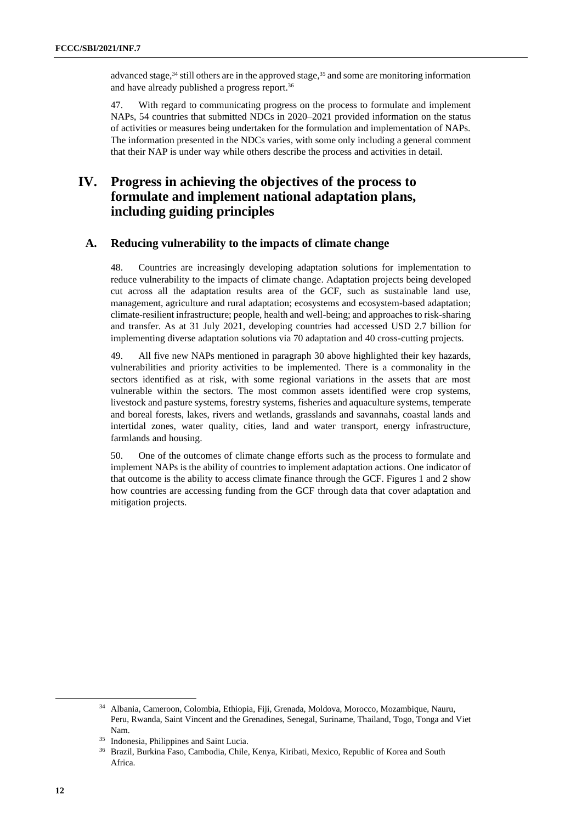advanced stage,<sup>34</sup> still others are in the approved stage,<sup>35</sup> and some are monitoring information and have already published a progress report. 36

47. With regard to communicating progress on the process to formulate and implement NAPs, 54 countries that submitted NDCs in 2020–2021 provided information on the status of activities or measures being undertaken for the formulation and implementation of NAPs. The information presented in the NDCs varies, with some only including a general comment that their NAP is under way while others describe the process and activities in detail.

## **IV. Progress in achieving the objectives of the process to formulate and implement national adaptation plans, including guiding principles**

#### **A. Reducing vulnerability to the impacts of climate change**

48. Countries are increasingly developing adaptation solutions for implementation to reduce vulnerability to the impacts of climate change. Adaptation projects being developed cut across all the adaptation results area of the GCF, such as sustainable land use, management, agriculture and rural adaptation; ecosystems and ecosystem-based adaptation; climate-resilient infrastructure; people, health and well-being; and approaches to risk-sharing and transfer. As at 31 July 2021, developing countries had accessed USD 2.7 billion for implementing diverse adaptation solutions via 70 adaptation and 40 cross-cutting projects.

49. All five new NAPs mentioned in paragraph 30 above highlighted their key hazards, vulnerabilities and priority activities to be implemented. There is a commonality in the sectors identified as at risk, with some regional variations in the assets that are most vulnerable within the sectors. The most common assets identified were crop systems, livestock and pasture systems, forestry systems, fisheries and aquaculture systems, temperate and boreal forests, lakes, rivers and wetlands, grasslands and savannahs, coastal lands and intertidal zones, water quality, cities, land and water transport, energy infrastructure, farmlands and housing.

50. One of the outcomes of climate change efforts such as the process to formulate and implement NAPs is the ability of countries to implement adaptation actions. One indicator of that outcome is the ability to access climate finance through the GCF. Figures 1 and 2 show how countries are accessing funding from the GCF through data that cover adaptation and mitigation projects.

<sup>34</sup> Albania, Cameroon, Colombia, Ethiopia, Fiji, Grenada, Moldova, Morocco, Mozambique, Nauru, Peru, Rwanda, Saint Vincent and the Grenadines, Senegal, Suriname, Thailand, Togo, Tonga and Viet Nam.

Indonesia, Philippines and Saint Lucia.

<sup>36</sup> Brazil, Burkina Faso, Cambodia, Chile, Kenya, Kiribati, Mexico, Republic of Korea and South Africa.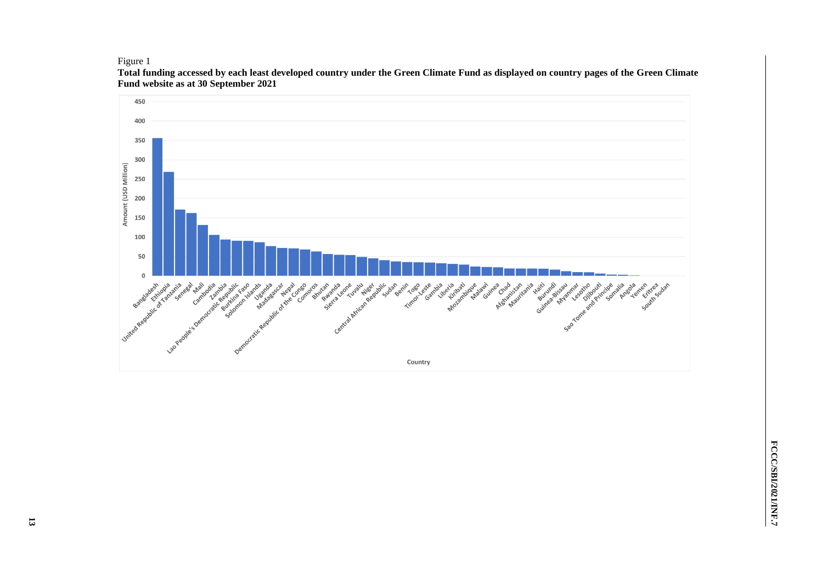Figure 1



**Total funding accessed by each least developed country under the Green Climate Fund as displayed on country pages of the Green Climate Fund website as at 30 September 2021**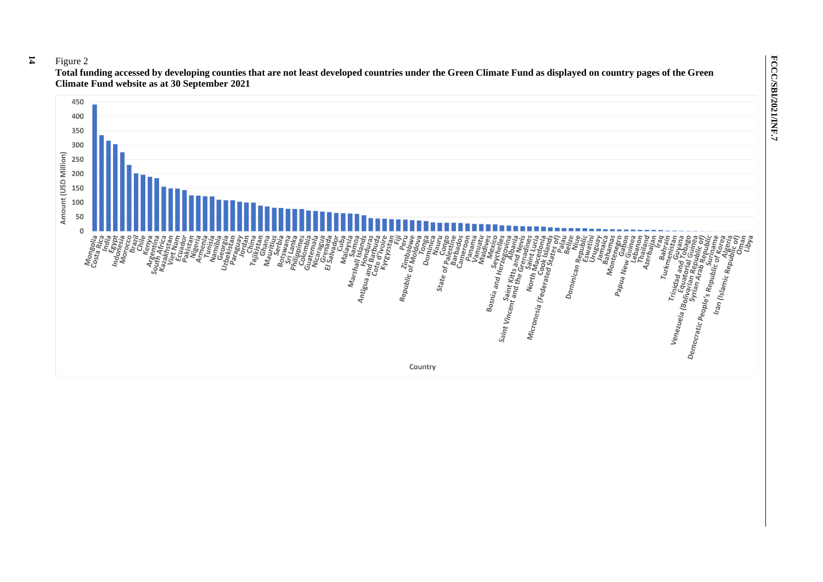450 400 350 300 250 200 150 100 50  $\Omega$ Mongolia<br>Costa bilia *Position and the contract of the contract of the contract of the contract of the contract of the contract of the contract of the contract of the contract of the contract of the contract of the contract of the contract of* 1936 Arty<br>Prince Pue <sup>eng</sup>iuty<br>Uniped Pue engiuty<br>Uniped Pue engiuty<br>Uniped Pue<br>Shele<sub>M</sub> oration<br>State of palest<br>Joy Lages<br>State of palest<br>State of palest<br>State of palest ra<br>Bel<br>Dominican Repul<br>Estud inin'i Vallande<br>1990<br>1990<br>Ally Villow Malay Republic of Imbab<br>Aepublic of Mold<br>Mold  $B_{ab}$ n Baha<br>Monta<br>Monta Azerba<br>Azerba ing)<br>Iran (Islamic Republic<br>In (Islamic Republic<br>Alud  $D_{\mathbf{0}\eta}$ Bosnia and Herzeg<br>Seyel pue endo<br>Sexel riang apply the turn of the September of the September of the September of the September of the September of the September of the September of the September of the September of the September of the September of the Septemb England of the Morth Marin<br>Indian Martin Martin<br>Indoo<br>Indian Martin Martin Martin Martin Martin Martin Martin Martin Martin Martin Martin Martin Martin Marti Trinidad<br>Tom Equatoring<br>The Peping<br>Suratian Stal G Ao Jiquayisi<br>Pemocratic People's Republic Charles<br>Part A Republic Republic Charles<br>Pemocratic People's Republic of<br>Iran <sub>Inc.</sub>  $r_{\pmb{\mathsf{u}}_{\pmb{\mathsf{r}} \pmb{\mathsf{k}} \pmb{\mathsf{r}} \pmb{\mathsf{n}} \pmb{\mathsf{e}}}}$ ng<br>Menezuela (Bojinarian di Panzaua)<br>1 Angles Ludwin (Bojinarian di Panzaua)<br>1 Angles Ludwin (Bojinarian di Panzaua)<br>1 Angles Roman di Panzaua)

Country

**FCCC/SBI/2021/INF.7**

FCCC/SBI/2021/INF.7

**Total funding accessed by developing counties that are not least developed countries under the Green Climate Fund as displayed on country pages of the Green Climate Fund website as at 30 September 2021**

#### **14** Figure 2

Amount (USD Million)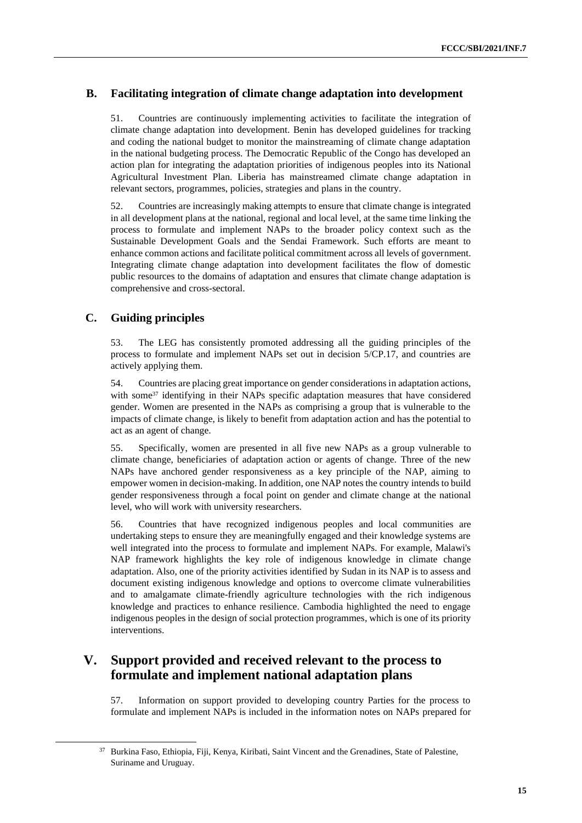## **B. Facilitating integration of climate change adaptation into development**

51. Countries are continuously implementing activities to facilitate the integration of climate change adaptation into development. Benin has developed guidelines for tracking and coding the national budget to monitor the mainstreaming of climate change adaptation in the national budgeting process. The Democratic Republic of the Congo has developed an action plan for integrating the adaptation priorities of indigenous peoples into its National Agricultural Investment Plan. Liberia has mainstreamed climate change adaptation in relevant sectors, programmes, policies, strategies and plans in the country.

52. Countries are increasingly making attempts to ensure that climate change is integrated in all development plans at the national, regional and local level, at the same time linking the process to formulate and implement NAPs to the broader policy context such as the Sustainable Development Goals and the Sendai Framework. Such efforts are meant to enhance common actions and facilitate political commitment across all levels of government. Integrating climate change adaptation into development facilitates the flow of domestic public resources to the domains of adaptation and ensures that climate change adaptation is comprehensive and cross-sectoral.

## **C. Guiding principles**

53. The LEG has consistently promoted addressing all the guiding principles of the process to formulate and implement NAPs set out in decision 5/CP.17, and countries are actively applying them.

54. Countries are placing great importance on gender considerations in adaptation actions, with some<sup>37</sup> identifying in their NAPs specific adaptation measures that have considered gender. Women are presented in the NAPs as comprising a group that is vulnerable to the impacts of climate change, is likely to benefit from adaptation action and has the potential to act as an agent of change.

55. Specifically, women are presented in all five new NAPs as a group vulnerable to climate change, beneficiaries of adaptation action or agents of change. Three of the new NAPs have anchored gender responsiveness as a key principle of the NAP, aiming to empower women in decision-making. In addition, one NAP notes the country intends to build gender responsiveness through a focal point on gender and climate change at the national level, who will work with university researchers.

56. Countries that have recognized indigenous peoples and local communities are undertaking steps to ensure they are meaningfully engaged and their knowledge systems are well integrated into the process to formulate and implement NAPs. For example, Malawi's NAP framework highlights the key role of indigenous knowledge in climate change adaptation. Also, one of the priority activities identified by Sudan in its NAP is to assess and document existing indigenous knowledge and options to overcome climate vulnerabilities and to amalgamate climate-friendly agriculture technologies with the rich indigenous knowledge and practices to enhance resilience. Cambodia highlighted the need to engage indigenous peoples in the design of social protection programmes, which is one of its priority interventions.

## **V. Support provided and received relevant to the process to formulate and implement national adaptation plans**

57. Information on support provided to developing country Parties for the process to formulate and implement NAPs is included in the information notes on NAPs prepared for

<sup>37</sup> Burkina Faso, Ethiopia, Fiji, Kenya, Kiribati, Saint Vincent and the Grenadines, State of Palestine, Suriname and Uruguay.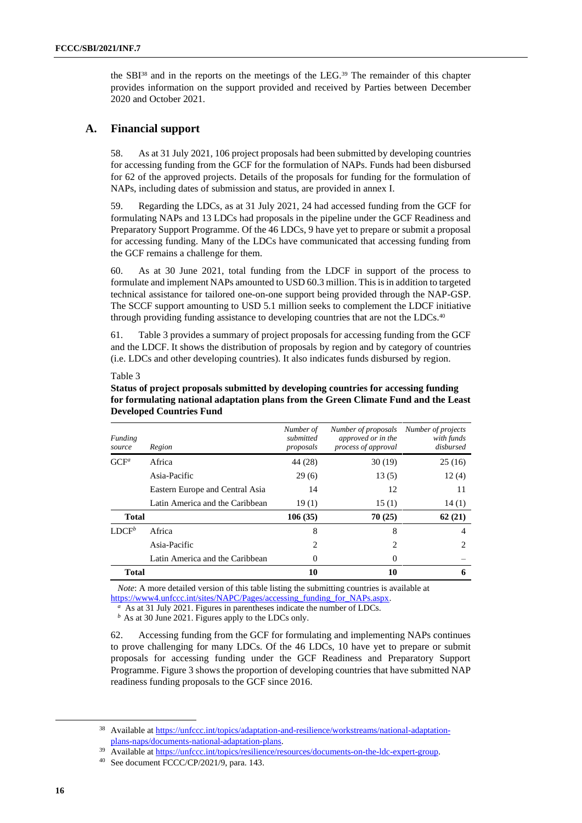the  $SBI^{38}$  and in the reports on the meetings of the LEG.<sup>39</sup> The remainder of this chapter provides information on the support provided and received by Parties between December 2020 and October 2021.

## **A. Financial support**

58. As at 31 July 2021, 106 project proposals had been submitted by developing countries for accessing funding from the GCF for the formulation of NAPs. Funds had been disbursed for 62 of the approved projects. Details of the proposals for funding for the formulation of NAPs, including dates of submission and status, are provided in annex I.

59. Regarding the LDCs, as at 31 July 2021, 24 had accessed funding from the GCF for formulating NAPs and 13 LDCs had proposals in the pipeline under the GCF Readiness and Preparatory Support Programme. Of the 46 LDCs, 9 have yet to prepare or submit a proposal for accessing funding. Many of the LDCs have communicated that accessing funding from the GCF remains a challenge for them.

60. As at 30 June 2021, total funding from the LDCF in support of the process to formulate and implement NAPs amounted to USD 60.3 million. This is in addition to targeted technical assistance for tailored one-on-one support being provided through the NAP-GSP. The SCCF support amounting to USD 5.1 million seeks to complement the LDCF initiative through providing funding assistance to developing countries that are not the LDCs.<sup>40</sup>

61. Table 3 provides a summary of project proposals for accessing funding from the GCF and the LDCF. It shows the distribution of proposals by region and by category of countries (i.e. LDCs and other developing countries). It also indicates funds disbursed by region.

| Funding<br>source | Region                          | Number of<br>submitted<br>proposals | Number of proposals<br>approved or in the<br>process of approval | Number of projects<br>with funds<br>disbursed |
|-------------------|---------------------------------|-------------------------------------|------------------------------------------------------------------|-----------------------------------------------|
| $GCF^a$           | Africa                          | 44 (28)                             | 30(19)                                                           | 25(16)                                        |
|                   | Asia-Pacific                    | 29(6)                               | 13(5)                                                            | 12(4)                                         |
|                   | Eastern Europe and Central Asia | 14                                  | 12                                                               | 11                                            |
|                   | Latin America and the Caribbean | 19(1)                               | 15(1)                                                            | 14(1)                                         |
| <b>Total</b>      |                                 | 106(35)                             | 70(25)                                                           | 62(21)                                        |
| $LDCF^b$          | Africa                          | 8                                   | 8                                                                | 4                                             |
|                   | Asia-Pacific                    | 2                                   | 2                                                                |                                               |
|                   | Latin America and the Caribbean | $\theta$                            | $\Omega$                                                         |                                               |
| <b>Total</b>      |                                 | 10                                  | 10                                                               | 6                                             |

Table 3

**Status of project proposals submitted by developing countries for accessing funding for formulating national adaptation plans from the Green Climate Fund and the Least Developed Countries Fund**

*Note*: A more detailed version of this table listing the submitting countries is available at [https://www4.unfccc.int/sites/NAPC/Pages/accessing\\_funding\\_for\\_NAPs.aspx.](https://www4.unfccc.int/sites/NAPC/Pages/accessing_funding_for_NAPs.aspx)

*a* As at 31 July 2021. Figures in parentheses indicate the number of LDCs.

*b* As at 30 June 2021. Figures apply to the LDCs only.

62. Accessing funding from the GCF for formulating and implementing NAPs continues to prove challenging for many LDCs. Of the 46 LDCs, 10 have yet to prepare or submit proposals for accessing funding under the GCF Readiness and Preparatory Support Programme. Figure 3 shows the proportion of developing countries that have submitted NAP readiness funding proposals to the GCF since 2016.

<sup>&</sup>lt;sup>38</sup> Available a[t https://unfccc.int/topics/adaptation-and-resilience/workstreams/national-adaptation](https://unfccc.int/topics/adaptation-and-resilience/workstreams/national-adaptation-plans-naps/documents-national-adaptation-plans)[plans-naps/documents-national-adaptation-plans.](https://unfccc.int/topics/adaptation-and-resilience/workstreams/national-adaptation-plans-naps/documents-national-adaptation-plans)

Available a[t https://unfccc.int/topics/resilience/resources/documents-on-the-ldc-expert-group.](https://unfccc.int/topics/resilience/resources/documents-on-the-ldc-expert-group)

<sup>40</sup> See document FCCC/CP/2021/9, para. 143.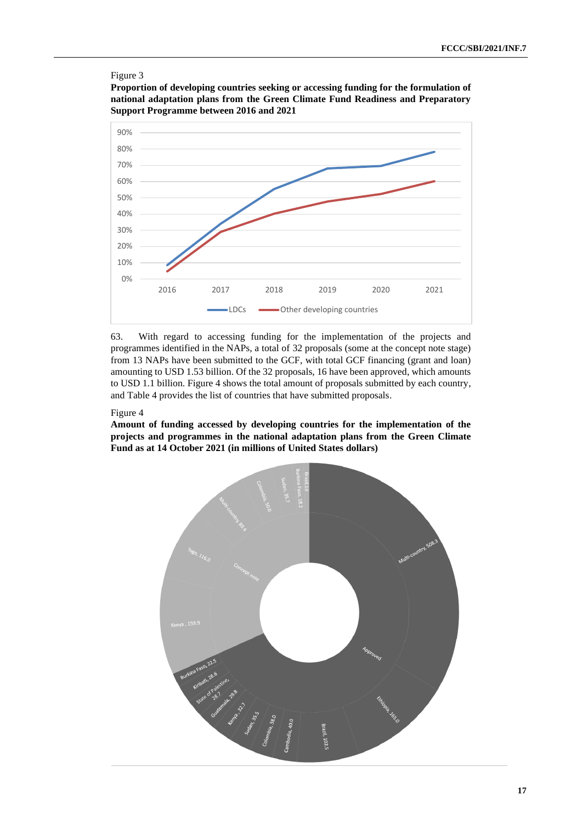#### Figure 3

**Proportion of developing countries seeking or accessing funding for the formulation of national adaptation plans from the Green Climate Fund Readiness and Preparatory Support Programme between 2016 and 2021**



63. With regard to accessing funding for the implementation of the projects and programmes identified in the NAPs, a total of 32 proposals (some at the concept note stage) from 13 NAPs have been submitted to the GCF, with total GCF financing (grant and loan) amounting to USD 1.53 billion. Of the 32 proposals, 16 have been approved, which amounts to USD 1.1 billion. Figure 4 shows the total amount of proposals submitted by each country, and Table 4 provides the list of countries that have submitted proposals.

#### Figure 4

**Amount of funding accessed by developing countries for the implementation of the projects and programmes in the national adaptation plans from the Green Climate Fund as at 14 October 2021 (in millions of United States dollars)**

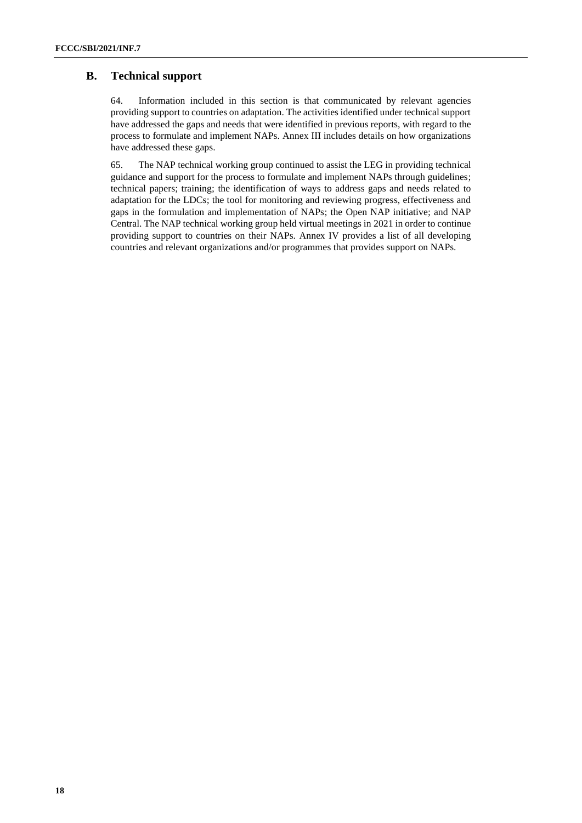## **B. Technical support**

64. Information included in this section is that communicated by relevant agencies providing support to countries on adaptation. The activities identified under technical support have addressed the gaps and needs that were identified in previous reports, with regard to the process to formulate and implement NAPs. Annex III includes details on how organizations have addressed these gaps.

65. The NAP technical working group continued to assist the LEG in providing technical guidance and support for the process to formulate and implement NAPs through guidelines; technical papers; training; the identification of ways to address gaps and needs related to adaptation for the LDCs; the tool for monitoring and reviewing progress, effectiveness and gaps in the formulation and implementation of NAPs; the Open NAP initiative; and NAP Central. The NAP technical working group held virtual meetings in 2021 in order to continue providing support to countries on their NAPs. Annex IV provides a list of all developing countries and relevant organizations and/or programmes that provides support on NAPs.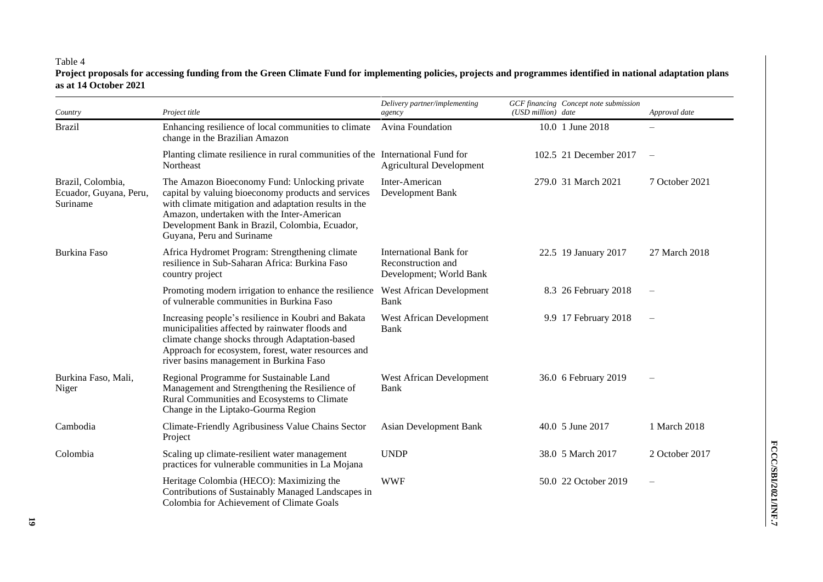### Table 4

**Project proposals for accessing funding from the Green Climate Fund for implementing policies, projects and programmes identified in national adaptation plans as at 14 October 2021**

| Country                                                 | Project title                                                                                                                                                                                                                                                                              | Delivery partner/implementing<br>agency                                 | (USD million) date | GCF financing Concept note submission | Approval date     |
|---------------------------------------------------------|--------------------------------------------------------------------------------------------------------------------------------------------------------------------------------------------------------------------------------------------------------------------------------------------|-------------------------------------------------------------------------|--------------------|---------------------------------------|-------------------|
| <b>Brazil</b>                                           | Enhancing resilience of local communities to climate<br>change in the Brazilian Amazon                                                                                                                                                                                                     | Avina Foundation                                                        |                    | 10.0 1 June 2018                      |                   |
|                                                         | Planting climate resilience in rural communities of the International Fund for<br>Northeast                                                                                                                                                                                                | <b>Agricultural Development</b>                                         |                    | 102.5 21 December 2017                |                   |
| Brazil, Colombia,<br>Ecuador, Guyana, Peru,<br>Suriname | The Amazon Bioeconomy Fund: Unlocking private<br>capital by valuing bioeconomy products and services<br>with climate mitigation and adaptation results in the<br>Amazon, undertaken with the Inter-American<br>Development Bank in Brazil, Colombia, Ecuador,<br>Guyana, Peru and Suriname | Inter-American<br>Development Bank                                      |                    | 279.0 31 March 2021                   | 7 October 2021    |
| Burkina Faso                                            | Africa Hydromet Program: Strengthening climate<br>resilience in Sub-Saharan Africa: Burkina Faso<br>country project                                                                                                                                                                        | International Bank for<br>Reconstruction and<br>Development; World Bank |                    | 22.5 19 January 2017                  | 27 March 2018     |
|                                                         | Promoting modern irrigation to enhance the resilience<br>of vulnerable communities in Burkina Faso                                                                                                                                                                                         | West African Development<br>Bank                                        |                    | 8.3 26 February 2018                  | $\qquad \qquad -$ |
|                                                         | Increasing people's resilience in Koubri and Bakata<br>municipalities affected by rainwater floods and<br>climate change shocks through Adaptation-based<br>Approach for ecosystem, forest, water resources and<br>river basins management in Burkina Faso                                 | West African Development<br>Bank                                        |                    | 9.9 17 February 2018                  |                   |
| Burkina Faso, Mali,<br>Niger                            | Regional Programme for Sustainable Land<br>Management and Strengthening the Resilience of<br>Rural Communities and Ecosystems to Climate<br>Change in the Liptako-Gourma Region                                                                                                            | West African Development<br>Bank                                        |                    | 36.0 6 February 2019                  |                   |
| Cambodia                                                | Climate-Friendly Agribusiness Value Chains Sector<br>Project                                                                                                                                                                                                                               | <b>Asian Development Bank</b>                                           |                    | 40.0 5 June 2017                      | 1 March 2018      |
| Colombia                                                | Scaling up climate-resilient water management<br>practices for vulnerable communities in La Mojana                                                                                                                                                                                         | <b>UNDP</b>                                                             |                    | 38.0 5 March 2017                     | 2 October 2017    |
|                                                         | Heritage Colombia (HECO): Maximizing the<br>Contributions of Sustainably Managed Landscapes in<br>Colombia for Achievement of Climate Goals                                                                                                                                                | <b>WWF</b>                                                              |                    | 50.0 22 October 2019                  |                   |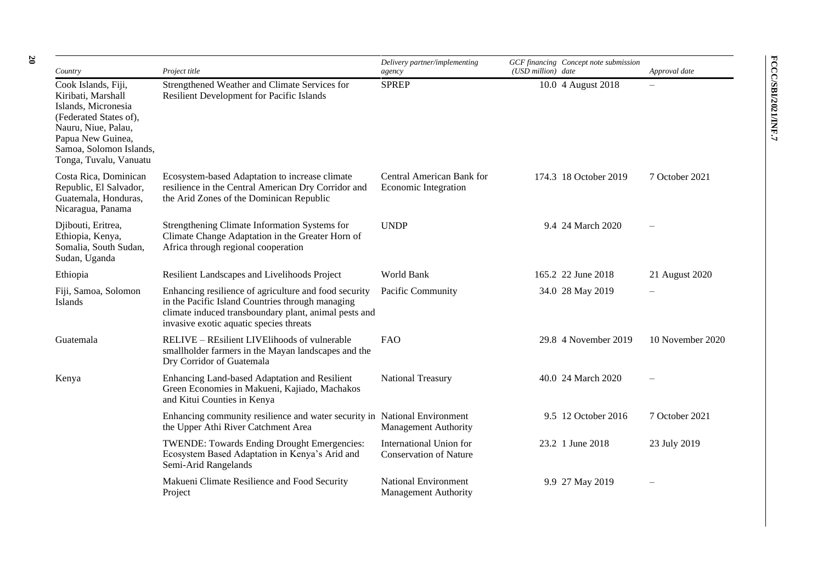| Country                                                                                                                                                                                     | Project title                                                                                                                                                                                                 | Delivery partner/implementing<br>agency                  | GCF financing Concept note submission<br>(USD million) date | Approval date    |
|---------------------------------------------------------------------------------------------------------------------------------------------------------------------------------------------|---------------------------------------------------------------------------------------------------------------------------------------------------------------------------------------------------------------|----------------------------------------------------------|-------------------------------------------------------------|------------------|
| Cook Islands, Fiji,<br>Kiribati, Marshall<br>Islands, Micronesia<br>(Federated States of),<br>Nauru, Niue, Palau,<br>Papua New Guinea,<br>Samoa, Solomon Islands,<br>Tonga, Tuvalu, Vanuatu | Strengthened Weather and Climate Services for<br>Resilient Development for Pacific Islands                                                                                                                    | <b>SPREP</b>                                             | 10.0 4 August 2018                                          |                  |
| Costa Rica, Dominican<br>Republic, El Salvador,<br>Guatemala, Honduras,<br>Nicaragua, Panama                                                                                                | Ecosystem-based Adaptation to increase climate<br>resilience in the Central American Dry Corridor and<br>the Arid Zones of the Dominican Republic                                                             | Central American Bank for<br><b>Economic Integration</b> | 174.3 18 October 2019                                       | 7 October 2021   |
| Djibouti, Eritrea,<br>Ethiopia, Kenya,<br>Somalia, South Sudan,<br>Sudan, Uganda                                                                                                            | Strengthening Climate Information Systems for<br>Climate Change Adaptation in the Greater Horn of<br>Africa through regional cooperation                                                                      | <b>UNDP</b>                                              | 9.4 24 March 2020                                           |                  |
| Ethiopia                                                                                                                                                                                    | Resilient Landscapes and Livelihoods Project                                                                                                                                                                  | World Bank                                               | 165.2 22 June 2018                                          | 21 August 2020   |
| Fiji, Samoa, Solomon<br><b>Islands</b>                                                                                                                                                      | Enhancing resilience of agriculture and food security<br>in the Pacific Island Countries through managing<br>climate induced transboundary plant, animal pests and<br>invasive exotic aquatic species threats | Pacific Community                                        | 34.0 28 May 2019                                            |                  |
| Guatemala                                                                                                                                                                                   | RELIVE - REsilient LIVElihoods of vulnerable<br>smallholder farmers in the Mayan landscapes and the<br>Dry Corridor of Guatemala                                                                              | <b>FAO</b>                                               | 29.8 4 November 2019                                        | 10 November 2020 |
| Kenya                                                                                                                                                                                       | Enhancing Land-based Adaptation and Resilient<br>Green Economies in Makueni, Kajiado, Machakos<br>and Kitui Counties in Kenya                                                                                 | <b>National Treasury</b>                                 | 40.0 24 March 2020                                          |                  |
|                                                                                                                                                                                             | Enhancing community resilience and water security in National Environment<br>the Upper Athi River Catchment Area                                                                                              | <b>Management Authority</b>                              | 9.5 12 October 2016                                         | 7 October 2021   |
|                                                                                                                                                                                             | TWENDE: Towards Ending Drought Emergencies:<br>Ecosystem Based Adaptation in Kenya's Arid and<br>Semi-Arid Rangelands                                                                                         | International Union for<br><b>Conservation of Nature</b> | 23.2 1 June 2018                                            | 23 July 2019     |
|                                                                                                                                                                                             | Makueni Climate Resilience and Food Security                                                                                                                                                                  | <b>National Environment</b>                              | 9.9 27 May 2019                                             |                  |

Management Authority

Project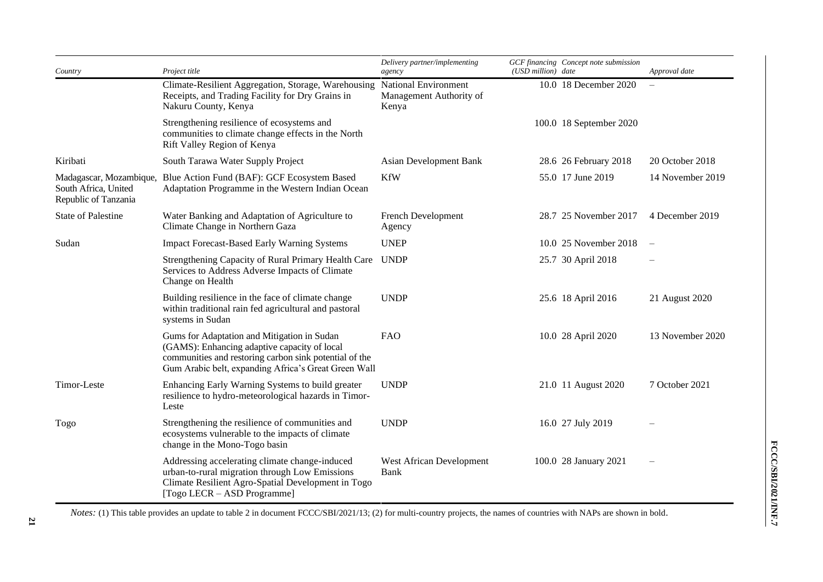| Country                                                                 | Project title                                                                                                                                                                                                 | Delivery partner/implementing<br>agency                  | (USD million) date | GCF financing Concept note submission | Approval date    |
|-------------------------------------------------------------------------|---------------------------------------------------------------------------------------------------------------------------------------------------------------------------------------------------------------|----------------------------------------------------------|--------------------|---------------------------------------|------------------|
|                                                                         | Climate-Resilient Aggregation, Storage, Warehousing<br>Receipts, and Trading Facility for Dry Grains in<br>Nakuru County, Kenya                                                                               | National Environment<br>Management Authority of<br>Kenya |                    | 10.0 18 December 2020                 |                  |
|                                                                         | Strengthening resilience of ecosystems and<br>communities to climate change effects in the North<br>Rift Valley Region of Kenya                                                                               |                                                          |                    | 100.0 18 September 2020               |                  |
| Kiribati                                                                | South Tarawa Water Supply Project                                                                                                                                                                             | Asian Development Bank                                   |                    | 28.6 26 February 2018                 | 20 October 2018  |
| Madagascar, Mozambique,<br>South Africa, United<br>Republic of Tanzania | Blue Action Fund (BAF): GCF Ecosystem Based<br>Adaptation Programme in the Western Indian Ocean                                                                                                               | <b>KfW</b>                                               |                    | 55.0 17 June 2019                     | 14 November 2019 |
| <b>State of Palestine</b>                                               | Water Banking and Adaptation of Agriculture to<br>Climate Change in Northern Gaza                                                                                                                             | French Development<br>Agency                             |                    | 28.7 25 November 2017                 | 4 December 2019  |
| Sudan                                                                   | <b>Impact Forecast-Based Early Warning Systems</b>                                                                                                                                                            | <b>UNEP</b>                                              |                    | 10.0 25 November 2018                 |                  |
|                                                                         | Strengthening Capacity of Rural Primary Health Care<br>Services to Address Adverse Impacts of Climate<br>Change on Health                                                                                     | <b>UNDP</b>                                              |                    | 25.7 30 April 2018                    |                  |
|                                                                         | Building resilience in the face of climate change<br>within traditional rain fed agricultural and pastoral<br>systems in Sudan                                                                                | <b>UNDP</b>                                              |                    | 25.6 18 April 2016                    | 21 August 2020   |
|                                                                         | Gums for Adaptation and Mitigation in Sudan<br>(GAMS): Enhancing adaptive capacity of local<br>communities and restoring carbon sink potential of the<br>Gum Arabic belt, expanding Africa's Great Green Wall | <b>FAO</b>                                               |                    | 10.0 28 April 2020                    | 13 November 2020 |
| Timor-Leste                                                             | Enhancing Early Warning Systems to build greater<br>resilience to hydro-meteorological hazards in Timor-<br>Leste                                                                                             | <b>UNDP</b>                                              |                    | 21.0 11 August 2020                   | 7 October 2021   |
| Togo                                                                    | Strengthening the resilience of communities and<br>ecosystems vulnerable to the impacts of climate<br>change in the Mono-Togo basin                                                                           | <b>UNDP</b>                                              |                    | 16.0 27 July 2019                     |                  |
|                                                                         | Addressing accelerating climate change-induced<br>urban-to-rural migration through Low Emissions<br>Climate Resilient Agro-Spatial Development in Togo<br>[Togo LECR - ASD Programme]                         | West African Development<br>Bank                         |                    | 100.0 28 January 2021                 |                  |

*Notes:* (1) This table provides an update to table 2 in document FCCC/SBI/2021/13; (2) for multi-country projects, the names of countries with NAPs are shown in bold.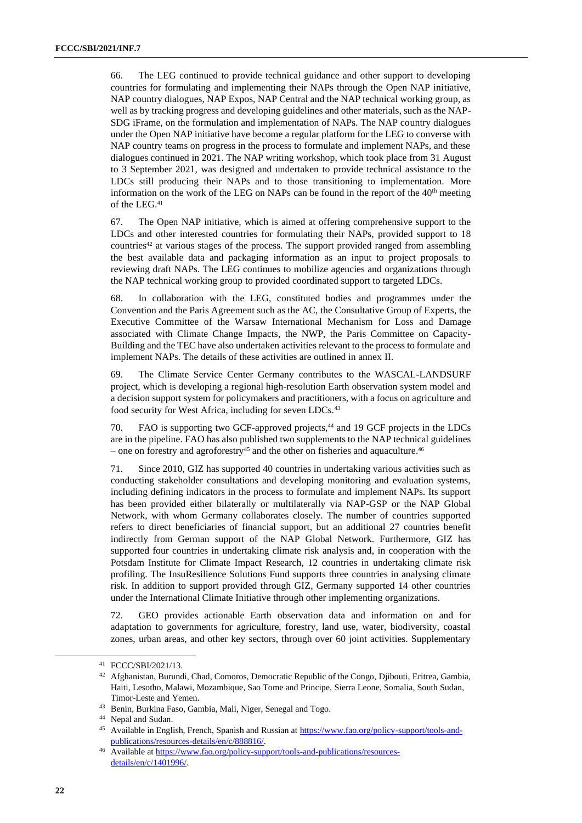66. The LEG continued to provide technical guidance and other support to developing countries for formulating and implementing their NAPs through the Open NAP initiative, NAP country dialogues, NAP Expos, NAP Central and the NAP technical working group, as well as by tracking progress and developing guidelines and other materials, such as the NAP-SDG iFrame, on the formulation and implementation of NAPs. The NAP country dialogues under the Open NAP initiative have become a regular platform for the LEG to converse with NAP country teams on progress in the process to formulate and implement NAPs, and these dialogues continued in 2021. The NAP writing workshop, which took place from 31 August to 3 September 2021, was designed and undertaken to provide technical assistance to the LDCs still producing their NAPs and to those transitioning to implementation. More information on the work of the LEG on NAPs can be found in the report of the 40<sup>th</sup> meeting of the LEG.<sup>41</sup>

67. The Open NAP initiative, which is aimed at offering comprehensive support to the LDCs and other interested countries for formulating their NAPs, provided support to 18 countries<sup>42</sup> at various stages of the process. The support provided ranged from assembling the best available data and packaging information as an input to project proposals to reviewing draft NAPs. The LEG continues to mobilize agencies and organizations through the NAP technical working group to provided coordinated support to targeted LDCs.

68. In collaboration with the LEG, constituted bodies and programmes under the Convention and the Paris Agreement such as the AC, the Consultative Group of Experts, the Executive Committee of the Warsaw International Mechanism for Loss and Damage associated with Climate Change Impacts, the NWP, the Paris Committee on Capacity-Building and the TEC have also undertaken activities relevant to the process to formulate and implement NAPs. The details of these activities are outlined in annex II.

69. The Climate Service Center Germany contributes to the WASCAL-LANDSURF project, which is developing a regional high-resolution Earth observation system model and a decision support system for policymakers and practitioners, with a focus on agriculture and food security for West Africa, including for seven LDCs.<sup>43</sup>

70. FAO is supporting two GCF-approved projects, <sup>44</sup> and 19 GCF projects in the LDCs are in the pipeline. FAO has also published two supplements to the NAP technical guidelines – one on forestry and agroforestry<sup>45</sup> and the other on fisheries and aquaculture.<sup>46</sup>

71. Since 2010, GIZ has supported 40 countries in undertaking various activities such as conducting stakeholder consultations and developing monitoring and evaluation systems, including defining indicators in the process to formulate and implement NAPs. Its support has been provided either bilaterally or multilaterally via NAP-GSP or the NAP Global Network, with whom Germany collaborates closely. The number of countries supported refers to direct beneficiaries of financial support, but an additional 27 countries benefit indirectly from German support of the NAP Global Network. Furthermore, GIZ has supported four countries in undertaking climate risk analysis and, in cooperation with the Potsdam Institute for Climate Impact Research, 12 countries in undertaking climate risk profiling. The InsuResilience Solutions Fund supports three countries in analysing climate risk. In addition to support provided through GIZ, Germany supported 14 other countries under the International Climate Initiative through other implementing organizations.

72. GEO provides actionable Earth observation data and information on and for adaptation to governments for agriculture, forestry, land use, water, biodiversity, coastal zones, urban areas, and other key sectors, through over 60 joint activities. Supplementary

<sup>41</sup> FCCC/SBI/2021/13.

<sup>&</sup>lt;sup>42</sup> Afghanistan, Burundi, Chad, Comoros, Democratic Republic of the Congo, Djibouti, Eritrea, Gambia, Haiti, Lesotho, Malawi, Mozambique, Sao Tome and Principe, Sierra Leone, Somalia, South Sudan, Timor-Leste and Yemen.

<sup>43</sup> Benin, Burkina Faso, Gambia, Mali, Niger, Senegal and Togo.

<sup>44</sup> Nepal and Sudan.

Available in English, French, Spanish and Russian at [https://www.fao.org/policy-support/tools-and](https://www.fao.org/policy-support/tools-and-publications/resources-details/en/c/888816/)[publications/resources-details/en/c/888816/.](https://www.fao.org/policy-support/tools-and-publications/resources-details/en/c/888816/)

Available a[t https://www.fao.org/policy-support/tools-and-publications/resources](https://www.fao.org/policy-support/tools-and-publications/resources-details/en/c/1401996/)[details/en/c/1401996/.](https://www.fao.org/policy-support/tools-and-publications/resources-details/en/c/1401996/)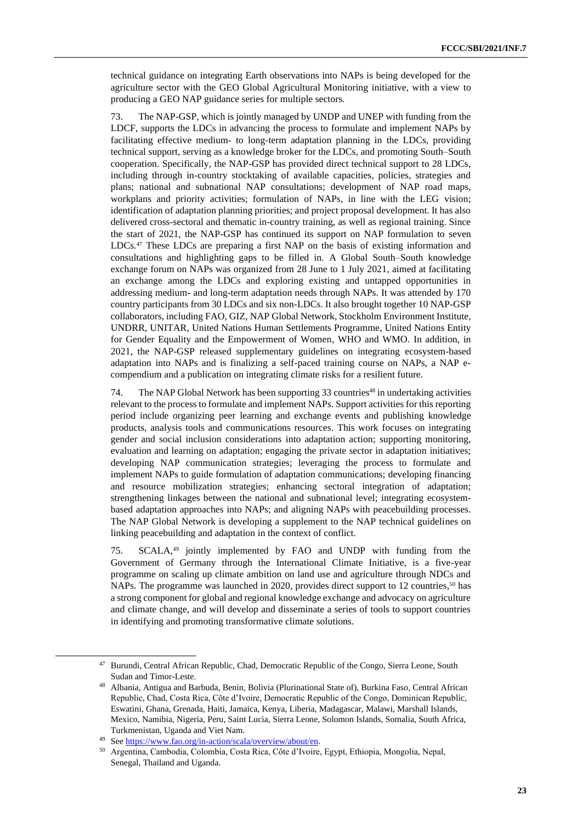technical guidance on integrating Earth observations into NAPs is being developed for the agriculture sector with the GEO Global Agricultural Monitoring initiative, with a view to producing a GEO NAP guidance series for multiple sectors.

73. The NAP-GSP, which is jointly managed by UNDP and UNEP with funding from the LDCF, supports the LDCs in advancing the process to formulate and implement NAPs by facilitating effective medium- to long-term adaptation planning in the LDCs, providing technical support, serving as a knowledge broker for the LDCs, and promoting South–South cooperation. Specifically, the NAP-GSP has provided direct technical support to 28 LDCs, including through in-country stocktaking of available capacities, policies, strategies and plans; national and subnational NAP consultations; development of NAP road maps, workplans and priority activities; formulation of NAPs, in line with the LEG vision; identification of adaptation planning priorities; and project proposal development. It has also delivered cross-sectoral and thematic in-country training, as well as regional training. Since the start of 2021, the NAP-GSP has continued its support on NAP formulation to seven LDCs.<sup>47</sup> These LDCs are preparing a first NAP on the basis of existing information and consultations and highlighting gaps to be filled in. A Global South–South knowledge exchange forum on NAPs was organized from 28 June to 1 July 2021, aimed at facilitating an exchange among the LDCs and exploring existing and untapped opportunities in addressing medium- and long-term adaptation needs through NAPs. It was attended by 170 country participants from 30 LDCs and six non-LDCs. It also brought together 10 NAP-GSP collaborators, including FAO, GIZ, NAP Global Network, Stockholm Environment Institute, UNDRR, UNITAR, United Nations Human Settlements Programme, United Nations Entity for Gender Equality and the Empowerment of Women, WHO and WMO. In addition, in 2021, the NAP-GSP released supplementary guidelines on integrating ecosystem-based adaptation into NAPs and is finalizing a self-paced training course on NAPs, a NAP ecompendium and a publication on integrating climate risks for a resilient future.

74. The NAP Global Network has been supporting 33 countries<sup>48</sup> in undertaking activities relevant to the process to formulate and implement NAPs. Support activities for this reporting period include organizing peer learning and exchange events and publishing knowledge products, analysis tools and communications resources. This work focuses on integrating gender and social inclusion considerations into adaptation action; supporting monitoring, evaluation and learning on adaptation; engaging the private sector in adaptation initiatives; developing NAP communication strategies; leveraging the process to formulate and implement NAPs to guide formulation of adaptation communications; developing financing and resource mobilization strategies; enhancing sectoral integration of adaptation; strengthening linkages between the national and subnational level; integrating ecosystembased adaptation approaches into NAPs; and aligning NAPs with peacebuilding processes. The NAP Global Network is developing a supplement to the NAP technical guidelines on linking peacebuilding and adaptation in the context of conflict.

75. SCALA, <sup>49</sup> jointly implemented by FAO and UNDP with funding from the Government of Germany through the International Climate Initiative, is a five-year programme on scaling up climate ambition on land use and agriculture through NDCs and NAPs. The programme was launched in 2020, provides direct support to 12 countries,<sup>50</sup> has a strong component for global and regional knowledge exchange and advocacy on agriculture and climate change, and will develop and disseminate a series of tools to support countries in identifying and promoting transformative climate solutions.

<sup>47</sup> Burundi, Central African Republic, Chad, Democratic Republic of the Congo, Sierra Leone, South Sudan and Timor-Leste.

<sup>48</sup> Albania, Antigua and Barbuda, Benin, Bolivia (Plurinational State of), Burkina Faso, Central African Republic, Chad, Costa Rica, Côte d'Ivoire, Democratic Republic of the Congo, Dominican Republic, Eswatini, Ghana, Grenada, Haiti, Jamaica, Kenya, Liberia, Madagascar, Malawi, Marshall Islands, Mexico, Namibia, Nigeria, Peru, Saint Lucia, Sierra Leone, Solomon Islands, Somalia, South Africa, Turkmenistan, Uganda and Viet Nam.

<sup>49</sup> Se[e https://www.fao.org/in-action/scala/overview/about/en.](https://www.fao.org/in-action/scala/overview/about/en)

<sup>50</sup> Argentina, Cambodia, Colombia, Costa Rica, Côte d'Ivoire, Egypt, Ethiopia, Mongolia, Nepal, Senegal, Thailand and Uganda.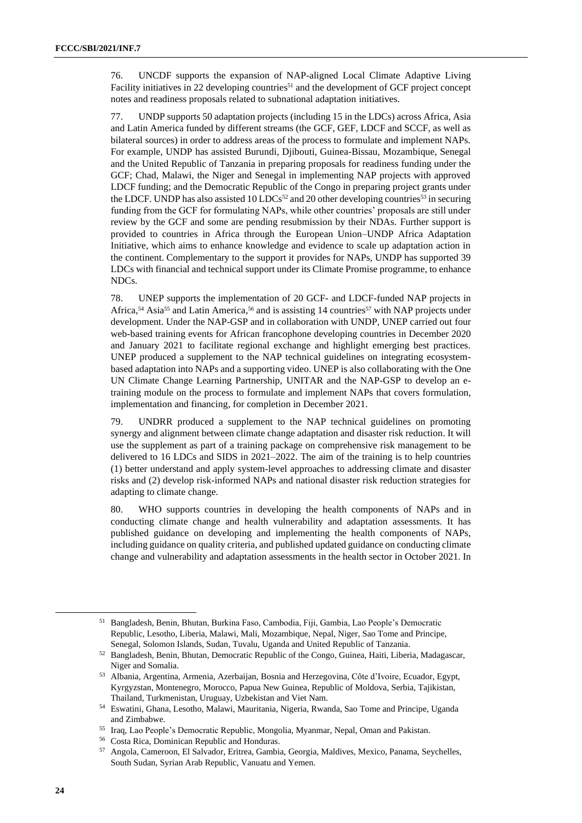76. UNCDF supports the expansion of NAP-aligned Local Climate Adaptive Living Facility initiatives in 22 developing countries<sup>51</sup> and the development of GCF project concept notes and readiness proposals related to subnational adaptation initiatives.

77. UNDP supports 50 adaptation projects (including 15 in the LDCs) across Africa, Asia and Latin America funded by different streams (the GCF, GEF, LDCF and SCCF, as well as bilateral sources) in order to address areas of the process to formulate and implement NAPs. For example, UNDP has assisted Burundi, Djibouti, Guinea-Bissau, Mozambique, Senegal and the United Republic of Tanzania in preparing proposals for readiness funding under the GCF; Chad, Malawi, the Niger and Senegal in implementing NAP projects with approved LDCF funding; and the Democratic Republic of the Congo in preparing project grants under the LDCF. UNDP has also assisted 10 LDCs<sup>52</sup> and 20 other developing countries<sup>53</sup> in securing funding from the GCF for formulating NAPs, while other countries' proposals are still under review by the GCF and some are pending resubmission by their NDAs. Further support is provided to countries in Africa through the European Union–UNDP Africa Adaptation Initiative, which aims to enhance knowledge and evidence to scale up adaptation action in the continent. Complementary to the support it provides for NAPs, UNDP has supported 39 LDCs with financial and technical support under its Climate Promise programme, to enhance NDCs.

78. UNEP supports the implementation of 20 GCF- and LDCF-funded NAP projects in Africa,<sup>54</sup> Asia<sup>55</sup> and Latin America,<sup>56</sup> and is assisting 14 countries<sup>57</sup> with NAP projects under development. Under the NAP-GSP and in collaboration with UNDP, UNEP carried out four web-based training events for African francophone developing countries in December 2020 and January 2021 to facilitate regional exchange and highlight emerging best practices. UNEP produced a supplement to the NAP technical guidelines on integrating ecosystembased adaptation into NAPs and a supporting video. UNEP is also collaborating with the One UN Climate Change Learning Partnership, UNITAR and the NAP-GSP to develop an etraining module on the process to formulate and implement NAPs that covers formulation, implementation and financing, for completion in December 2021.

79. UNDRR produced a supplement to the NAP technical guidelines on promoting synergy and alignment between climate change adaptation and disaster risk reduction. It will use the supplement as part of a training package on comprehensive risk management to be delivered to 16 LDCs and SIDS in 2021–2022. The aim of the training is to help countries (1) better understand and apply system-level approaches to addressing climate and disaster risks and (2) develop risk-informed NAPs and national disaster risk reduction strategies for adapting to climate change.

80. WHO supports countries in developing the health components of NAPs and in conducting climate change and health vulnerability and adaptation assessments. It has published guidance on developing and implementing the health components of NAPs, including guidance on quality criteria, and published updated guidance on conducting climate change and vulnerability and adaptation assessments in the health sector in October 2021. In

<sup>51</sup> Bangladesh, Benin, Bhutan, Burkina Faso, Cambodia, Fiji, Gambia, Lao People's Democratic Republic, Lesotho, Liberia, Malawi, Mali, Mozambique, Nepal, Niger, Sao Tome and Principe, Senegal, Solomon Islands, Sudan, Tuvalu, Uganda and United Republic of Tanzania.

<sup>52</sup> Bangladesh, Benin, Bhutan, Democratic Republic of the Congo, Guinea, Haiti, Liberia, Madagascar, Niger and Somalia.

<sup>53</sup> Albania, Argentina, Armenia, Azerbaijan, Bosnia and Herzegovina, Côte d'Ivoire, Ecuador, Egypt, Kyrgyzstan, Montenegro, Morocco, Papua New Guinea, Republic of Moldova, Serbia, Tajikistan, Thailand, Turkmenistan, Uruguay, Uzbekistan and Viet Nam.

<sup>54</sup> Eswatini, Ghana, Lesotho, Malawi, Mauritania, Nigeria, Rwanda, Sao Tome and Principe, Uganda and Zimbabwe.

<sup>55</sup> Iraq, Lao People's Democratic Republic, Mongolia, Myanmar, Nepal, Oman and Pakistan.

<sup>56</sup> Costa Rica, Dominican Republic and Honduras.

<sup>57</sup> Angola, Cameroon, El Salvador, Eritrea, Gambia, Georgia, Maldives, Mexico, Panama, Seychelles, South Sudan, Syrian Arab Republic, Vanuatu and Yemen.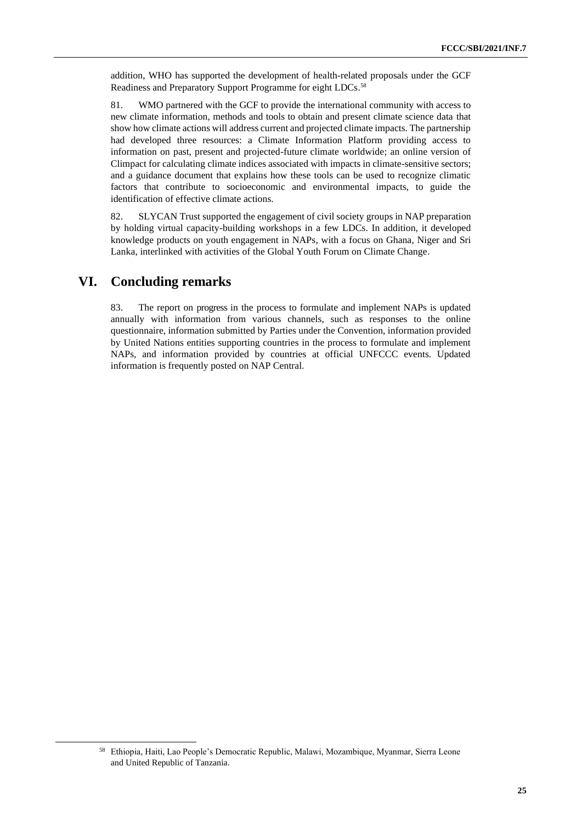addition, WHO has supported the development of health-related proposals under the GCF Readiness and Preparatory Support Programme for eight LDCs. 58

81. WMO partnered with the GCF to provide the international community with access to new climate information, methods and tools to obtain and present climate science data that show how climate actions will address current and projected climate impacts. The partnership had developed three resources: a Climate Information Platform providing access to information on past, present and projected-future climate worldwide; an online version of Climpact for calculating climate indices associated with impacts in climate-sensitive sectors; and a guidance document that explains how these tools can be used to recognize climatic factors that contribute to socioeconomic and environmental impacts, to guide the identification of effective climate actions.

82. SLYCAN Trust supported the engagement of civil society groups in NAP preparation by holding virtual capacity-building workshops in a few LDCs. In addition, it developed knowledge products on youth engagement in NAPs, with a focus on Ghana, Niger and Sri Lanka, interlinked with activities of the Global Youth Forum on Climate Change.

## **VI. Concluding remarks**

83. The report on progress in the process to formulate and implement NAPs is updated annually with information from various channels, such as responses to the online questionnaire, information submitted by Parties under the Convention, information provided by United Nations entities supporting countries in the process to formulate and implement NAPs, and information provided by countries at official UNFCCC events. Updated information is frequently posted on NAP Central.

<sup>58</sup> Ethiopia, Haiti, Lao People's Democratic Republic, Malawi, Mozambique, Myanmar, Sierra Leone and United Republic of Tanzania.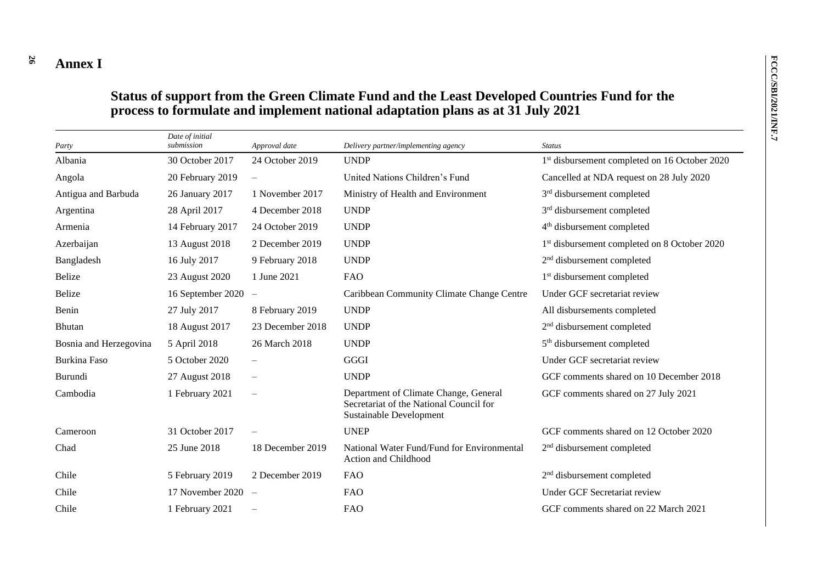#### **26 Annex I**

## **Status of support from the Green Climate Fund and the Least Developed Countries Fund for the process to formulate and implement national adaptation plans as at 31 July 2021**

| Party                  | Date of initial<br>submission | Approval date            | Delivery partner/implementing agency                                                                        | <b>Status</b>                                             |
|------------------------|-------------------------------|--------------------------|-------------------------------------------------------------------------------------------------------------|-----------------------------------------------------------|
| Albania                | 30 October 2017               | 24 October 2019          | <b>UNDP</b>                                                                                                 | 1 <sup>st</sup> disbursement completed on 16 October 2020 |
| Angola                 | 20 February 2019              | $\overline{\phantom{m}}$ | United Nations Children's Fund                                                                              | Cancelled at NDA request on 28 July 2020                  |
| Antigua and Barbuda    | 26 January 2017               | 1 November 2017          | Ministry of Health and Environment                                                                          | 3 <sup>rd</sup> disbursement completed                    |
| Argentina              | 28 April 2017                 | 4 December 2018          | <b>UNDP</b>                                                                                                 | 3 <sup>rd</sup> disbursement completed                    |
| Armenia                | 14 February 2017              | 24 October 2019          | <b>UNDP</b>                                                                                                 | 4 <sup>th</sup> disbursement completed                    |
| Azerbaijan             | 13 August 2018                | 2 December 2019          | <b>UNDP</b>                                                                                                 | 1 <sup>st</sup> disbursement completed on 8 October 2020  |
| Bangladesh             | 16 July 2017                  | 9 February 2018          | <b>UNDP</b>                                                                                                 | 2 <sup>nd</sup> disbursement completed                    |
| <b>Belize</b>          | 23 August 2020                | 1 June 2021              | <b>FAO</b>                                                                                                  | 1 <sup>st</sup> disbursement completed                    |
| <b>Belize</b>          | 16 September 2020             | $\overline{\phantom{m}}$ | Caribbean Community Climate Change Centre                                                                   | Under GCF secretariat review                              |
| Benin                  | 27 July 2017                  | 8 February 2019          | <b>UNDP</b>                                                                                                 | All disbursements completed                               |
| <b>Bhutan</b>          | 18 August 2017                | 23 December 2018         | <b>UNDP</b>                                                                                                 | 2 <sup>nd</sup> disbursement completed                    |
| Bosnia and Herzegovina | 5 April 2018                  | 26 March 2018            | <b>UNDP</b>                                                                                                 | 5 <sup>th</sup> disbursement completed                    |
| <b>Burkina Faso</b>    | 5 October 2020                | $\overline{\phantom{m}}$ | GGGI                                                                                                        | Under GCF secretariat review                              |
| Burundi                | 27 August 2018                |                          | <b>UNDP</b>                                                                                                 | GCF comments shared on 10 December 2018                   |
| Cambodia               | 1 February 2021               |                          | Department of Climate Change, General<br>Secretariat of the National Council for<br>Sustainable Development | GCF comments shared on 27 July 2021                       |
| Cameroon               | 31 October 2017               |                          | <b>UNEP</b>                                                                                                 | GCF comments shared on 12 October 2020                    |
| Chad                   | 25 June 2018                  | 18 December 2019         | National Water Fund/Fund for Environmental<br>Action and Childhood                                          | 2 <sup>nd</sup> disbursement completed                    |
| Chile                  | 5 February 2019               | 2 December 2019          | <b>FAO</b>                                                                                                  | $2nd$ disbursement completed                              |
| Chile                  | 17 November 2020              | $\overline{\phantom{a}}$ | <b>FAO</b>                                                                                                  | Under GCF Secretariat review                              |
| Chile                  | 1 February 2021               | $\overline{\phantom{m}}$ | <b>FAO</b>                                                                                                  | GCF comments shared on 22 March 2021                      |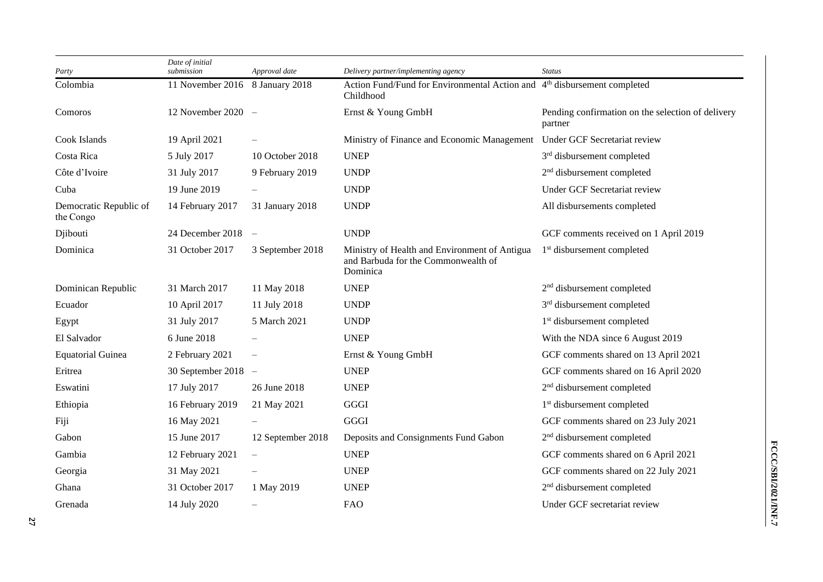| Party                               | Date of initial<br>submission   | Approval date     | Delivery partner/implementing agency                                                              | <b>Status</b>                                                |
|-------------------------------------|---------------------------------|-------------------|---------------------------------------------------------------------------------------------------|--------------------------------------------------------------|
| Colombia                            | 11 November 2016 8 January 2018 |                   | Action Fund/Fund for Environmental Action and 4 <sup>th</sup> disbursement completed<br>Childhood |                                                              |
| Comoros                             | 12 November 2020 $-$            |                   | Ernst & Young GmbH                                                                                | Pending confirmation on the selection of delivery<br>partner |
| Cook Islands                        | 19 April 2021                   |                   | Ministry of Finance and Economic Management                                                       | Under GCF Secretariat review                                 |
| Costa Rica                          | 5 July 2017                     | 10 October 2018   | <b>UNEP</b>                                                                                       | 3 <sup>rd</sup> disbursement completed                       |
| Côte d'Ivoire                       | 31 July 2017                    | 9 February 2019   | <b>UNDP</b>                                                                                       | 2 <sup>nd</sup> disbursement completed                       |
| Cuba                                | 19 June 2019                    |                   | <b>UNDP</b>                                                                                       | Under GCF Secretariat review                                 |
| Democratic Republic of<br>the Congo | 14 February 2017                | 31 January 2018   | <b>UNDP</b>                                                                                       | All disbursements completed                                  |
| Djibouti                            | 24 December 2018 $-$            |                   | <b>UNDP</b>                                                                                       | GCF comments received on 1 April 2019                        |
| Dominica                            | 31 October 2017                 | 3 September 2018  | Ministry of Health and Environment of Antigua<br>and Barbuda for the Commonwealth of<br>Dominica  | 1 <sup>st</sup> disbursement completed                       |
| Dominican Republic                  | 31 March 2017                   | 11 May 2018       | <b>UNEP</b>                                                                                       | 2 <sup>nd</sup> disbursement completed                       |
| Ecuador                             | 10 April 2017                   | 11 July 2018      | <b>UNDP</b>                                                                                       | 3 <sup>rd</sup> disbursement completed                       |
| Egypt                               | 31 July 2017                    | 5 March 2021      | <b>UNDP</b>                                                                                       | 1 <sup>st</sup> disbursement completed                       |
| El Salvador                         | 6 June 2018                     |                   | <b>UNEP</b>                                                                                       | With the NDA since 6 August 2019                             |
| <b>Equatorial Guinea</b>            | 2 February 2021                 |                   | Ernst & Young GmbH                                                                                | GCF comments shared on 13 April 2021                         |
| Eritrea                             | 30 September 2018 $-$           |                   | <b>UNEP</b>                                                                                       | GCF comments shared on 16 April 2020                         |
| Eswatini                            | 17 July 2017                    | 26 June 2018      | <b>UNEP</b>                                                                                       | 2 <sup>nd</sup> disbursement completed                       |
| Ethiopia                            | 16 February 2019                | 21 May 2021       | GGGI                                                                                              | 1 <sup>st</sup> disbursement completed                       |
| Fiji                                | 16 May 2021                     |                   | GGGI                                                                                              | GCF comments shared on 23 July 2021                          |
| Gabon                               | 15 June 2017                    | 12 September 2018 | Deposits and Consignments Fund Gabon                                                              | 2 <sup>nd</sup> disbursement completed                       |
| Gambia                              | 12 February 2021                |                   | <b>UNEP</b>                                                                                       | GCF comments shared on 6 April 2021                          |
| Georgia                             | 31 May 2021                     |                   | <b>UNEP</b>                                                                                       | GCF comments shared on 22 July 2021                          |
| Ghana                               | 31 October 2017                 | 1 May 2019        | <b>UNEP</b>                                                                                       | 2 <sup>nd</sup> disbursement completed                       |
| Grenada                             | 14 July 2020                    |                   | <b>FAO</b>                                                                                        | Under GCF secretariat review                                 |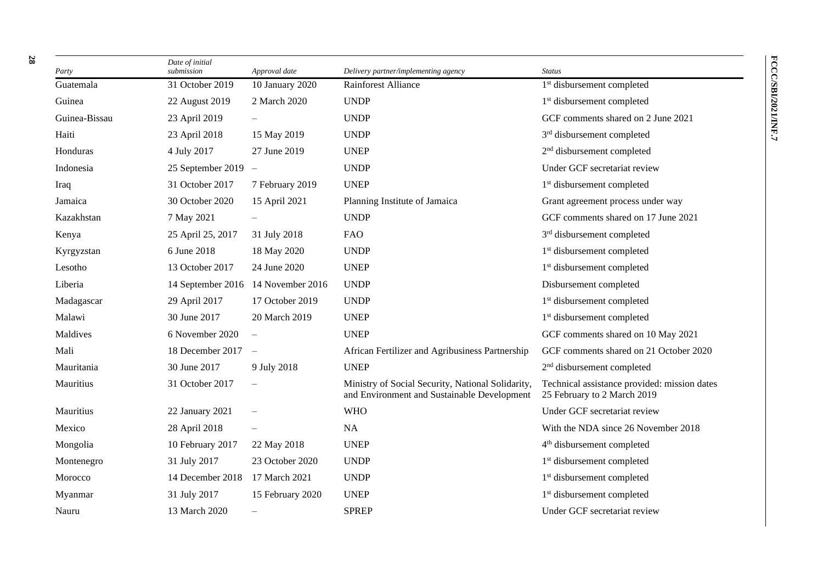| Party         | Date of initial<br>submission | Approval date            | Delivery partner/implementing agency                                                             | <b>Status</b>                                                               |
|---------------|-------------------------------|--------------------------|--------------------------------------------------------------------------------------------------|-----------------------------------------------------------------------------|
| Guatemala     | 31 October 2019               | 10 January 2020          | Rainforest Alliance                                                                              | 1 <sup>st</sup> disbursement completed                                      |
| Guinea        | 22 August 2019                | 2 March 2020             | <b>UNDP</b>                                                                                      | 1 <sup>st</sup> disbursement completed                                      |
| Guinea-Bissau | 23 April 2019                 |                          | <b>UNDP</b>                                                                                      | GCF comments shared on 2 June 2021                                          |
| Haiti         | 23 April 2018                 | 15 May 2019              | <b>UNDP</b>                                                                                      | 3 <sup>rd</sup> disbursement completed                                      |
| Honduras      | 4 July 2017                   | 27 June 2019             | <b>UNEP</b>                                                                                      | 2 <sup>nd</sup> disbursement completed                                      |
| Indonesia     | 25 September 2019             | $\equiv$                 | <b>UNDP</b>                                                                                      | Under GCF secretariat review                                                |
| Iraq          | 31 October 2017               | 7 February 2019          | <b>UNEP</b>                                                                                      | 1 <sup>st</sup> disbursement completed                                      |
| Jamaica       | 30 October 2020               | 15 April 2021            | Planning Institute of Jamaica                                                                    | Grant agreement process under way                                           |
| Kazakhstan    | 7 May 2021                    |                          | <b>UNDP</b>                                                                                      | GCF comments shared on 17 June 2021                                         |
| Kenya         | 25 April 25, 2017             | 31 July 2018             | <b>FAO</b>                                                                                       | 3 <sup>rd</sup> disbursement completed                                      |
| Kyrgyzstan    | 6 June 2018                   | 18 May 2020              | <b>UNDP</b>                                                                                      | 1 <sup>st</sup> disbursement completed                                      |
| Lesotho       | 13 October 2017               | 24 June 2020             | <b>UNEP</b>                                                                                      | 1 <sup>st</sup> disbursement completed                                      |
| Liberia       | 14 September 2016             | 14 November 2016         | <b>UNDP</b>                                                                                      | Disbursement completed                                                      |
| Madagascar    | 29 April 2017                 | 17 October 2019          | <b>UNDP</b>                                                                                      | 1 <sup>st</sup> disbursement completed                                      |
| Malawi        | 30 June 2017                  | 20 March 2019            | <b>UNEP</b>                                                                                      | 1 <sup>st</sup> disbursement completed                                      |
| Maldives      | 6 November 2020               |                          | <b>UNEP</b>                                                                                      | GCF comments shared on 10 May 2021                                          |
| Mali          | 18 December 2017              | $\overline{\phantom{a}}$ | African Fertilizer and Agribusiness Partnership                                                  | GCF comments shared on 21 October 2020                                      |
| Mauritania    | 30 June 2017                  | 9 July 2018              | <b>UNEP</b>                                                                                      | 2 <sup>nd</sup> disbursement completed                                      |
| Mauritius     | 31 October 2017               |                          | Ministry of Social Security, National Solidarity,<br>and Environment and Sustainable Development | Technical assistance provided: mission dates<br>25 February to 2 March 2019 |
| Mauritius     | 22 January 2021               |                          | <b>WHO</b>                                                                                       | Under GCF secretariat review                                                |
| Mexico        | 28 April 2018                 |                          | NA                                                                                               | With the NDA since 26 November 2018                                         |
| Mongolia      | 10 February 2017              | 22 May 2018              | <b>UNEP</b>                                                                                      | 4 <sup>th</sup> disbursement completed                                      |
| Montenegro    | 31 July 2017                  | 23 October 2020          | <b>UNDP</b>                                                                                      | 1 <sup>st</sup> disbursement completed                                      |
| Morocco       | 14 December 2018              | 17 March 2021            | <b>UNDP</b>                                                                                      | 1 <sup>st</sup> disbursement completed                                      |
| Myanmar       | 31 July 2017                  | 15 February 2020         | <b>UNEP</b>                                                                                      | 1 <sup>st</sup> disbursement completed                                      |
| Nauru         | 13 March 2020                 | $\overline{\phantom{0}}$ | <b>SPREP</b>                                                                                     | Under GCF secretariat review                                                |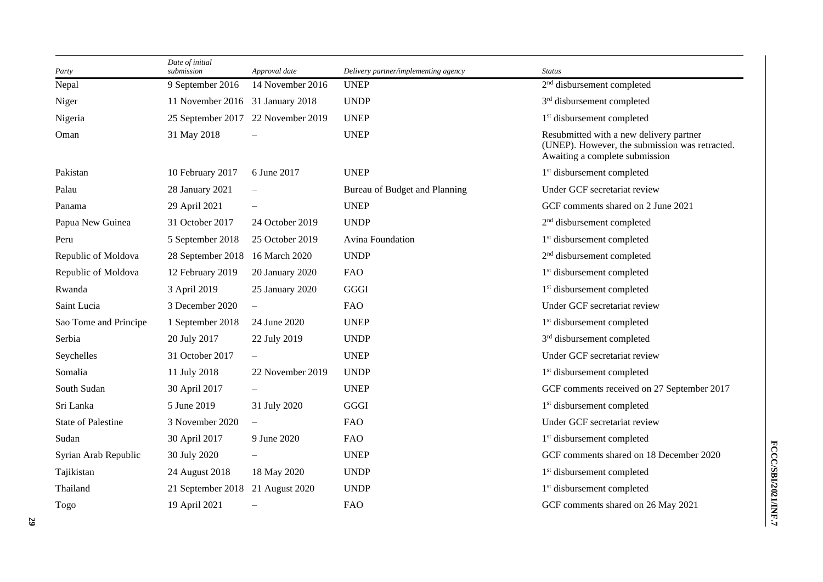| Party                     | Date of initial<br>submission    | Approval date                      | Delivery partner/implementing agency | <b>Status</b>                                                                                                               |
|---------------------------|----------------------------------|------------------------------------|--------------------------------------|-----------------------------------------------------------------------------------------------------------------------------|
| Nepal                     | 9 September 2016                 | 14 November 2016                   | <b>UNEP</b>                          | 2 <sup>nd</sup> disbursement completed                                                                                      |
| Niger                     | 11 November 2016 31 January 2018 |                                    | <b>UNDP</b>                          | 3 <sup>rd</sup> disbursement completed                                                                                      |
| Nigeria                   |                                  | 25 September 2017 22 November 2019 | <b>UNEP</b>                          | 1 <sup>st</sup> disbursement completed                                                                                      |
| Oman                      | 31 May 2018                      |                                    | <b>UNEP</b>                          | Resubmitted with a new delivery partner<br>(UNEP). However, the submission was retracted.<br>Awaiting a complete submission |
| Pakistan                  | 10 February 2017                 | 6 June 2017                        | <b>UNEP</b>                          | 1 <sup>st</sup> disbursement completed                                                                                      |
| Palau                     | 28 January 2021                  |                                    | Bureau of Budget and Planning        | Under GCF secretariat review                                                                                                |
| Panama                    | 29 April 2021                    |                                    | <b>UNEP</b>                          | GCF comments shared on 2 June 2021                                                                                          |
| Papua New Guinea          | 31 October 2017                  | 24 October 2019                    | <b>UNDP</b>                          | 2 <sup>nd</sup> disbursement completed                                                                                      |
| Peru                      | 5 September 2018                 | 25 October 2019                    | Avina Foundation                     | 1 <sup>st</sup> disbursement completed                                                                                      |
| Republic of Moldova       | 28 September 2018                | 16 March 2020                      | <b>UNDP</b>                          | 2 <sup>nd</sup> disbursement completed                                                                                      |
| Republic of Moldova       | 12 February 2019                 | 20 January 2020                    | <b>FAO</b>                           | 1 <sup>st</sup> disbursement completed                                                                                      |
| Rwanda                    | 3 April 2019                     | 25 January 2020                    | GGGI                                 | 1 <sup>st</sup> disbursement completed                                                                                      |
| Saint Lucia               | 3 December 2020                  |                                    | <b>FAO</b>                           | Under GCF secretariat review                                                                                                |
| Sao Tome and Principe     | 1 September 2018                 | 24 June 2020                       | <b>UNEP</b>                          | 1 <sup>st</sup> disbursement completed                                                                                      |
| Serbia                    | 20 July 2017                     | 22 July 2019                       | <b>UNDP</b>                          | 3 <sup>rd</sup> disbursement completed                                                                                      |
| Seychelles                | 31 October 2017                  |                                    | <b>UNEP</b>                          | Under GCF secretariat review                                                                                                |
| Somalia                   | 11 July 2018                     | 22 November 2019                   | <b>UNDP</b>                          | 1 <sup>st</sup> disbursement completed                                                                                      |
| South Sudan               | 30 April 2017                    |                                    | <b>UNEP</b>                          | GCF comments received on 27 September 2017                                                                                  |
| Sri Lanka                 | 5 June 2019                      | 31 July 2020                       | GGGI                                 | 1 <sup>st</sup> disbursement completed                                                                                      |
| <b>State of Palestine</b> | 3 November 2020                  |                                    | <b>FAO</b>                           | Under GCF secretariat review                                                                                                |
| Sudan                     | 30 April 2017                    | 9 June 2020                        | <b>FAO</b>                           | 1 <sup>st</sup> disbursement completed                                                                                      |
| Syrian Arab Republic      | 30 July 2020                     |                                    | <b>UNEP</b>                          | GCF comments shared on 18 December 2020                                                                                     |
| Tajikistan                | 24 August 2018                   | 18 May 2020                        | <b>UNDP</b>                          | 1 <sup>st</sup> disbursement completed                                                                                      |
| Thailand                  | 21 September 2018                | 21 August 2020                     | <b>UNDP</b>                          | 1 <sup>st</sup> disbursement completed                                                                                      |
| Togo                      | 19 April 2021                    |                                    | <b>FAO</b>                           | GCF comments shared on 26 May 2021                                                                                          |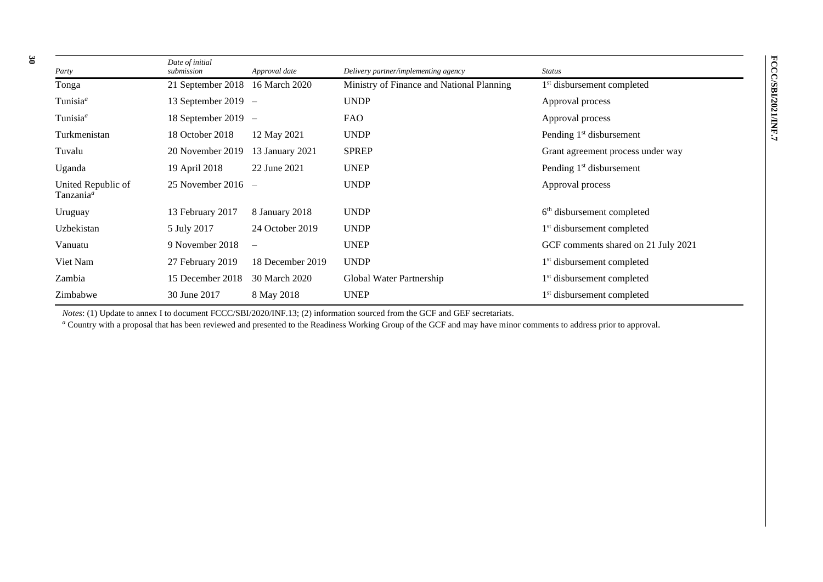| Party                                       | Date of initial<br>submission   | Approval date            | Delivery partner/implementing agency      | <b>Status</b>                          |
|---------------------------------------------|---------------------------------|--------------------------|-------------------------------------------|----------------------------------------|
| Tonga                                       | 21 September 2018 16 March 2020 |                          | Ministry of Finance and National Planning | 1 <sup>st</sup> disbursement completed |
| Tunisia <sup>a</sup>                        | 13 September 2019 $-$           |                          | <b>UNDP</b>                               | Approval process                       |
| Tunisia <sup>a</sup>                        | 18 September 2019 $-$           |                          | FAO                                       | Approval process                       |
| Turkmenistan                                | 18 October 2018                 | 12 May 2021              | <b>UNDP</b>                               | Pending 1 <sup>st</sup> disbursement   |
| Tuvalu                                      | 20 November 2019                | 13 January 2021          | <b>SPREP</b>                              | Grant agreement process under way      |
| Uganda                                      | 19 April 2018                   | 22 June 2021             | <b>UNEP</b>                               | Pending 1 <sup>st</sup> disbursement   |
| United Republic of<br>Tanzania <sup>a</sup> | 25 November 2016 $-$            |                          | <b>UNDP</b>                               | Approval process                       |
| Uruguay                                     | 13 February 2017                | 8 January 2018           | <b>UNDP</b>                               | 6 <sup>th</sup> disbursement completed |
| Uzbekistan                                  | 5 July 2017                     | 24 October 2019          | <b>UNDP</b>                               | 1 <sup>st</sup> disbursement completed |
| Vanuatu                                     | 9 November 2018                 | $\overline{\phantom{0}}$ | <b>UNEP</b>                               | GCF comments shared on 21 July 2021    |
| Viet Nam                                    | 27 February 2019                | 18 December 2019         | <b>UNDP</b>                               | 1 <sup>st</sup> disbursement completed |
| Zambia                                      | 15 December 2018                | 30 March 2020            | Global Water Partnership                  | 1 <sup>st</sup> disbursement completed |
| Zimbabwe                                    | 30 June 2017                    | 8 May 2018               | <b>UNEP</b>                               | 1 <sup>st</sup> disbursement completed |

*Notes*: (1) Update to annex I to document FCCC/SBI/2020/INF.13; (2) information sourced from the GCF and GEF secretariats.

<sup>a</sup> Country with a proposal that has been reviewed and presented to the Readiness Working Group of the GCF and may have minor comments to address prior to approval.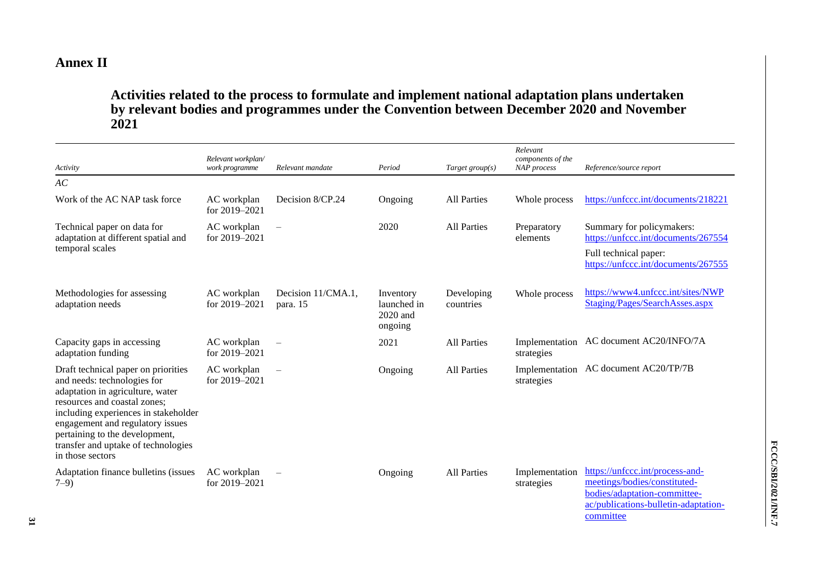## **Annex II**

## **Activities related to the process to formulate and implement national adaptation plans undertaken by relevant bodies and programmes under the Convention between December 2020 and November 2021**

| Activity                                                                                                                                                                                                                                                                                                        | Relevant workplan/<br>work programme | Relevant mandate               | Period                                          | Target group $(s)$      | Relevant<br>components of the<br>NAP process | Reference/source report                                                                                                                 |
|-----------------------------------------------------------------------------------------------------------------------------------------------------------------------------------------------------------------------------------------------------------------------------------------------------------------|--------------------------------------|--------------------------------|-------------------------------------------------|-------------------------|----------------------------------------------|-----------------------------------------------------------------------------------------------------------------------------------------|
| AC                                                                                                                                                                                                                                                                                                              |                                      |                                |                                                 |                         |                                              |                                                                                                                                         |
| Work of the AC NAP task force                                                                                                                                                                                                                                                                                   | AC workplan<br>for 2019-2021         | Decision 8/CP.24               | Ongoing                                         | <b>All Parties</b>      | Whole process                                | https://unfccc.int/documents/218221                                                                                                     |
| Technical paper on data for<br>adaptation at different spatial and<br>temporal scales                                                                                                                                                                                                                           | AC workplan<br>for $2019 - 2021$     |                                | 2020                                            | <b>All Parties</b>      | Preparatory<br>elements                      | Summary for policymakers:<br>https://unfccc.int/documents/267554<br>Full technical paper:<br>https://unfccc.int/documents/267555        |
| Methodologies for assessing<br>adaptation needs                                                                                                                                                                                                                                                                 | AC workplan<br>for 2019-2021         | Decision 11/CMA.1,<br>para. 15 | Inventory<br>launched in<br>2020 and<br>ongoing | Developing<br>countries | Whole process                                | https://www4.unfccc.int/sites/NWP<br>Staging/Pages/SearchAsses.aspx                                                                     |
| Capacity gaps in accessing<br>adaptation funding                                                                                                                                                                                                                                                                | AC workplan<br>for 2019-2021         |                                | 2021                                            | <b>All Parties</b>      | Implementation<br>strategies                 | AC document AC20/INFO/7A                                                                                                                |
| Draft technical paper on priorities<br>and needs: technologies for<br>adaptation in agriculture, water<br>resources and coastal zones;<br>including experiences in stakeholder<br>engagement and regulatory issues<br>pertaining to the development,<br>transfer and uptake of technologies<br>in those sectors | AC workplan<br>for 2019-2021         |                                | Ongoing                                         | All Parties             | Implementation<br>strategies                 | AC document AC20/TP/7B                                                                                                                  |
| Adaptation finance bulletins (issues<br>$7-9)$                                                                                                                                                                                                                                                                  | AC workplan<br>for $2019 - 2021$     |                                | Ongoing                                         | <b>All Parties</b>      | Implementation<br>strategies                 | https://unfccc.int/process-and-<br>meetings/bodies/constituted-<br>bodies/adaptation-committee-<br>ac/publications-bulletin-adaptation- |

[committee](https://unfccc.int/process-and-meetings/bodies/constituted-bodies/adaptation-committee-ac/publications-bulletin-adaptation-committee)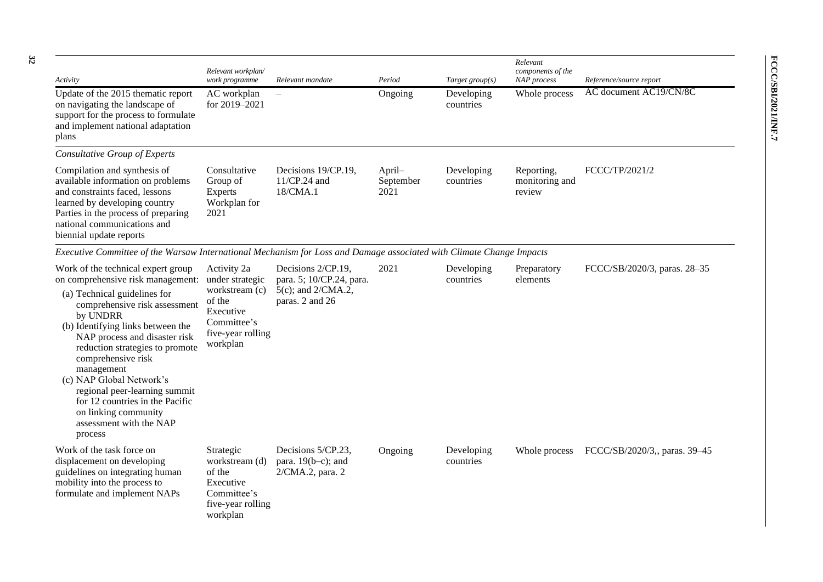| Activity                                                                                                                                                                                                                                                                                                                                                                                                                                                        | Relevant workplan/<br>work programme                                                                                    | Relevant mandate                                                                              | Period                      | Target group $(s)$      | Relevant<br>components of the<br><b>NAP</b> process | Reference/source report       |
|-----------------------------------------------------------------------------------------------------------------------------------------------------------------------------------------------------------------------------------------------------------------------------------------------------------------------------------------------------------------------------------------------------------------------------------------------------------------|-------------------------------------------------------------------------------------------------------------------------|-----------------------------------------------------------------------------------------------|-----------------------------|-------------------------|-----------------------------------------------------|-------------------------------|
| Update of the 2015 thematic report<br>on navigating the landscape of<br>support for the process to formulate<br>and implement national adaptation<br>plans                                                                                                                                                                                                                                                                                                      | AC workplan<br>for 2019-2021                                                                                            |                                                                                               | Ongoing                     | Developing<br>countries | Whole process                                       | AC document AC19/CN/8C        |
| <b>Consultative Group of Experts</b>                                                                                                                                                                                                                                                                                                                                                                                                                            |                                                                                                                         |                                                                                               |                             |                         |                                                     |                               |
| Compilation and synthesis of<br>available information on problems<br>and constraints faced, lessons<br>learned by developing country<br>Parties in the process of preparing<br>national communications and<br>biennial update reports                                                                                                                                                                                                                           | Consultative<br>Group of<br>Experts<br>Workplan for<br>2021                                                             | Decisions 19/CP.19,<br>11/CP.24 and<br>18/CMA.1                                               | April-<br>September<br>2021 | Developing<br>countries | Reporting,<br>monitoring and<br>review              | FCCC/TP/2021/2                |
| Executive Committee of the Warsaw International Mechanism for Loss and Damage associated with Climate Change Impacts                                                                                                                                                                                                                                                                                                                                            |                                                                                                                         |                                                                                               |                             |                         |                                                     |                               |
| Work of the technical expert group<br>on comprehensive risk management:<br>(a) Technical guidelines for<br>comprehensive risk assessment<br>by UNDRR<br>(b) Identifying links between the<br>NAP process and disaster risk<br>reduction strategies to promote<br>comprehensive risk<br>management<br>(c) NAP Global Network's<br>regional peer-learning summit<br>for 12 countries in the Pacific<br>on linking community<br>assessment with the NAP<br>process | Activity 2a<br>under strategic<br>workstream (c)<br>of the<br>Executive<br>Committee's<br>five-year rolling<br>workplan | Decisions 2/CP.19,<br>para. 5; 10/CP.24, para.<br>$5(c)$ ; and $2/CMA.2$ ,<br>paras. 2 and 26 | 2021                        | Developing<br>countries | Preparatory<br>elements                             | FCCC/SB/2020/3, paras. 28-35  |
| Work of the task force on<br>displacement on developing<br>guidelines on integrating human<br>mobility into the process to<br>formulate and implement NAPs                                                                                                                                                                                                                                                                                                      | Strategic<br>workstream (d)<br>of the<br>Executive<br>Committee's<br>five-year rolling<br>workplan                      | Decisions 5/CP.23,<br>para. $19(b-c)$ ; and<br>2/CMA.2, para. 2                               | Ongoing                     | Developing<br>countries | Whole process                                       | FCCC/SB/2020/3,, paras. 39-45 |

**FCCC/SBI/2021/INF.7**

FCCC/SBI/2021/INF.7

**32**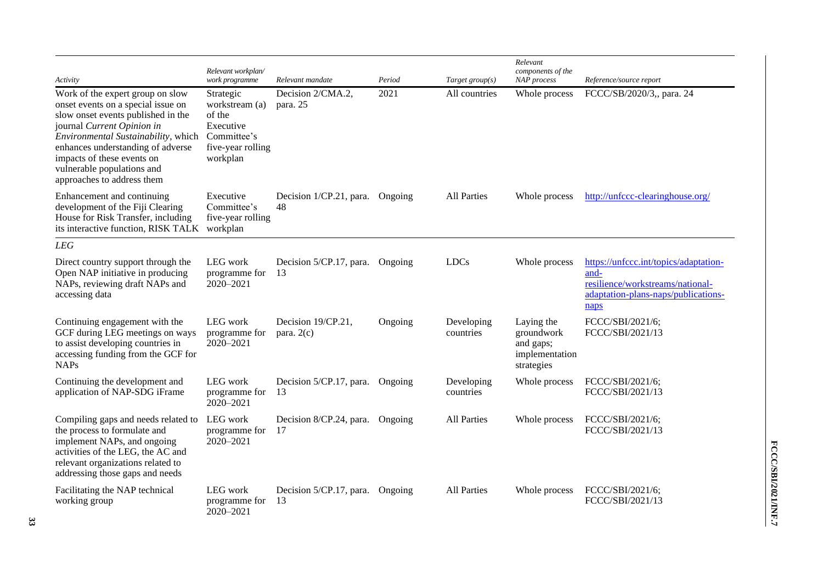| Activity                                                                                                                                                                                                                                                                                                         | Relevant workplan/<br>work programme                                                               | Relevant mandate                       | Period  | Target $group(s)$       | Relevant<br>components of the<br>NAP process                          | Reference/source report                                                                                                          |
|------------------------------------------------------------------------------------------------------------------------------------------------------------------------------------------------------------------------------------------------------------------------------------------------------------------|----------------------------------------------------------------------------------------------------|----------------------------------------|---------|-------------------------|-----------------------------------------------------------------------|----------------------------------------------------------------------------------------------------------------------------------|
| Work of the expert group on slow<br>onset events on a special issue on<br>slow onset events published in the<br>journal Current Opinion in<br>Environmental Sustainability, which<br>enhances understanding of adverse<br>impacts of these events on<br>vulnerable populations and<br>approaches to address them | Strategic<br>workstream (a)<br>of the<br>Executive<br>Committee's<br>five-year rolling<br>workplan | Decision 2/CMA.2,<br>para. 25          | 2021    | All countries           | Whole process                                                         | FCCC/SB/2020/3,, para. 24                                                                                                        |
| Enhancement and continuing<br>development of the Fiji Clearing<br>House for Risk Transfer, including<br>its interactive function, RISK TALK                                                                                                                                                                      | Executive<br>Committee's<br>five-year rolling<br>workplan                                          | Decision 1/CP.21, para. Ongoing<br>48  |         | <b>All Parties</b>      | Whole process                                                         | http://unfccc-clearinghouse.org/                                                                                                 |
| <b>LEG</b>                                                                                                                                                                                                                                                                                                       |                                                                                                    |                                        |         |                         |                                                                       |                                                                                                                                  |
| Direct country support through the<br>Open NAP initiative in producing<br>NAPs, reviewing draft NAPs and<br>accessing data                                                                                                                                                                                       | LEG work<br>programme for<br>2020-2021                                                             | Decision 5/CP.17, para. Ongoing<br>-13 |         | <b>LDCs</b>             | Whole process                                                         | https://unfccc.int/topics/adaptation-<br>and-<br>resilience/workstreams/national-<br>adaptation-plans-naps/publications-<br>naps |
| Continuing engagement with the<br>GCF during LEG meetings on ways<br>to assist developing countries in<br>accessing funding from the GCF for<br><b>NAPs</b>                                                                                                                                                      | LEG work<br>programme for<br>2020-2021                                                             | Decision 19/CP.21,<br>para. $2(c)$     | Ongoing | Developing<br>countries | Laying the<br>groundwork<br>and gaps;<br>implementation<br>strategies | FCCC/SBI/2021/6;<br>FCCC/SBI/2021/13                                                                                             |
| Continuing the development and<br>application of NAP-SDG iFrame                                                                                                                                                                                                                                                  | LEG work<br>programme for<br>2020-2021                                                             | Decision 5/CP.17, para.<br>13          | Ongoing | Developing<br>countries | Whole process                                                         | FCCC/SBI/2021/6;<br>FCCC/SBI/2021/13                                                                                             |
| Compiling gaps and needs related to<br>the process to formulate and<br>implement NAPs, and ongoing<br>activities of the LEG, the AC and<br>relevant organizations related to<br>addressing those gaps and needs                                                                                                  | LEG work<br>programme for<br>2020-2021                                                             | Decision 8/CP.24, para.<br>-17         | Ongoing | <b>All Parties</b>      | Whole process                                                         | FCCC/SBI/2021/6;<br>FCCC/SBI/2021/13                                                                                             |
| Facilitating the NAP technical<br>working group                                                                                                                                                                                                                                                                  | LEG work<br>programme for<br>2020-2021                                                             | Decision 5/CP.17, para.<br>13          | Ongoing | <b>All Parties</b>      | Whole process                                                         | FCCC/SBI/2021/6;<br>FCCC/SBI/2021/13                                                                                             |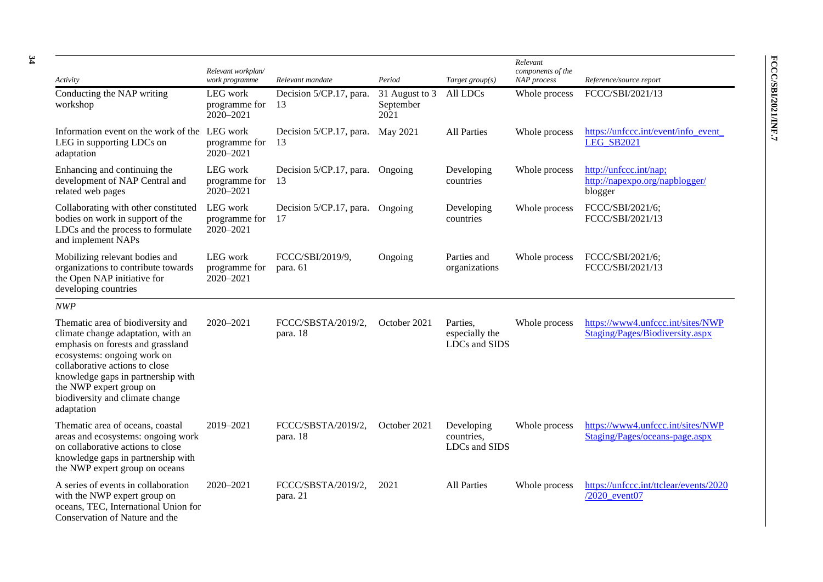| Activity                                                                                                                                                                                                                                                                                        | Relevant workplan/<br>work programme   | Relevant mandate               | Period                              | Target group $(s)$                          | Relevant<br>components of the<br>NAP process | Reference/source report                                              |
|-------------------------------------------------------------------------------------------------------------------------------------------------------------------------------------------------------------------------------------------------------------------------------------------------|----------------------------------------|--------------------------------|-------------------------------------|---------------------------------------------|----------------------------------------------|----------------------------------------------------------------------|
| Conducting the NAP writing<br>workshop                                                                                                                                                                                                                                                          | LEG work<br>programme for<br>2020-2021 | Decision 5/CP.17, para.<br>13  | 31 August to 3<br>September<br>2021 | All LDCs                                    | Whole process                                | FCCC/SBI/2021/13                                                     |
| Information event on the work of the<br>LEG in supporting LDCs on<br>adaptation                                                                                                                                                                                                                 | LEG work<br>programme for<br>2020-2021 | Decision 5/CP.17, para.<br>13  | May 2021                            | <b>All Parties</b>                          | Whole process                                | https://unfccc.int/event/info_event_<br><b>LEG SB2021</b>            |
| Enhancing and continuing the<br>development of NAP Central and<br>related web pages                                                                                                                                                                                                             | LEG work<br>programme for<br>2020-2021 | Decision 5/CP.17, para.<br>13  | Ongoing                             | Developing<br>countries                     | Whole process                                | http://unfccc.int/nap;<br>http://napexpo.org/napblogger/<br>blogger  |
| Collaborating with other constituted<br>bodies on work in support of the<br>LDCs and the process to formulate<br>and implement NAPs                                                                                                                                                             | LEG work<br>programme for<br>2020-2021 | Decision 5/CP.17, para.<br>17  | Ongoing                             | Developing<br>countries                     | Whole process                                | FCCC/SBI/2021/6;<br>FCCC/SBI/2021/13                                 |
| Mobilizing relevant bodies and<br>organizations to contribute towards<br>the Open NAP initiative for<br>developing countries                                                                                                                                                                    | LEG work<br>programme for<br>2020-2021 | FCCC/SBI/2019/9,<br>para. 61   | Ongoing                             | Parties and<br>organizations                | Whole process                                | FCCC/SBI/2021/6;<br>FCCC/SBI/2021/13                                 |
| NWP                                                                                                                                                                                                                                                                                             |                                        |                                |                                     |                                             |                                              |                                                                      |
| Thematic area of biodiversity and<br>climate change adaptation, with an<br>emphasis on forests and grassland<br>ecosystems: ongoing work on<br>collaborative actions to close<br>knowledge gaps in partnership with<br>the NWP expert group on<br>biodiversity and climate change<br>adaptation | 2020-2021                              | FCCC/SBSTA/2019/2,<br>para. 18 | October 2021                        | Parties,<br>especially the<br>LDCs and SIDS | Whole process                                | https://www4.unfccc.int/sites/NWP<br>Staging/Pages/Biodiversity.aspx |
| Thematic area of oceans, coastal<br>areas and ecosystems: ongoing work<br>on collaborative actions to close<br>knowledge gaps in partnership with<br>the NWP expert group on oceans                                                                                                             | 2019-2021                              | FCCC/SBSTA/2019/2,<br>para. 18 | October 2021                        | Developing<br>countries,<br>LDCs and SIDS   | Whole process                                | https://www4.unfccc.int/sites/NWP<br>Staging/Pages/oceans-page.aspx  |
| A series of events in collaboration<br>with the NWP expert group on<br>oceans, TEC, International Union for<br>Conservation of Nature and the                                                                                                                                                   | 2020-2021                              | FCCC/SBSTA/2019/2,<br>para. 21 | 2021                                | <b>All Parties</b>                          | Whole process                                | https://unfccc.int/ttclear/events/2020<br>/2020 event07              |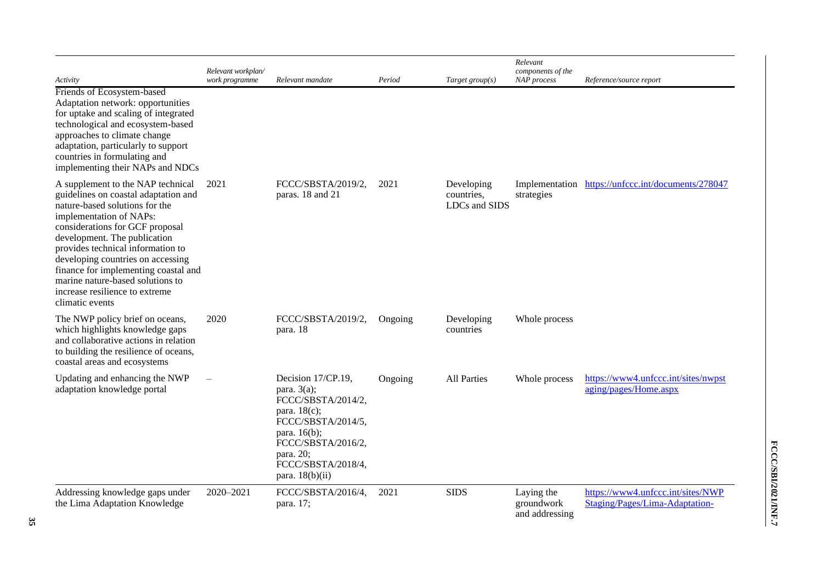| Activity                                                                                                                                                                                                                                                                                                                                                                                                             | Relevant workplan/<br>work programme | Relevant mandate                                                                                                                                                                                | Period  | Target group $(s)$                        | Relevant<br>components of the<br>NAP process | Reference/source report                                             |
|----------------------------------------------------------------------------------------------------------------------------------------------------------------------------------------------------------------------------------------------------------------------------------------------------------------------------------------------------------------------------------------------------------------------|--------------------------------------|-------------------------------------------------------------------------------------------------------------------------------------------------------------------------------------------------|---------|-------------------------------------------|----------------------------------------------|---------------------------------------------------------------------|
| Friends of Ecosystem-based<br>Adaptation network: opportunities<br>for uptake and scaling of integrated<br>technological and ecosystem-based<br>approaches to climate change<br>adaptation, particularly to support<br>countries in formulating and<br>implementing their NAPs and NDCs                                                                                                                              |                                      |                                                                                                                                                                                                 |         |                                           |                                              |                                                                     |
| A supplement to the NAP technical<br>guidelines on coastal adaptation and<br>nature-based solutions for the<br>implementation of NAPs:<br>considerations for GCF proposal<br>development. The publication<br>provides technical information to<br>developing countries on accessing<br>finance for implementing coastal and<br>marine nature-based solutions to<br>increase resilience to extreme<br>climatic events | 2021                                 | FCCC/SBSTA/2019/2,<br>paras. 18 and 21                                                                                                                                                          | 2021    | Developing<br>countries,<br>LDCs and SIDS | strategies                                   | Implementation https://unfccc.int/documents/278047                  |
| The NWP policy brief on oceans,<br>which highlights knowledge gaps<br>and collaborative actions in relation<br>to building the resilience of oceans,<br>coastal areas and ecosystems                                                                                                                                                                                                                                 | 2020                                 | FCCC/SBSTA/2019/2,<br>para. 18                                                                                                                                                                  | Ongoing | Developing<br>countries                   | Whole process                                |                                                                     |
| Updating and enhancing the NWP<br>adaptation knowledge portal                                                                                                                                                                                                                                                                                                                                                        |                                      | Decision 17/CP.19,<br>para. $3(a)$ ;<br>FCCC/SBSTA/2014/2,<br>para. $18(c)$ ;<br>FCCC/SBSTA/2014/5,<br>para. 16(b);<br>FCCC/SBSTA/2016/2,<br>para. 20;<br>FCCC/SBSTA/2018/4,<br>para. 18(b)(ii) | Ongoing | <b>All Parties</b>                        | Whole process                                | https://www4.unfccc.int/sites/nwpst<br>aging/pages/Home.aspx        |
| Addressing knowledge gaps under<br>the Lima Adaptation Knowledge                                                                                                                                                                                                                                                                                                                                                     | 2020-2021                            | FCCC/SBSTA/2016/4,<br>para. 17;                                                                                                                                                                 | 2021    | <b>SIDS</b>                               | Laying the<br>groundwork<br>and addressing   | https://www4.unfccc.int/sites/NWP<br>Staging/Pages/Lima-Adaptation- |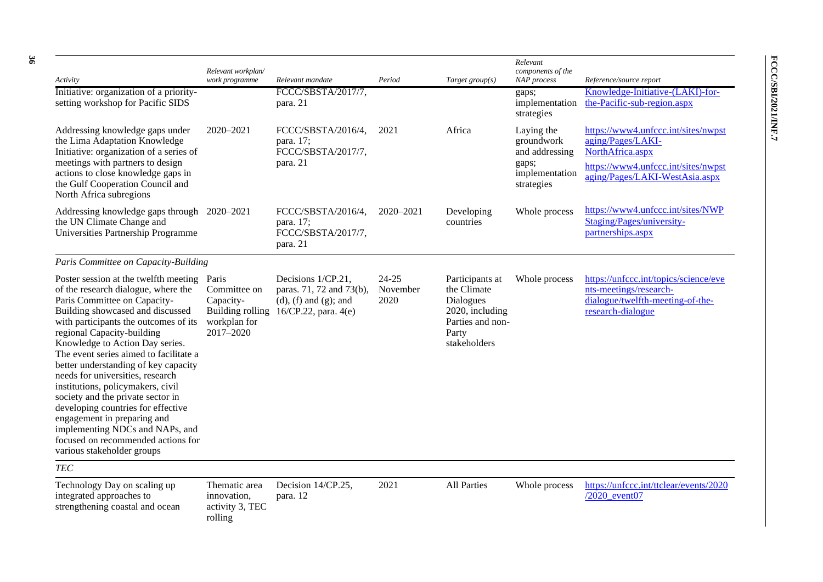| Activity<br>Initiative: organization of a priority-<br>setting workshop for Pacific SIDS                                                                                                                                                                                                                                                                                                                                                                                                                                                                                                                                               | Relevant workplan/<br>work programme                                | Relevant mandate<br>FCCC/SBSTA/2017/7,<br>para. 21                                                                       | Period                        | Target group $(s)$                                                                                          | Relevant<br>components of the<br><b>NAP</b> process<br>gaps;<br>implementation<br>strategies | Reference/source report<br>Knowledge-Initiative-(LAKI)-for-<br>the-Pacific-sub-region.aspx                                                            |
|----------------------------------------------------------------------------------------------------------------------------------------------------------------------------------------------------------------------------------------------------------------------------------------------------------------------------------------------------------------------------------------------------------------------------------------------------------------------------------------------------------------------------------------------------------------------------------------------------------------------------------------|---------------------------------------------------------------------|--------------------------------------------------------------------------------------------------------------------------|-------------------------------|-------------------------------------------------------------------------------------------------------------|----------------------------------------------------------------------------------------------|-------------------------------------------------------------------------------------------------------------------------------------------------------|
| Addressing knowledge gaps under<br>the Lima Adaptation Knowledge<br>Initiative: organization of a series of<br>meetings with partners to design<br>actions to close knowledge gaps in<br>the Gulf Cooperation Council and<br>North Africa subregions                                                                                                                                                                                                                                                                                                                                                                                   | $2020 - 2021$                                                       | FCCC/SBSTA/2016/4,<br>para. 17;<br>FCCC/SBSTA/2017/7,<br>para. 21                                                        | 2021                          | Africa                                                                                                      | Laying the<br>groundwork<br>and addressing<br>gaps;<br>implementation<br>strategies          | https://www4.unfccc.int/sites/nwpst<br>aging/Pages/LAKI-<br>NorthAfrica.aspx<br>https://www4.unfccc.int/sites/nwpst<br>aging/Pages/LAKI-WestAsia.aspx |
| Addressing knowledge gaps through 2020–2021<br>the UN Climate Change and<br>Universities Partnership Programme                                                                                                                                                                                                                                                                                                                                                                                                                                                                                                                         |                                                                     | FCCC/SBSTA/2016/4,<br>para. 17;<br>FCCC/SBSTA/2017/7,<br>para. 21                                                        | $2020 - 2021$                 | Developing<br>countries                                                                                     | Whole process                                                                                | https://www4.unfccc.int/sites/NWP<br>Staging/Pages/university-<br>partnerships.aspx                                                                   |
| Paris Committee on Capacity-Building                                                                                                                                                                                                                                                                                                                                                                                                                                                                                                                                                                                                   |                                                                     |                                                                                                                          |                               |                                                                                                             |                                                                                              |                                                                                                                                                       |
| Poster session at the twelfth meeting<br>of the research dialogue, where the<br>Paris Committee on Capacity-<br>Building showcased and discussed<br>with participants the outcomes of its<br>regional Capacity-building<br>Knowledge to Action Day series.<br>The event series aimed to facilitate a<br>better understanding of key capacity<br>needs for universities, research<br>institutions, policymakers, civil<br>society and the private sector in<br>developing countries for effective<br>engagement in preparing and<br>implementing NDCs and NAPs, and<br>focused on recommended actions for<br>various stakeholder groups | Paris<br>Committee on<br>Capacity-<br>workplan for<br>$2017 - 2020$ | Decisions 1/CP.21,<br>paras. 71, 72 and 73(b),<br>$(d)$ , $(f)$ and $(g)$ ; and<br>Building rolling 16/CP.22, para. 4(e) | $24 - 25$<br>November<br>2020 | Participants at<br>the Climate<br>Dialogues<br>2020, including<br>Parties and non-<br>Party<br>stakeholders | Whole process                                                                                | https://unfccc.int/topics/science/eve<br>nts-meetings/research-<br>dialogue/twelfth-meeting-of-the-<br>research-dialogue                              |
| <b>TEC</b>                                                                                                                                                                                                                                                                                                                                                                                                                                                                                                                                                                                                                             |                                                                     |                                                                                                                          |                               |                                                                                                             |                                                                                              |                                                                                                                                                       |
| Technology Day on scaling up<br>integrated approaches to<br>strengthening coastal and ocean                                                                                                                                                                                                                                                                                                                                                                                                                                                                                                                                            | Thematic area<br>innovation,<br>activity 3, TEC<br>rolling          | Decision 14/CP.25,<br>para. 12                                                                                           | 2021                          | <b>All Parties</b>                                                                                          | Whole process                                                                                | https://unfccc.int/ttclear/events/2020<br>/2020 event07                                                                                               |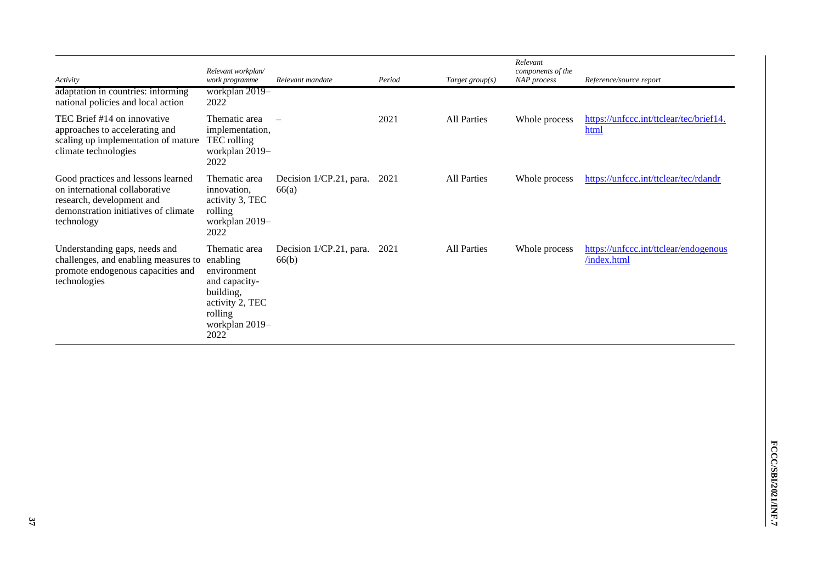| Activity<br>adaptation in countries: informing                                                                                                          | Relevant workplan/<br>work programme<br>workplan 2019-                                                                         | Relevant mandate                         | Period | Target group $(s)$ | Relevant<br>components of the<br>NAP process | Reference/source report                              |
|---------------------------------------------------------------------------------------------------------------------------------------------------------|--------------------------------------------------------------------------------------------------------------------------------|------------------------------------------|--------|--------------------|----------------------------------------------|------------------------------------------------------|
| national policies and local action                                                                                                                      | 2022                                                                                                                           |                                          |        |                    |                                              |                                                      |
| TEC Brief #14 on innovative<br>approaches to accelerating and<br>scaling up implementation of mature<br>climate technologies                            | Thematic area<br>implementation,<br>TEC rolling<br>workplan 2019-<br>2022                                                      |                                          | 2021   | <b>All Parties</b> | Whole process                                | https://unfccc.int/ttclear/tec/brief14.<br>html      |
| Good practices and lessons learned<br>on international collaborative<br>research, development and<br>demonstration initiatives of climate<br>technology | Thematic area<br>innovation.<br>activity 3, TEC<br>rolling<br>workplan 2019-<br>2022                                           | Decision $1/CP.21$ , para. 2021<br>66(a) |        | <b>All Parties</b> | Whole process                                | https://unfccc.int/ttclear/tec/rdandr                |
| Understanding gaps, needs and<br>challenges, and enabling measures to<br>promote endogenous capacities and<br>technologies                              | Thematic area<br>enabling<br>environment<br>and capacity-<br>building,<br>activity 2, TEC<br>rolling<br>workplan 2019-<br>2022 | Decision 1/CP.21, para. 2021<br>66(b)    |        | All Parties        | Whole process                                | https://unfccc.int/ttclear/endogenous<br>/index.html |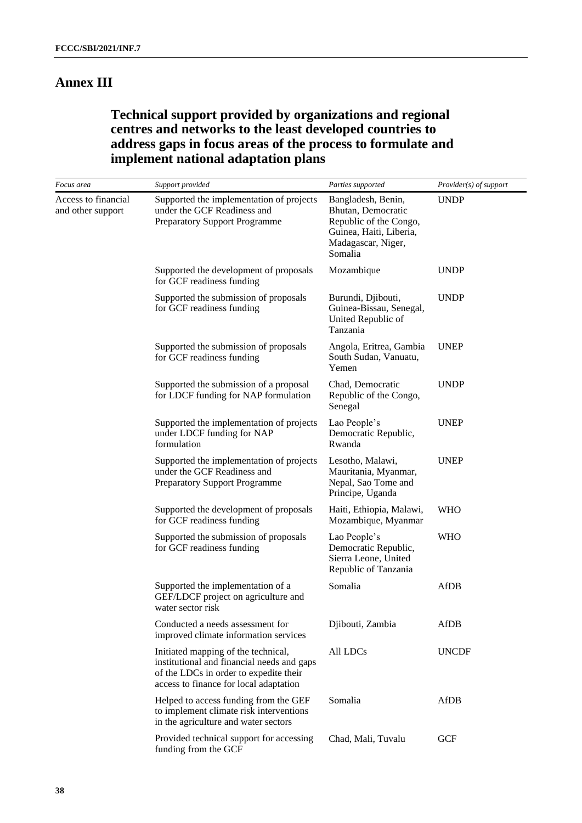## **Annex III**

## **Technical support provided by organizations and regional centres and networks to the least developed countries to address gaps in focus areas of the process to formulate and implement national adaptation plans**

| Focus area                               | Support provided                                                                                                                                                      | Parties supported                                                                                                              | <i>Provider(s) of support</i> |
|------------------------------------------|-----------------------------------------------------------------------------------------------------------------------------------------------------------------------|--------------------------------------------------------------------------------------------------------------------------------|-------------------------------|
| Access to financial<br>and other support | Supported the implementation of projects<br>under the GCF Readiness and<br><b>Preparatory Support Programme</b>                                                       | Bangladesh, Benin,<br>Bhutan, Democratic<br>Republic of the Congo,<br>Guinea, Haiti, Liberia,<br>Madagascar, Niger,<br>Somalia | <b>UNDP</b>                   |
|                                          | Supported the development of proposals<br>for GCF readiness funding                                                                                                   | Mozambique                                                                                                                     | <b>UNDP</b>                   |
|                                          | Supported the submission of proposals<br>for GCF readiness funding                                                                                                    | Burundi, Djibouti,<br>Guinea-Bissau, Senegal,<br>United Republic of<br>Tanzania                                                | <b>UNDP</b>                   |
|                                          | Supported the submission of proposals<br>for GCF readiness funding                                                                                                    | Angola, Eritrea, Gambia<br>South Sudan, Vanuatu,<br>Yemen                                                                      | <b>UNEP</b>                   |
|                                          | Supported the submission of a proposal<br>for LDCF funding for NAP formulation                                                                                        | Chad, Democratic<br>Republic of the Congo,<br>Senegal                                                                          | <b>UNDP</b>                   |
|                                          | Supported the implementation of projects<br>under LDCF funding for NAP<br>formulation                                                                                 | Lao People's<br>Democratic Republic,<br>Rwanda                                                                                 | <b>UNEP</b>                   |
|                                          | Supported the implementation of projects<br>under the GCF Readiness and<br><b>Preparatory Support Programme</b>                                                       | Lesotho, Malawi,<br>Mauritania, Myanmar,<br>Nepal, Sao Tome and<br>Principe, Uganda                                            | <b>UNEP</b>                   |
|                                          | Supported the development of proposals<br>for GCF readiness funding                                                                                                   | Haiti, Ethiopia, Malawi,<br>Mozambique, Myanmar                                                                                | <b>WHO</b>                    |
|                                          | Supported the submission of proposals<br>for GCF readiness funding                                                                                                    | Lao People's<br>Democratic Republic,<br>Sierra Leone, United<br>Republic of Tanzania                                           | <b>WHO</b>                    |
|                                          | Supported the implementation of a<br>GEF/LDCF project on agriculture and<br>water sector risk                                                                         | Somalia                                                                                                                        | <b>AfDB</b>                   |
|                                          | Conducted a needs assessment for<br>improved climate information services                                                                                             | Djibouti, Zambia                                                                                                               | AfDB                          |
|                                          | Initiated mapping of the technical,<br>institutional and financial needs and gaps<br>of the LDCs in order to expedite their<br>access to finance for local adaptation | All LDCs                                                                                                                       | <b>UNCDF</b>                  |
|                                          | Helped to access funding from the GEF<br>to implement climate risk interventions<br>in the agriculture and water sectors                                              | Somalia                                                                                                                        | <b>AfDB</b>                   |
|                                          | Provided technical support for accessing<br>funding from the GCF                                                                                                      | Chad, Mali, Tuvalu                                                                                                             | <b>GCF</b>                    |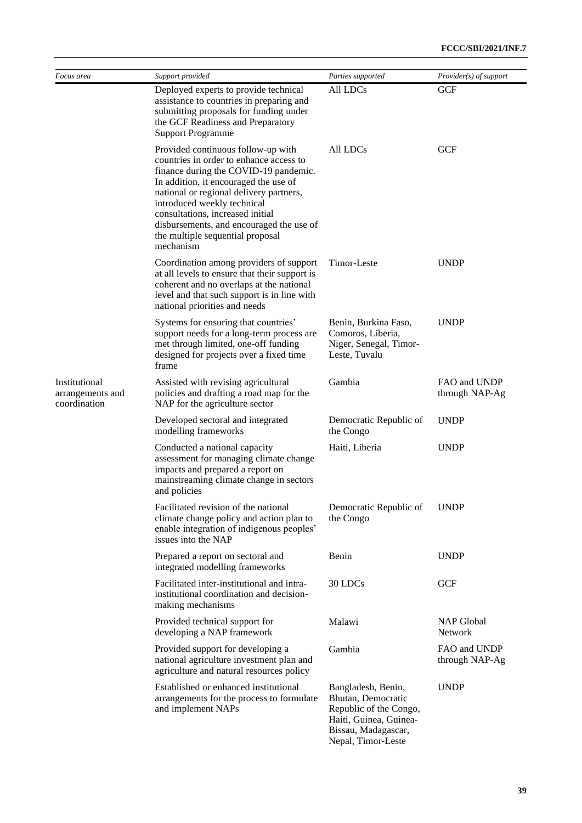| Focus area                                        | Support provided                                                                                                                                                                                                                                                                                                                                                           | Parties supported                                                                                                                         | Provider(s) of support         |
|---------------------------------------------------|----------------------------------------------------------------------------------------------------------------------------------------------------------------------------------------------------------------------------------------------------------------------------------------------------------------------------------------------------------------------------|-------------------------------------------------------------------------------------------------------------------------------------------|--------------------------------|
|                                                   | Deployed experts to provide technical<br>assistance to countries in preparing and<br>submitting proposals for funding under<br>the GCF Readiness and Preparatory<br><b>Support Programme</b>                                                                                                                                                                               | All LDCs                                                                                                                                  | <b>GCF</b>                     |
|                                                   | Provided continuous follow-up with<br>countries in order to enhance access to<br>finance during the COVID-19 pandemic.<br>In addition, it encouraged the use of<br>national or regional delivery partners,<br>introduced weekly technical<br>consultations, increased initial<br>disbursements, and encouraged the use of<br>the multiple sequential proposal<br>mechanism | All LDCs                                                                                                                                  | <b>GCF</b>                     |
|                                                   | Coordination among providers of support<br>at all levels to ensure that their support is<br>coherent and no overlaps at the national<br>level and that such support is in line with<br>national priorities and needs                                                                                                                                                       | Timor-Leste                                                                                                                               | <b>UNDP</b>                    |
|                                                   | Systems for ensuring that countries'<br>support needs for a long-term process are<br>met through limited, one-off funding<br>designed for projects over a fixed time<br>frame                                                                                                                                                                                              | Benin, Burkina Faso,<br>Comoros, Liberia,<br>Niger, Senegal, Timor-<br>Leste, Tuvalu                                                      | <b>UNDP</b>                    |
| Institutional<br>arrangements and<br>coordination | Assisted with revising agricultural<br>policies and drafting a road map for the<br>NAP for the agriculture sector                                                                                                                                                                                                                                                          | Gambia                                                                                                                                    | FAO and UNDP<br>through NAP-Ag |
|                                                   | Developed sectoral and integrated<br>modelling frameworks                                                                                                                                                                                                                                                                                                                  | Democratic Republic of<br>the Congo                                                                                                       | <b>UNDP</b>                    |
|                                                   | Conducted a national capacity<br>assessment for managing climate change<br>impacts and prepared a report on<br>mainstreaming climate change in sectors<br>and policies                                                                                                                                                                                                     | Haiti, Liberia                                                                                                                            | <b>UNDP</b>                    |
|                                                   | Facilitated revision of the national<br>climate change policy and action plan to<br>enable integration of indigenous peoples'<br>issues into the NAP                                                                                                                                                                                                                       | Democratic Republic of<br>the Congo                                                                                                       | <b>UNDP</b>                    |
|                                                   | Prepared a report on sectoral and<br>integrated modelling frameworks                                                                                                                                                                                                                                                                                                       | Benin                                                                                                                                     | <b>UNDP</b>                    |
|                                                   | Facilitated inter-institutional and intra-<br>institutional coordination and decision-<br>making mechanisms                                                                                                                                                                                                                                                                | 30 LDCs                                                                                                                                   | <b>GCF</b>                     |
|                                                   | Provided technical support for<br>developing a NAP framework                                                                                                                                                                                                                                                                                                               | Malawi                                                                                                                                    | <b>NAP Global</b><br>Network   |
|                                                   | Provided support for developing a<br>national agriculture investment plan and<br>agriculture and natural resources policy                                                                                                                                                                                                                                                  | Gambia                                                                                                                                    | FAO and UNDP<br>through NAP-Ag |
|                                                   | Established or enhanced institutional<br>arrangements for the process to formulate<br>and implement NAPs                                                                                                                                                                                                                                                                   | Bangladesh, Benin,<br>Bhutan, Democratic<br>Republic of the Congo,<br>Haiti, Guinea, Guinea-<br>Bissau, Madagascar,<br>Nepal, Timor-Leste | <b>UNDP</b>                    |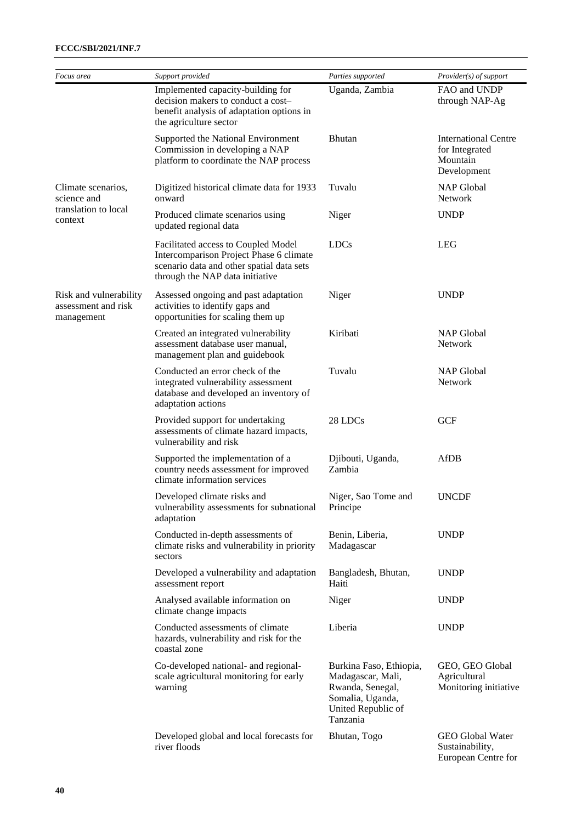### **FCCC/SBI/2021/INF.7**

| Focus area                                                  | Support provided                                                                                                                                               | Parties supported                                                                                                      | Provider(s) of support                                                   |
|-------------------------------------------------------------|----------------------------------------------------------------------------------------------------------------------------------------------------------------|------------------------------------------------------------------------------------------------------------------------|--------------------------------------------------------------------------|
|                                                             | Implemented capacity-building for<br>decision makers to conduct a cost-<br>benefit analysis of adaptation options in<br>the agriculture sector                 | Uganda, Zambia                                                                                                         | FAO and UNDP<br>through NAP-Ag                                           |
|                                                             | Supported the National Environment<br>Commission in developing a NAP<br>platform to coordinate the NAP process                                                 | Bhutan                                                                                                                 | <b>International Centre</b><br>for Integrated<br>Mountain<br>Development |
| Climate scenarios,<br>science and                           | Digitized historical climate data for 1933<br>onward                                                                                                           | Tuvalu                                                                                                                 | <b>NAP Global</b><br><b>Network</b>                                      |
| translation to local<br>context                             | Produced climate scenarios using<br>updated regional data                                                                                                      | Niger                                                                                                                  | <b>UNDP</b>                                                              |
|                                                             | Facilitated access to Coupled Model<br>Intercomparison Project Phase 6 climate<br>scenario data and other spatial data sets<br>through the NAP data initiative | <b>LDCs</b>                                                                                                            | <b>LEG</b>                                                               |
| Risk and vulnerability<br>assessment and risk<br>management | Assessed ongoing and past adaptation<br>activities to identify gaps and<br>opportunities for scaling them up                                                   | Niger                                                                                                                  | <b>UNDP</b>                                                              |
|                                                             | Created an integrated vulnerability<br>assessment database user manual,<br>management plan and guidebook                                                       | Kiribati                                                                                                               | <b>NAP Global</b><br>Network                                             |
|                                                             | Conducted an error check of the<br>integrated vulnerability assessment<br>database and developed an inventory of<br>adaptation actions                         | Tuvalu                                                                                                                 | <b>NAP Global</b><br><b>Network</b>                                      |
|                                                             | Provided support for undertaking<br>assessments of climate hazard impacts,<br>vulnerability and risk                                                           | 28 LDCs                                                                                                                | <b>GCF</b>                                                               |
|                                                             | Supported the implementation of a<br>country needs assessment for improved<br>climate information services                                                     | Djibouti, Uganda,<br>Zambia                                                                                            | <b>AfDB</b>                                                              |
|                                                             | Developed climate risks and<br>vulnerability assessments for subnational<br>adaptation                                                                         | Niger, Sao Tome and<br>Principe                                                                                        | <b>UNCDF</b>                                                             |
|                                                             | Conducted in-depth assessments of<br>climate risks and vulnerability in priority<br>sectors                                                                    | Benin, Liberia,<br>Madagascar                                                                                          | <b>UNDP</b>                                                              |
|                                                             | Developed a vulnerability and adaptation<br>assessment report                                                                                                  | Bangladesh, Bhutan,<br>Haiti                                                                                           | <b>UNDP</b>                                                              |
|                                                             | Analysed available information on<br>climate change impacts                                                                                                    | Niger                                                                                                                  | <b>UNDP</b>                                                              |
|                                                             | Conducted assessments of climate<br>hazards, vulnerability and risk for the<br>coastal zone                                                                    | Liberia                                                                                                                | <b>UNDP</b>                                                              |
|                                                             | Co-developed national- and regional-<br>scale agricultural monitoring for early<br>warning                                                                     | Burkina Faso, Ethiopia,<br>Madagascar, Mali,<br>Rwanda, Senegal,<br>Somalia, Uganda,<br>United Republic of<br>Tanzania | GEO, GEO Global<br>Agricultural<br>Monitoring initiative                 |
|                                                             | Developed global and local forecasts for<br>river floods                                                                                                       | Bhutan, Togo                                                                                                           | <b>GEO Global Water</b><br>Sustainability,<br>European Centre for        |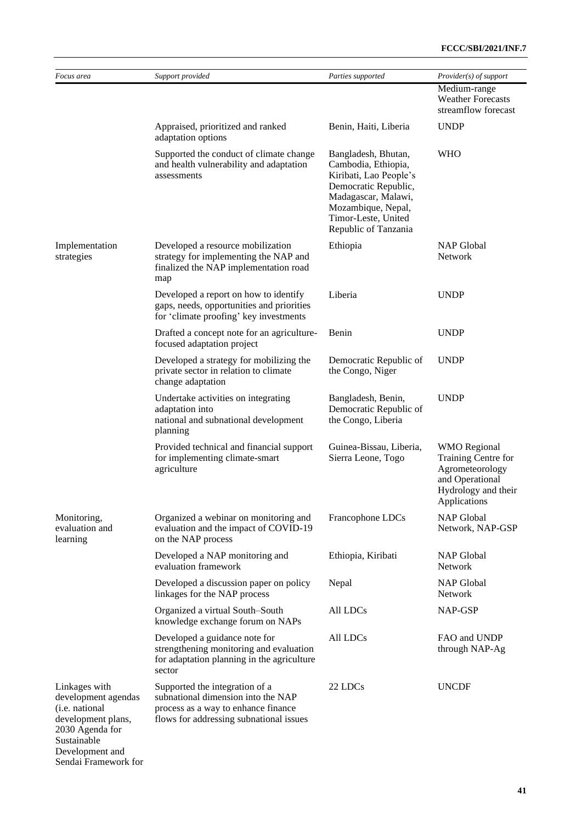| Focus area                                                                                                                        | Support provided                                                                                                                                       | Parties supported                                                                                                                                                                        | Provider(s) of support                                                                                                  |
|-----------------------------------------------------------------------------------------------------------------------------------|--------------------------------------------------------------------------------------------------------------------------------------------------------|------------------------------------------------------------------------------------------------------------------------------------------------------------------------------------------|-------------------------------------------------------------------------------------------------------------------------|
|                                                                                                                                   |                                                                                                                                                        |                                                                                                                                                                                          | Medium-range<br><b>Weather Forecasts</b><br>streamflow forecast                                                         |
|                                                                                                                                   | Appraised, prioritized and ranked<br>adaptation options                                                                                                | Benin, Haiti, Liberia                                                                                                                                                                    | <b>UNDP</b>                                                                                                             |
|                                                                                                                                   | Supported the conduct of climate change<br>and health vulnerability and adaptation<br>assessments                                                      | Bangladesh, Bhutan,<br>Cambodia, Ethiopia,<br>Kiribati, Lao People's<br>Democratic Republic,<br>Madagascar, Malawi,<br>Mozambique, Nepal,<br>Timor-Leste, United<br>Republic of Tanzania | <b>WHO</b>                                                                                                              |
| Implementation<br>strategies                                                                                                      | Developed a resource mobilization<br>strategy for implementing the NAP and<br>finalized the NAP implementation road<br>map                             | Ethiopia                                                                                                                                                                                 | NAP Global<br>Network                                                                                                   |
|                                                                                                                                   | Developed a report on how to identify<br>gaps, needs, opportunities and priorities<br>for 'climate proofing' key investments                           | Liberia                                                                                                                                                                                  | <b>UNDP</b>                                                                                                             |
|                                                                                                                                   | Drafted a concept note for an agriculture-<br>focused adaptation project                                                                               | Benin                                                                                                                                                                                    | <b>UNDP</b>                                                                                                             |
|                                                                                                                                   | Developed a strategy for mobilizing the<br>private sector in relation to climate<br>change adaptation                                                  | Democratic Republic of<br>the Congo, Niger                                                                                                                                               | <b>UNDP</b>                                                                                                             |
|                                                                                                                                   | Undertake activities on integrating<br>adaptation into<br>national and subnational development<br>planning                                             | Bangladesh, Benin,<br>Democratic Republic of<br>the Congo, Liberia                                                                                                                       | <b>UNDP</b>                                                                                                             |
|                                                                                                                                   | Provided technical and financial support<br>for implementing climate-smart<br>agriculture                                                              | Guinea-Bissau, Liberia,<br>Sierra Leone, Togo                                                                                                                                            | <b>WMO</b> Regional<br>Training Centre for<br>Agrometeorology<br>and Operational<br>Hydrology and their<br>Applications |
| Monitoring,<br>evaluation and<br>learning                                                                                         | Organized a webinar on monitoring and<br>evaluation and the impact of COVID-19<br>on the NAP process                                                   | Francophone LDCs                                                                                                                                                                         | NAP Global<br>Network, NAP-GSP                                                                                          |
|                                                                                                                                   | Developed a NAP monitoring and<br>evaluation framework                                                                                                 | Ethiopia, Kiribati                                                                                                                                                                       | <b>NAP Global</b><br>Network                                                                                            |
|                                                                                                                                   | Developed a discussion paper on policy<br>linkages for the NAP process                                                                                 | Nepal                                                                                                                                                                                    | <b>NAP Global</b><br>Network                                                                                            |
|                                                                                                                                   | Organized a virtual South-South<br>knowledge exchange forum on NAPs                                                                                    | All LDCs                                                                                                                                                                                 | NAP-GSP                                                                                                                 |
|                                                                                                                                   | Developed a guidance note for<br>strengthening monitoring and evaluation<br>for adaptation planning in the agriculture<br>sector                       | All LDCs                                                                                                                                                                                 | FAO and UNDP<br>through NAP-Ag                                                                                          |
| Linkages with<br>development agendas<br>(i.e. national<br>development plans,<br>2030 Agenda for<br>Sustainable<br>Development and | Supported the integration of a<br>subnational dimension into the NAP<br>process as a way to enhance finance<br>flows for addressing subnational issues | 22 LDCs                                                                                                                                                                                  | <b>UNCDF</b>                                                                                                            |

## Sendai Framework for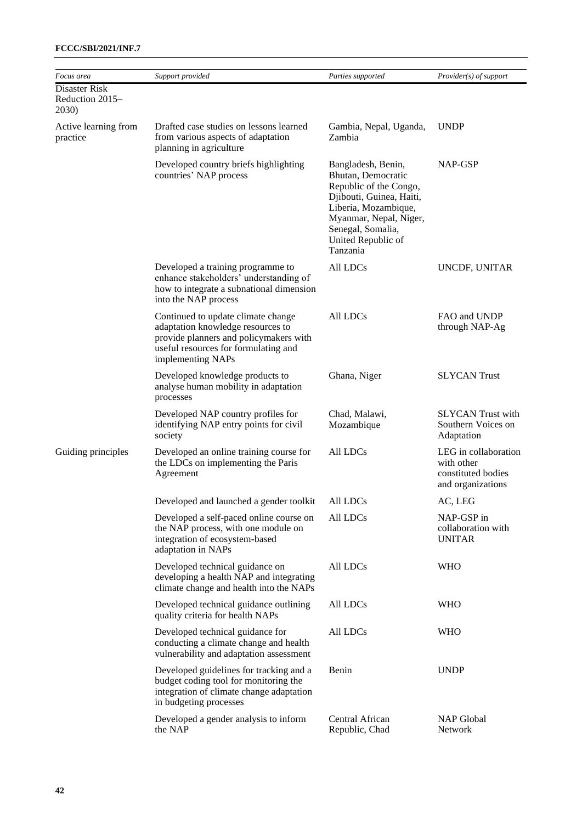| Focus area                                | Support provided                                                                                                                                                               | Parties supported                                                                                                                                                                                       | <i>Provider(s) of support</i>                                                 |
|-------------------------------------------|--------------------------------------------------------------------------------------------------------------------------------------------------------------------------------|---------------------------------------------------------------------------------------------------------------------------------------------------------------------------------------------------------|-------------------------------------------------------------------------------|
| Disaster Risk<br>Reduction 2015-<br>2030) |                                                                                                                                                                                |                                                                                                                                                                                                         |                                                                               |
| Active learning from<br>practice          | Drafted case studies on lessons learned<br>from various aspects of adaptation<br>planning in agriculture                                                                       | Gambia, Nepal, Uganda,<br>Zambia                                                                                                                                                                        | <b>UNDP</b>                                                                   |
|                                           | Developed country briefs highlighting<br>countries' NAP process                                                                                                                | Bangladesh, Benin,<br>Bhutan, Democratic<br>Republic of the Congo,<br>Djibouti, Guinea, Haiti,<br>Liberia, Mozambique,<br>Myanmar, Nepal, Niger,<br>Senegal, Somalia,<br>United Republic of<br>Tanzania | NAP-GSP                                                                       |
|                                           | Developed a training programme to<br>enhance stakeholders' understanding of<br>how to integrate a subnational dimension<br>into the NAP process                                | All LDCs                                                                                                                                                                                                | UNCDF, UNITAR                                                                 |
|                                           | Continued to update climate change<br>adaptation knowledge resources to<br>provide planners and policymakers with<br>useful resources for formulating and<br>implementing NAPs | All LDCs                                                                                                                                                                                                | FAO and UNDP<br>through NAP-Ag                                                |
|                                           | Developed knowledge products to<br>analyse human mobility in adaptation<br>processes                                                                                           | Ghana, Niger                                                                                                                                                                                            | <b>SLYCAN</b> Trust                                                           |
|                                           | Developed NAP country profiles for<br>identifying NAP entry points for civil<br>society                                                                                        | Chad, Malawi,<br>Mozambique                                                                                                                                                                             | <b>SLYCAN</b> Trust with<br>Southern Voices on<br>Adaptation                  |
| Guiding principles                        | Developed an online training course for<br>the LDCs on implementing the Paris<br>Agreement                                                                                     | All LDCs                                                                                                                                                                                                | LEG in collaboration<br>with other<br>constituted bodies<br>and organizations |
|                                           | Developed and launched a gender toolkit                                                                                                                                        | All LDCs                                                                                                                                                                                                | AC, LEG                                                                       |
|                                           | Developed a self-paced online course on<br>the NAP process, with one module on<br>integration of ecosystem-based<br>adaptation in NAPs                                         | All LDCs                                                                                                                                                                                                | NAP-GSP in<br>collaboration with<br><b>UNITAR</b>                             |
|                                           | Developed technical guidance on<br>developing a health NAP and integrating<br>climate change and health into the NAPs                                                          | All LDCs                                                                                                                                                                                                | <b>WHO</b>                                                                    |
|                                           | Developed technical guidance outlining<br>quality criteria for health NAPs                                                                                                     | All LDCs                                                                                                                                                                                                | <b>WHO</b>                                                                    |
|                                           | Developed technical guidance for<br>conducting a climate change and health<br>vulnerability and adaptation assessment                                                          | All LDCs                                                                                                                                                                                                | <b>WHO</b>                                                                    |
|                                           | Developed guidelines for tracking and a<br>budget coding tool for monitoring the<br>integration of climate change adaptation<br>in budgeting processes                         | Benin                                                                                                                                                                                                   | <b>UNDP</b>                                                                   |
|                                           | Developed a gender analysis to inform<br>the NAP                                                                                                                               | Central African<br>Republic, Chad                                                                                                                                                                       | <b>NAP Global</b><br>Network                                                  |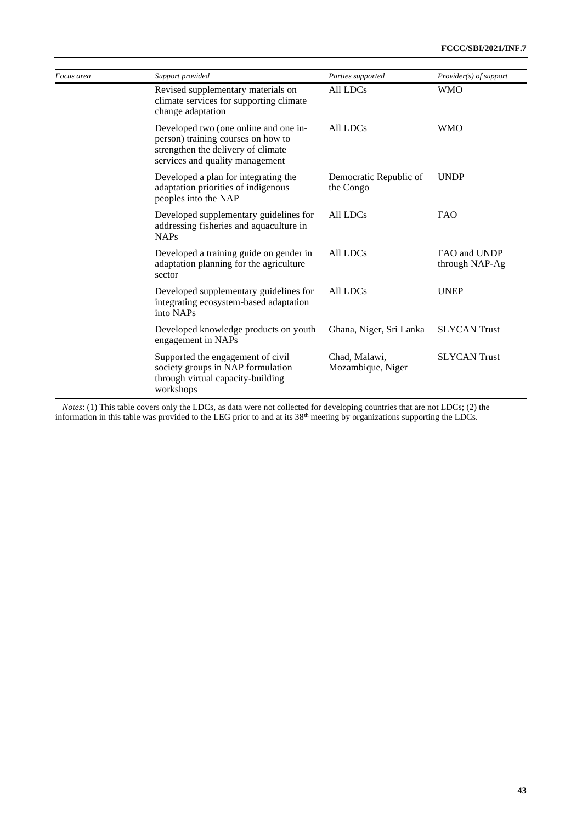| Focus area | Support provided                                                                                                                                     | Parties supported                   | Provider(s) of support         |
|------------|------------------------------------------------------------------------------------------------------------------------------------------------------|-------------------------------------|--------------------------------|
|            | Revised supplementary materials on<br>climate services for supporting climate<br>change adaptation                                                   | All LDCs                            | <b>WMO</b>                     |
|            | Developed two (one online and one in-<br>person) training courses on how to<br>strengthen the delivery of climate<br>services and quality management | All LDCs                            | <b>WMO</b>                     |
|            | Developed a plan for integrating the<br>adaptation priorities of indigenous<br>peoples into the NAP                                                  | Democratic Republic of<br>the Congo | <b>UNDP</b>                    |
|            | Developed supplementary guidelines for<br>addressing fisheries and aquaculture in<br><b>NAPs</b>                                                     | All LDCs                            | <b>FAO</b>                     |
|            | Developed a training guide on gender in<br>adaptation planning for the agriculture<br>sector                                                         | All LDCs                            | FAO and UNDP<br>through NAP-Ag |
|            | Developed supplementary guidelines for<br>integrating ecosystem-based adaptation<br>into NAPs                                                        | All LDCs                            | <b>UNEP</b>                    |
|            | Developed knowledge products on youth<br>engagement in NAPs                                                                                          | Ghana, Niger, Sri Lanka             | <b>SLYCAN</b> Trust            |
|            | Supported the engagement of civil<br>society groups in NAP formulation<br>through virtual capacity-building<br>workshops                             | Chad, Malawi,<br>Mozambique, Niger  | <b>SLYCAN Trust</b>            |

*Notes*: (1) This table covers only the LDCs, as data were not collected for developing countries that are not LDCs; (2) the information in this table was provided to the LEG prior to and at its  $38<sup>th</sup>$  meeting by organizations supporting the LDCs.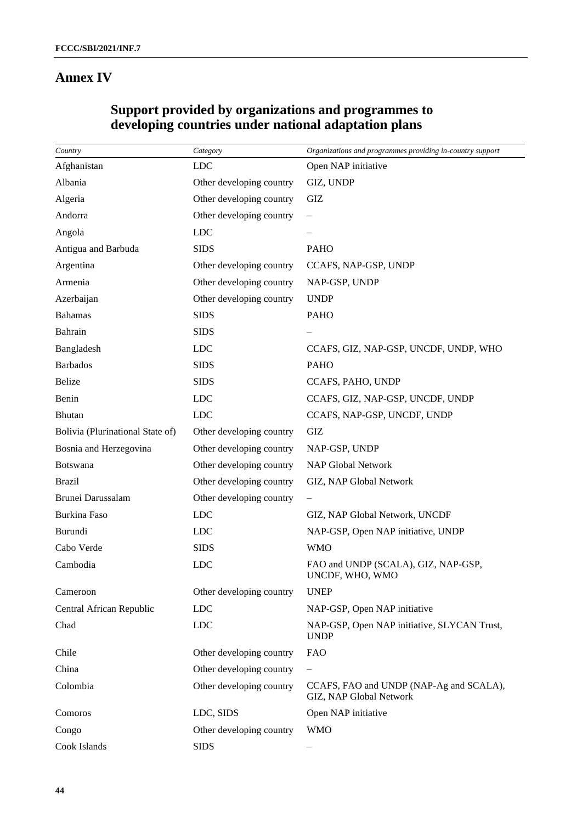## **Annex IV**

| Country                          | Category                 | Organizations and programmes providing in-country support          |
|----------------------------------|--------------------------|--------------------------------------------------------------------|
| Afghanistan                      | <b>LDC</b>               | Open NAP initiative                                                |
| Albania                          | Other developing country | GIZ, UNDP                                                          |
| Algeria                          | Other developing country | GIZ                                                                |
| Andorra                          | Other developing country | $\overline{\phantom{m}}$                                           |
| Angola                           | <b>LDC</b>               |                                                                    |
| Antigua and Barbuda              | <b>SIDS</b>              | <b>PAHO</b>                                                        |
| Argentina                        | Other developing country | CCAFS, NAP-GSP, UNDP                                               |
| Armenia                          | Other developing country | NAP-GSP, UNDP                                                      |
| Azerbaijan                       | Other developing country | <b>UNDP</b>                                                        |
| <b>Bahamas</b>                   | <b>SIDS</b>              | <b>PAHO</b>                                                        |
| Bahrain                          | <b>SIDS</b>              |                                                                    |
| Bangladesh                       | <b>LDC</b>               | CCAFS, GIZ, NAP-GSP, UNCDF, UNDP, WHO                              |
| <b>Barbados</b>                  | <b>SIDS</b>              | <b>PAHO</b>                                                        |
| <b>Belize</b>                    | <b>SIDS</b>              | CCAFS, PAHO, UNDP                                                  |
| Benin                            | <b>LDC</b>               | CCAFS, GIZ, NAP-GSP, UNCDF, UNDP                                   |
| <b>Bhutan</b>                    | <b>LDC</b>               | CCAFS, NAP-GSP, UNCDF, UNDP                                        |
| Bolivia (Plurinational State of) | Other developing country | GIZ                                                                |
| Bosnia and Herzegovina           | Other developing country | NAP-GSP, UNDP                                                      |
| Botswana                         | Other developing country | <b>NAP Global Network</b>                                          |
| <b>Brazil</b>                    | Other developing country | GIZ, NAP Global Network                                            |
| Brunei Darussalam                | Other developing country |                                                                    |
| Burkina Faso                     | <b>LDC</b>               | GIZ, NAP Global Network, UNCDF                                     |
| Burundi                          | <b>LDC</b>               | NAP-GSP, Open NAP initiative, UNDP                                 |
| Cabo Verde                       | <b>SIDS</b>              | <b>WMO</b>                                                         |
| Cambodia                         | <b>LDC</b>               | FAO and UNDP (SCALA), GIZ, NAP-GSP,<br>UNCDF, WHO, WMO             |
| Cameroon                         | Other developing country | <b>UNEP</b>                                                        |
| Central African Republic         | <b>LDC</b>               | NAP-GSP, Open NAP initiative                                       |
| Chad                             | <b>LDC</b>               | NAP-GSP, Open NAP initiative, SLYCAN Trust,<br><b>UNDP</b>         |
| Chile                            | Other developing country | <b>FAO</b>                                                         |
| China                            | Other developing country | $\qquad \qquad -$                                                  |
| Colombia                         | Other developing country | CCAFS, FAO and UNDP (NAP-Ag and SCALA),<br>GIZ, NAP Global Network |
| Comoros                          | LDC, SIDS                | Open NAP initiative                                                |
| Congo                            | Other developing country | <b>WMO</b>                                                         |
| Cook Islands                     | <b>SIDS</b>              |                                                                    |

## **Support provided by organizations and programmes to developing countries under national adaptation plans**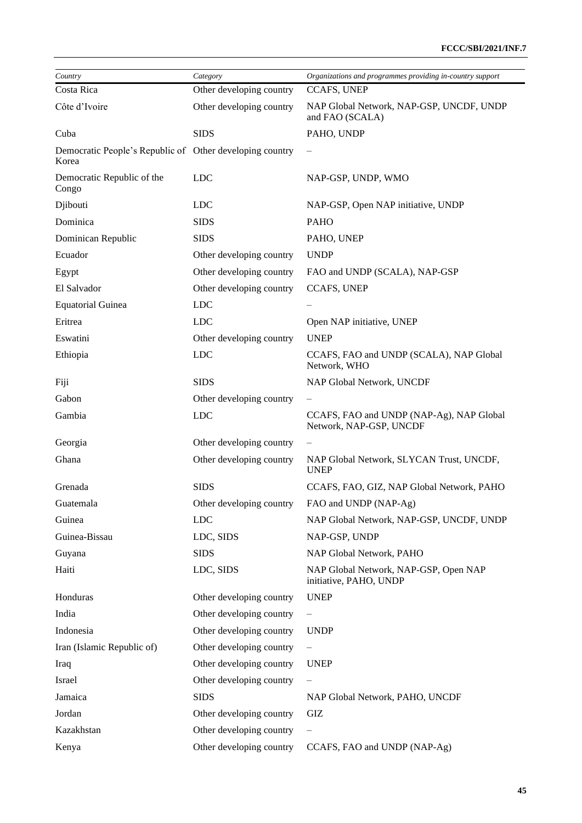| Country                                                           | Category                 | Organizations and programmes providing in-country support           |
|-------------------------------------------------------------------|--------------------------|---------------------------------------------------------------------|
| Costa Rica                                                        | Other developing country | <b>CCAFS, UNEP</b>                                                  |
| Côte d'Ivoire                                                     | Other developing country | NAP Global Network, NAP-GSP, UNCDF, UNDP<br>and FAO (SCALA)         |
| Cuba                                                              | <b>SIDS</b>              | PAHO, UNDP                                                          |
| Democratic People's Republic of Other developing country<br>Korea |                          |                                                                     |
| Democratic Republic of the<br>Congo                               | <b>LDC</b>               | NAP-GSP, UNDP, WMO                                                  |
| Djibouti                                                          | <b>LDC</b>               | NAP-GSP, Open NAP initiative, UNDP                                  |
| Dominica                                                          | <b>SIDS</b>              | <b>PAHO</b>                                                         |
| Dominican Republic                                                | <b>SIDS</b>              | PAHO, UNEP                                                          |
| Ecuador                                                           | Other developing country | <b>UNDP</b>                                                         |
| Egypt                                                             | Other developing country | FAO and UNDP (SCALA), NAP-GSP                                       |
| El Salvador                                                       | Other developing country | CCAFS, UNEP                                                         |
| <b>Equatorial Guinea</b>                                          | <b>LDC</b>               |                                                                     |
| Eritrea                                                           | <b>LDC</b>               | Open NAP initiative, UNEP                                           |
| Eswatini                                                          | Other developing country | <b>UNEP</b>                                                         |
| Ethiopia                                                          | <b>LDC</b>               | CCAFS, FAO and UNDP (SCALA), NAP Global<br>Network, WHO             |
| Fiji                                                              | <b>SIDS</b>              | NAP Global Network, UNCDF                                           |
| Gabon                                                             | Other developing country |                                                                     |
| Gambia                                                            | <b>LDC</b>               | CCAFS, FAO and UNDP (NAP-Ag), NAP Global<br>Network, NAP-GSP, UNCDF |
| Georgia                                                           | Other developing country |                                                                     |
| Ghana                                                             | Other developing country | NAP Global Network, SLYCAN Trust, UNCDF,<br><b>UNEP</b>             |
| Grenada                                                           | <b>SIDS</b>              | CCAFS, FAO, GIZ, NAP Global Network, PAHO                           |
| Guatemala                                                         | Other developing country | FAO and UNDP (NAP-Ag)                                               |
| Guinea                                                            | <b>LDC</b>               | NAP Global Network, NAP-GSP, UNCDF, UNDP                            |
| Guinea-Bissau                                                     | LDC, SIDS                | NAP-GSP, UNDP                                                       |
| Guyana                                                            | <b>SIDS</b>              | NAP Global Network, PAHO                                            |
| Haiti                                                             | LDC, SIDS                | NAP Global Network, NAP-GSP, Open NAP<br>initiative, PAHO, UNDP     |
| Honduras                                                          | Other developing country | <b>UNEP</b>                                                         |
| India                                                             | Other developing country | $\overline{\phantom{0}}$                                            |
| Indonesia                                                         | Other developing country | <b>UNDP</b>                                                         |
| Iran (Islamic Republic of)                                        | Other developing country | $\qquad \qquad -$                                                   |
| Iraq                                                              | Other developing country | <b>UNEP</b>                                                         |
| Israel                                                            | Other developing country | $\overline{\phantom{0}}$                                            |
| Jamaica                                                           | <b>SIDS</b>              | NAP Global Network, PAHO, UNCDF                                     |
| Jordan                                                            | Other developing country | GIZ                                                                 |
| Kazakhstan                                                        | Other developing country | $\overline{\phantom{0}}$                                            |
| Kenya                                                             | Other developing country | CCAFS, FAO and UNDP (NAP-Ag)                                        |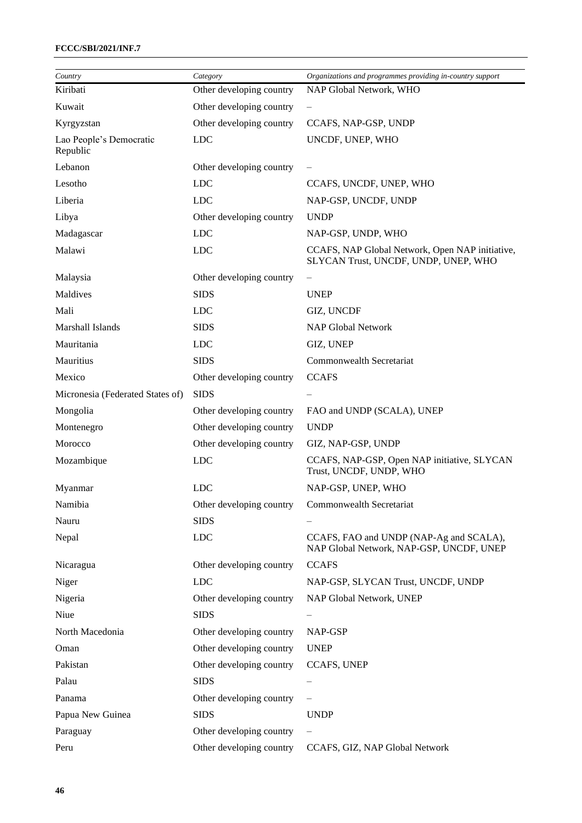### **FCCC/SBI/2021/INF.7**

| Country                             | Category                 | Organizations and programmes providing in-country support                               |
|-------------------------------------|--------------------------|-----------------------------------------------------------------------------------------|
| Kiribati                            | Other developing country | NAP Global Network, WHO                                                                 |
| Kuwait                              | Other developing country |                                                                                         |
| Kyrgyzstan                          | Other developing country | CCAFS, NAP-GSP, UNDP                                                                    |
| Lao People's Democratic<br>Republic | <b>LDC</b>               | UNCDF, UNEP, WHO                                                                        |
| Lebanon                             | Other developing country |                                                                                         |
| Lesotho                             | <b>LDC</b>               | CCAFS, UNCDF, UNEP, WHO                                                                 |
| Liberia                             | <b>LDC</b>               | NAP-GSP, UNCDF, UNDP                                                                    |
| Libya                               | Other developing country | <b>UNDP</b>                                                                             |
| Madagascar                          | <b>LDC</b>               | NAP-GSP, UNDP, WHO                                                                      |
| Malawi                              | <b>LDC</b>               | CCAFS, NAP Global Network, Open NAP initiative,<br>SLYCAN Trust, UNCDF, UNDP, UNEP, WHO |
| Malaysia                            | Other developing country | $\qquad \qquad -$                                                                       |
| Maldives                            | <b>SIDS</b>              | <b>UNEP</b>                                                                             |
| Mali                                | <b>LDC</b>               | GIZ, UNCDF                                                                              |
| Marshall Islands                    | <b>SIDS</b>              | <b>NAP Global Network</b>                                                               |
| Mauritania                          | <b>LDC</b>               | GIZ, UNEP                                                                               |
| Mauritius                           | <b>SIDS</b>              | Commonwealth Secretariat                                                                |
| Mexico                              | Other developing country | <b>CCAFS</b>                                                                            |
| Micronesia (Federated States of)    | <b>SIDS</b>              |                                                                                         |
| Mongolia                            | Other developing country | FAO and UNDP (SCALA), UNEP                                                              |
| Montenegro                          | Other developing country | <b>UNDP</b>                                                                             |
| Morocco                             | Other developing country | GIZ, NAP-GSP, UNDP                                                                      |
| Mozambique                          | <b>LDC</b>               | CCAFS, NAP-GSP, Open NAP initiative, SLYCAN<br>Trust, UNCDF, UNDP, WHO                  |
| Myanmar                             | <b>LDC</b>               | NAP-GSP, UNEP, WHO                                                                      |
| Namibia                             | Other developing country | Commonwealth Secretariat                                                                |
| Nauru                               | <b>SIDS</b>              |                                                                                         |
| Nepal                               | <b>LDC</b>               | CCAFS, FAO and UNDP (NAP-Ag and SCALA),<br>NAP Global Network, NAP-GSP, UNCDF, UNEP     |
| Nicaragua                           | Other developing country | <b>CCAFS</b>                                                                            |
| Niger                               | <b>LDC</b>               | NAP-GSP, SLYCAN Trust, UNCDF, UNDP                                                      |
| Nigeria                             | Other developing country | NAP Global Network, UNEP                                                                |
| Niue                                | <b>SIDS</b>              |                                                                                         |
| North Macedonia                     | Other developing country | NAP-GSP                                                                                 |
| Oman                                | Other developing country | <b>UNEP</b>                                                                             |
| Pakistan                            | Other developing country | <b>CCAFS, UNEP</b>                                                                      |
| Palau                               | <b>SIDS</b>              |                                                                                         |
| Panama                              | Other developing country |                                                                                         |
| Papua New Guinea                    | <b>SIDS</b>              | <b>UNDP</b>                                                                             |
| Paraguay                            | Other developing country |                                                                                         |
| Peru                                | Other developing country | CCAFS, GIZ, NAP Global Network                                                          |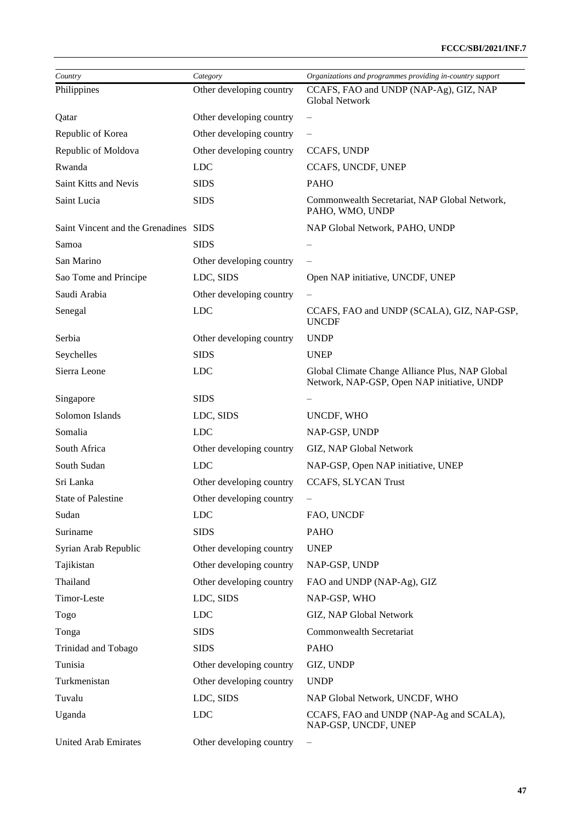| Country                               | Category                 | Organizations and programmes providing in-country support                                      |
|---------------------------------------|--------------------------|------------------------------------------------------------------------------------------------|
| Philippines                           | Other developing country | CCAFS, FAO and UNDP (NAP-Ag), GIZ, NAP                                                         |
|                                       |                          | <b>Global Network</b>                                                                          |
| Qatar                                 | Other developing country |                                                                                                |
| Republic of Korea                     | Other developing country |                                                                                                |
| Republic of Moldova                   | Other developing country | CCAFS, UNDP                                                                                    |
| Rwanda                                | <b>LDC</b>               | CCAFS, UNCDF, UNEP                                                                             |
| Saint Kitts and Nevis                 | <b>SIDS</b>              | <b>PAHO</b>                                                                                    |
| Saint Lucia                           | <b>SIDS</b>              | Commonwealth Secretariat, NAP Global Network,<br>PAHO, WMO, UNDP                               |
| Saint Vincent and the Grenadines SIDS |                          | NAP Global Network, PAHO, UNDP                                                                 |
| Samoa                                 | <b>SIDS</b>              |                                                                                                |
| San Marino                            | Other developing country |                                                                                                |
| Sao Tome and Principe                 | LDC, SIDS                | Open NAP initiative, UNCDF, UNEP                                                               |
| Saudi Arabia                          | Other developing country |                                                                                                |
| Senegal                               | <b>LDC</b>               | CCAFS, FAO and UNDP (SCALA), GIZ, NAP-GSP,<br><b>UNCDF</b>                                     |
| Serbia                                | Other developing country | <b>UNDP</b>                                                                                    |
| Seychelles                            | <b>SIDS</b>              | <b>UNEP</b>                                                                                    |
| Sierra Leone                          | <b>LDC</b>               | Global Climate Change Alliance Plus, NAP Global<br>Network, NAP-GSP, Open NAP initiative, UNDP |
| Singapore                             | <b>SIDS</b>              |                                                                                                |
| Solomon Islands                       | LDC, SIDS                | UNCDF, WHO                                                                                     |
| Somalia                               | <b>LDC</b>               | NAP-GSP, UNDP                                                                                  |
| South Africa                          | Other developing country | GIZ, NAP Global Network                                                                        |
| South Sudan                           | <b>LDC</b>               | NAP-GSP, Open NAP initiative, UNEP                                                             |
| Sri Lanka                             | Other developing country | CCAFS, SLYCAN Trust                                                                            |
| <b>State of Palestine</b>             | Other developing country | —                                                                                              |
| Sudan                                 | <b>LDC</b>               | FAO, UNCDF                                                                                     |
| Suriname                              | <b>SIDS</b>              | <b>PAHO</b>                                                                                    |
| Syrian Arab Republic                  | Other developing country | <b>UNEP</b>                                                                                    |
| Tajikistan                            | Other developing country | NAP-GSP, UNDP                                                                                  |
| Thailand                              | Other developing country | FAO and UNDP (NAP-Ag), GIZ                                                                     |
| Timor-Leste                           | LDC, SIDS                | NAP-GSP, WHO                                                                                   |
| Togo                                  | <b>LDC</b>               | GIZ, NAP Global Network                                                                        |
| Tonga                                 | <b>SIDS</b>              | <b>Commonwealth Secretariat</b>                                                                |
| Trinidad and Tobago                   | <b>SIDS</b>              | <b>PAHO</b>                                                                                    |
| Tunisia                               | Other developing country | GIZ, UNDP                                                                                      |
| Turkmenistan                          | Other developing country | <b>UNDP</b>                                                                                    |
| Tuvalu                                | LDC, SIDS                | NAP Global Network, UNCDF, WHO                                                                 |
| Uganda                                | <b>LDC</b>               | CCAFS, FAO and UNDP (NAP-Ag and SCALA),<br>NAP-GSP, UNCDF, UNEP                                |
| <b>United Arab Emirates</b>           | Other developing country | $\qquad \qquad -$                                                                              |